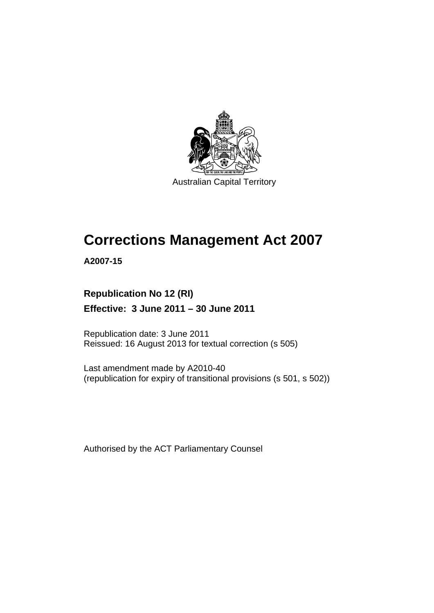

Australian Capital Territory

# **Corrections Management Act 2007**

**A2007-15** 

# **Republication No 12 (RI)**

## **Effective: 3 June 2011 – 30 June 2011**

Republication date: 3 June 2011 Reissued: 16 August 2013 for textual correction (s 505)

Last amendment made by A2010-40 (republication for expiry of transitional provisions (s 501, s 502))

Authorised by the ACT Parliamentary Counsel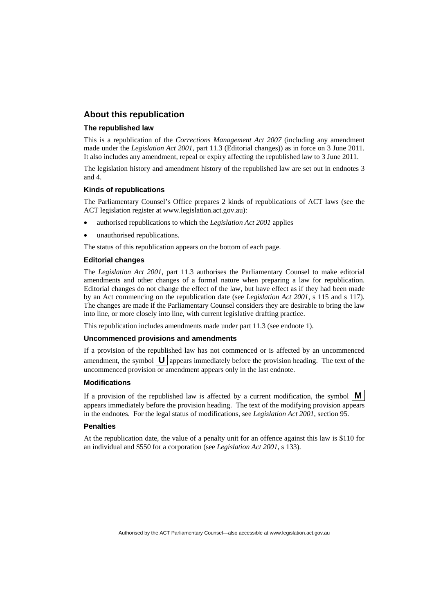#### **About this republication**

#### **The republished law**

This is a republication of the *Corrections Management Act 2007* (including any amendment made under the *Legislation Act 2001*, part 11.3 (Editorial changes)) as in force on 3 June 2011*.*  It also includes any amendment, repeal or expiry affecting the republished law to 3 June 2011.

The legislation history and amendment history of the republished law are set out in endnotes 3 and 4.

#### **Kinds of republications**

The Parliamentary Counsel's Office prepares 2 kinds of republications of ACT laws (see the ACT legislation register at www.legislation.act.gov.au):

- authorised republications to which the *Legislation Act 2001* applies
- unauthorised republications.

The status of this republication appears on the bottom of each page.

#### **Editorial changes**

The *Legislation Act 2001*, part 11.3 authorises the Parliamentary Counsel to make editorial amendments and other changes of a formal nature when preparing a law for republication. Editorial changes do not change the effect of the law, but have effect as if they had been made by an Act commencing on the republication date (see *Legislation Act 2001*, s 115 and s 117). The changes are made if the Parliamentary Counsel considers they are desirable to bring the law into line, or more closely into line, with current legislative drafting practice.

This republication includes amendments made under part 11.3 (see endnote 1).

#### **Uncommenced provisions and amendments**

If a provision of the republished law has not commenced or is affected by an uncommenced amendment, the symbol  $\mathbf{U}$  appears immediately before the provision heading. The text of the uncommenced provision or amendment appears only in the last endnote.

#### **Modifications**

If a provision of the republished law is affected by a current modification, the symbol  $\mathbf{M}$ appears immediately before the provision heading. The text of the modifying provision appears in the endnotes. For the legal status of modifications, see *Legislation Act 2001*, section 95.

#### **Penalties**

At the republication date, the value of a penalty unit for an offence against this law is \$110 for an individual and \$550 for a corporation (see *Legislation Act 2001*, s 133).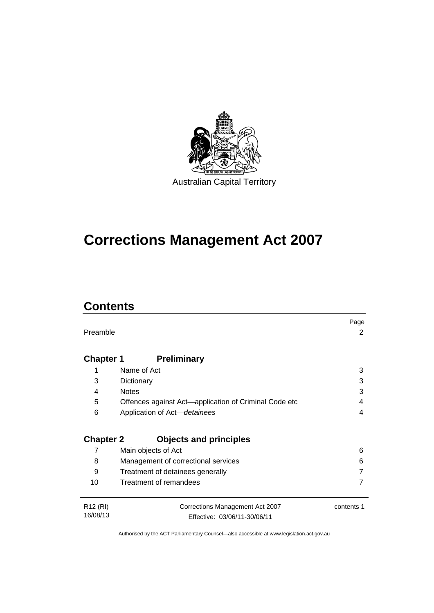

# **Corrections Management Act 2007**

# **Contents**

|                      |                                                       | Page       |
|----------------------|-------------------------------------------------------|------------|
| Preamble             |                                                       | 2          |
|                      |                                                       |            |
| <b>Chapter 1</b>     | <b>Preliminary</b>                                    |            |
|                      |                                                       |            |
| 1                    | Name of Act                                           | 3          |
| 3                    | Dictionary                                            | 3          |
| 4                    | <b>Notes</b>                                          | 3          |
| 5                    | Offences against Act-application of Criminal Code etc | 4          |
| 6                    | Application of Act-detainees                          | 4          |
|                      |                                                       |            |
| <b>Chapter 2</b>     | <b>Objects and principles</b>                         |            |
| 7                    | Main objects of Act                                   | 6          |
| 8                    | Management of correctional services                   | 6          |
| 9                    | Treatment of detainees generally                      |            |
| 10                   | Treatment of remandees                                |            |
|                      |                                                       |            |
| R <sub>12</sub> (RI) | Corrections Management Act 2007                       | contents 1 |
| 16/08/13             | Effective: 03/06/11-30/06/11                          |            |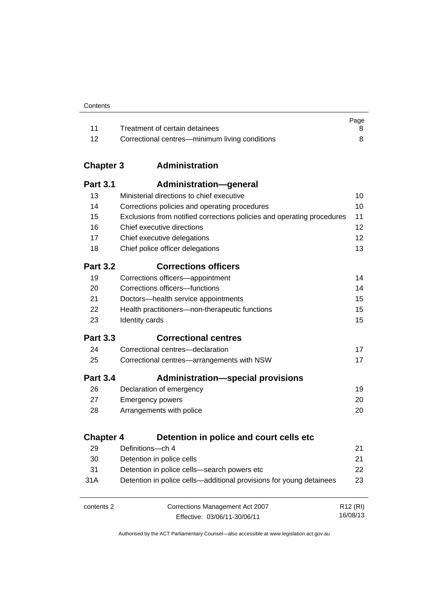|       |                                                | Page |
|-------|------------------------------------------------|------|
| $-11$ | Treatment of certain detainees                 |      |
| -12   | Correctional centres—minimum living conditions |      |

# **Chapter 3 [Administration](#page-23-0)**

| <b>Part 3.1</b>  | Administration-general                                                 |                      |
|------------------|------------------------------------------------------------------------|----------------------|
| 13               | Ministerial directions to chief executive                              | 10                   |
| 14               | Corrections policies and operating procedures                          | 10                   |
| 15               | Exclusions from notified corrections policies and operating procedures | 11                   |
| 16               | Chief executive directions                                             | 12                   |
| 17               | Chief executive delegations                                            | 12                   |
| 18               | Chief police officer delegations                                       | 13                   |
| <b>Part 3.2</b>  | <b>Corrections officers</b>                                            |                      |
| 19               | Corrections officers-appointment                                       | 14                   |
| 20               | Corrections officers-functions                                         | 14                   |
| 21               | Doctors-health service appointments                                    | 15                   |
| 22               | Health practitioners-non-therapeutic functions                         | 15                   |
| 23               | Identity cards                                                         | 15                   |
| <b>Part 3.3</b>  | <b>Correctional centres</b>                                            |                      |
| 24               | Correctional centres-declaration                                       | 17                   |
| 25               | Correctional centres-arrangements with NSW                             | 17                   |
| <b>Part 3.4</b>  | <b>Administration-special provisions</b>                               |                      |
| 26               | Declaration of emergency                                               | 19                   |
| 27               | <b>Emergency powers</b>                                                | 20                   |
| 28               | Arrangements with police                                               | 20                   |
| <b>Chapter 4</b> | Detention in police and court cells etc.                               |                      |
| 29               | Definitions-ch 4                                                       | 21                   |
| 30               | Detention in police cells                                              | 21                   |
| 31               | Detention in police cells-search powers etc                            | 22                   |
| 31A              | Detention in police cells-additional provisions for young detainees    | 23                   |
|                  |                                                                        |                      |
| contents 2       | Corrections Management Act 2007                                        | R <sub>12</sub> (RI) |

Effective: 03/06/11-30/06/11

16/08/13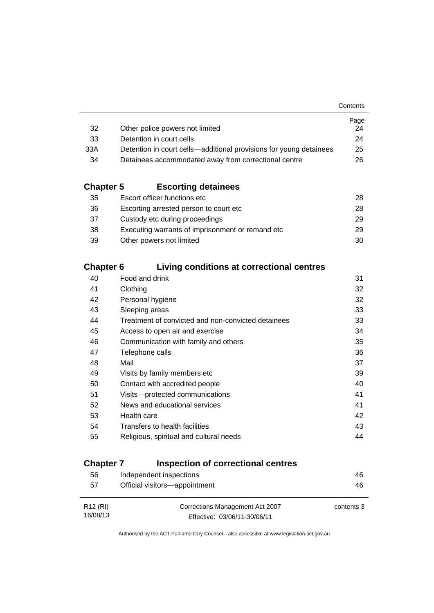|                                                                    | Page |
|--------------------------------------------------------------------|------|
| Other police powers not limited                                    | 24   |
| Detention in court cells                                           | 24   |
| Detention in court cells—additional provisions for young detainees | 25   |
| Detainees accommodated away from correctional centre               | 26.  |
|                                                                    |      |

### **Chapter 5 [Escorting detainees](#page-41-0)**

| Escort officer functions etc                      | 28. |
|---------------------------------------------------|-----|
| Escorting arrested person to court etc.           | 28. |
| Custody etc during proceedings                    | 29. |
| Executing warrants of imprisonment or remand etc. | 29  |
| Other powers not limited                          | 30  |
|                                                   |     |

### **Chapter 6 [Living conditions at correctional centres](#page-44-0)**

| 40 | Food and drink                                     | 31 |
|----|----------------------------------------------------|----|
| 41 | Clothing                                           | 32 |
| 42 | Personal hygiene                                   | 32 |
| 43 | Sleeping areas                                     | 33 |
| 44 | Treatment of convicted and non-convicted detainees | 33 |
| 45 | Access to open air and exercise                    | 34 |
| 46 | Communication with family and others               | 35 |
| 47 | Telephone calls                                    | 36 |
| 48 | Mail                                               | 37 |
| 49 | Visits by family members etc                       | 39 |
| 50 | Contact with accredited people                     | 40 |
| 51 | Visits---protected communications                  | 41 |
| 52 | News and educational services                      | 41 |
| 53 | Health care                                        | 42 |
| 54 | Transfers to health facilities                     | 43 |
| 55 | Religious, spiritual and cultural needs            | 44 |
|    |                                                    |    |

# **Chapter 7 [Inspection of correctional centres](#page-59-0)**

| 56                   | Independent inspections         | 46         |
|----------------------|---------------------------------|------------|
| 57                   | Official visitors-appointment   | 46         |
|                      |                                 |            |
| R <sub>12</sub> (RI) | Corrections Management Act 2007 | contents 3 |
| 16/08/13             | Effective: 03/06/11-30/06/11    |            |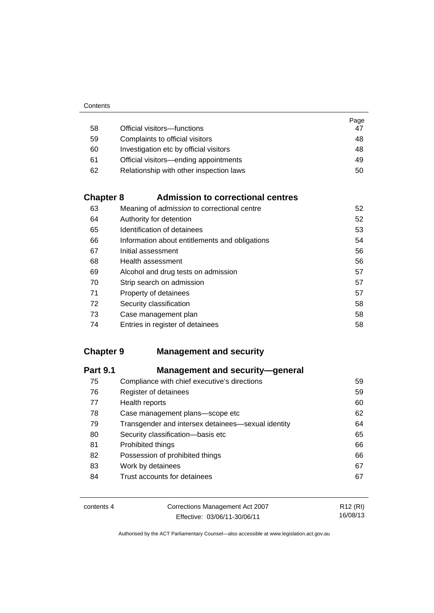|    |                                         | Page |
|----|-----------------------------------------|------|
| 58 | Official visitors-functions             | 47   |
| 59 | Complaints to official visitors         | 48   |
| 60 | Investigation etc by official visitors  | 48   |
| 61 | Official visitors—ending appointments   | 49   |
| 62 | Relationship with other inspection laws | 50   |

# **Chapter 8 [Admission to correctional centres](#page-65-0)**

| 63 | Meaning of <i>admission</i> to correctional centre | 52 |
|----|----------------------------------------------------|----|
| 64 | Authority for detention                            | 52 |
| 65 | Identification of detainees                        | 53 |
| 66 | Information about entitlements and obligations     | 54 |
| 67 | Initial assessment                                 | 56 |
| 68 | Health assessment                                  | 56 |
| 69 | Alcohol and drug tests on admission                | 57 |
| 70 | Strip search on admission                          | 57 |
| 71 | Property of detainees                              | 57 |
| 72 | Security classification                            | 58 |
| 73 | Case management plan                               | 58 |
| 74 | Entries in register of detainees                   | 58 |

# **Chapter 9 [Management and security](#page-72-0)**

| <b>Management and security-general</b>             |    |
|----------------------------------------------------|----|
| Compliance with chief executive's directions       | 59 |
| Register of detainees                              | 59 |
| Health reports                                     | 60 |
| Case management plans-scope etc                    | 62 |
| Transgender and intersex detainees—sexual identity | 64 |
| Security classification-basis etc                  | 65 |
| Prohibited things                                  | 66 |
| Possession of prohibited things                    | 66 |
| Work by detainees                                  | 67 |
| Trust accounts for detainees                       | 67 |
|                                                    |    |

| contents 4 | Corrections Management Act 2007 | R12 (RI) |
|------------|---------------------------------|----------|
|            | Effective: 03/06/11-30/06/11    | 16/08/13 |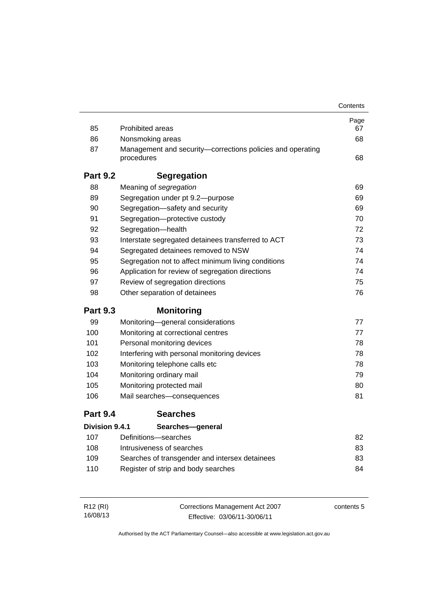|                 |                                                                          | Contents |
|-----------------|--------------------------------------------------------------------------|----------|
|                 |                                                                          | Page     |
| 85              | <b>Prohibited areas</b>                                                  | 67       |
| 86              | Nonsmoking areas                                                         | 68       |
| 87              | Management and security-corrections policies and operating<br>procedures | 68       |
| <b>Part 9.2</b> | <b>Segregation</b>                                                       |          |
| 88              | Meaning of segregation                                                   | 69       |
| 89              | Segregation under pt 9.2-purpose                                         | 69       |
| 90              | Segregation-safety and security                                          | 69       |
| 91              | Segregation-protective custody                                           | 70       |
| 92              | Segregation-health                                                       | 72       |
| 93              | Interstate segregated detainees transferred to ACT                       | 73       |
| 94              | Segregated detainees removed to NSW                                      | 74       |
| 95              | Segregation not to affect minimum living conditions                      | 74       |
| 96              | Application for review of segregation directions                         | 74       |
| 97              | Review of segregation directions                                         | 75       |
| 98              | Other separation of detainees                                            | 76       |
| <b>Part 9.3</b> | <b>Monitoring</b>                                                        |          |
| 99              | Monitoring-general considerations                                        | 77       |
| 100             | Monitoring at correctional centres                                       | 77       |
| 101             | Personal monitoring devices                                              | 78       |
| 102             | Interfering with personal monitoring devices                             | 78       |
| 103             | Monitoring telephone calls etc                                           | 78       |
| 104             | Monitoring ordinary mail                                                 | 79       |
| 105             | Monitoring protected mail                                                | 80       |
| 106             | Mail searches-consequences                                               | 81       |
| <b>Part 9.4</b> | <b>Searches</b>                                                          |          |
| Division 9.4.1  | Searches-general                                                         |          |
| 107             | Definitions-searches                                                     | 82       |
| 108             | Intrusiveness of searches                                                | 83       |
| 109             | Searches of transgender and intersex detainees                           | 83       |
| 110             | Register of strip and body searches                                      | 84       |
|                 |                                                                          |          |

| R12 (RI) | Corrections Management Act 2007 | contents 5 |
|----------|---------------------------------|------------|
| 16/08/13 | Effective: 03/06/11-30/06/11    |            |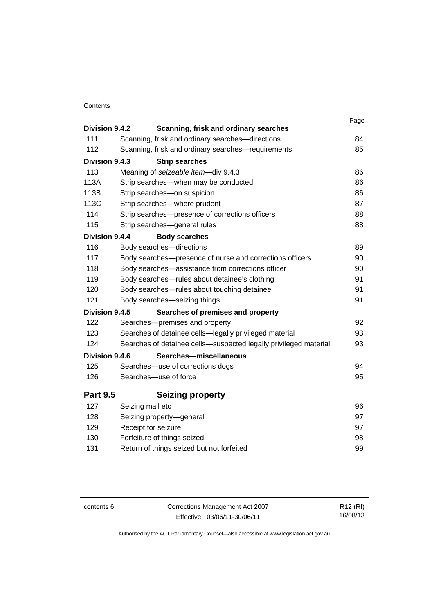#### **Contents**

| Division 9.4.2  | Scanning, frisk and ordinary searches                            | Page |
|-----------------|------------------------------------------------------------------|------|
| 111             | Scanning, frisk and ordinary searches-directions                 | 84   |
| 112             | Scanning, frisk and ordinary searches-requirements               | 85   |
| Division 9.4.3  | <b>Strip searches</b>                                            |      |
| 113             | Meaning of seizeable item-div 9.4.3                              | 86   |
| 113A            | Strip searches-when may be conducted                             | 86   |
| 113B            | Strip searches-on suspicion                                      | 86   |
| 113C            | Strip searches-where prudent                                     | 87   |
| 114             | Strip searches—presence of corrections officers                  | 88   |
| 115             | Strip searches-general rules                                     | 88   |
| Division 9.4.4  | <b>Body searches</b>                                             |      |
| 116             | Body searches-directions                                         | 89   |
| 117             | Body searches—presence of nurse and corrections officers         | 90   |
| 118             | Body searches-assistance from corrections officer                | 90   |
| 119             | Body searches—rules about detainee's clothing                    | 91   |
| 120             | Body searches-rules about touching detainee                      | 91   |
| 121             | Body searches-seizing things                                     | 91   |
| Division 9.4.5  | Searches of premises and property                                |      |
| 122             | Searches-premises and property                                   | 92   |
| 123             | Searches of detainee cells-legally privileged material           | 93   |
| 124             | Searches of detainee cells-suspected legally privileged material | 93   |
| Division 9.4.6  | Searches-miscellaneous                                           |      |
| 125             | Searches-use of corrections dogs                                 | 94   |
| 126             | Searches-use of force                                            | 95   |
|                 |                                                                  |      |
| <b>Part 9.5</b> | <b>Seizing property</b>                                          |      |
| 127             | Seizing mail etc                                                 | 96   |
| 128             | Seizing property-general                                         | 97   |
| 129             | Receipt for seizure                                              | 97   |
| 130             | Forfeiture of things seized                                      | 98   |
| 131             | Return of things seized but not forfeited                        | 99   |

contents 6 Corrections Management Act 2007 Effective: 03/06/11-30/06/11

R12 (RI) 16/08/13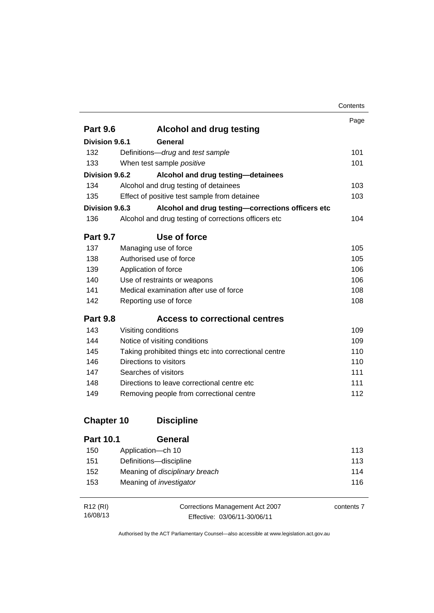|                       |                                                       | Contents |
|-----------------------|-------------------------------------------------------|----------|
|                       |                                                       | Page     |
| <b>Part 9.6</b>       | <b>Alcohol and drug testing</b>                       |          |
| Division 9.6.1        | General                                               |          |
| 132                   | Definitions-drug and test sample                      | 101      |
| 133                   | When test sample positive                             | 101      |
| Division 9.6.2        | Alcohol and drug testing-detainees                    |          |
| 134                   | Alcohol and drug testing of detainees                 | 103      |
| 135                   | Effect of positive test sample from detainee          | 103      |
| <b>Division 9.6.3</b> | Alcohol and drug testing-corrections officers etc     |          |
| 136                   | Alcohol and drug testing of corrections officers etc  | 104      |
| <b>Part 9.7</b>       | Use of force                                          |          |
| 137                   | Managing use of force                                 | 105      |
| 138                   | Authorised use of force                               | 105      |
| 139                   | Application of force                                  | 106      |
| 140                   | Use of restraints or weapons                          | 106      |
| 141                   | Medical examination after use of force                | 108      |
| 142                   | Reporting use of force                                | 108      |
| <b>Part 9.8</b>       | <b>Access to correctional centres</b>                 |          |
| 143                   | Visiting conditions                                   | 109      |
| 144                   | Notice of visiting conditions                         | 109      |
| 145                   | Taking prohibited things etc into correctional centre | 110      |
| 146                   | Directions to visitors                                | 110      |
| 147                   | Searches of visitors                                  | 111      |
| 148                   | Directions to leave correctional centre etc.          | 111      |
| 149                   | Removing people from correctional centre              | 112      |
| <b>Chapter 10</b>     | <b>Discipline</b>                                     |          |
| <b>Part 10.1</b>      | General                                               |          |
| 150                   | Application-ch 10                                     | 113      |
| 151                   | Definitions-discipline                                | 113      |

| R12 (RI) | Corrections Management Act 2007 | contents 7 |
|----------|---------------------------------|------------|
| 16/08/13 | Effective: 03/06/11-30/06/11    |            |

152 Meaning of *disciplinary breach* [114](#page-127-0) 153 Meaning of *investigator* [116](#page-129-0)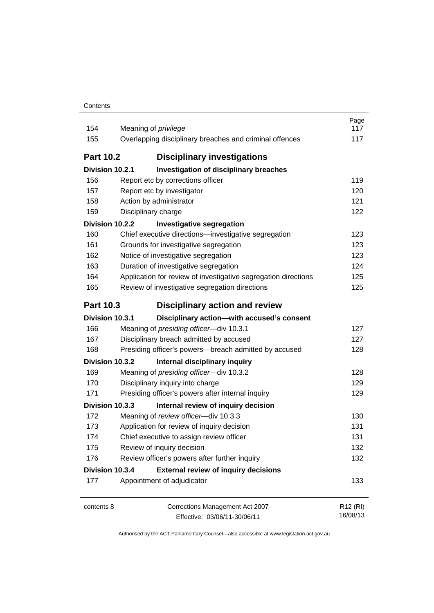| Contents |
|----------|
|----------|

| 154<br>155       | Meaning of <i>privilege</i><br>Overlapping disciplinary breaches and criminal offences | Page<br>117<br>117               |
|------------------|----------------------------------------------------------------------------------------|----------------------------------|
| <b>Part 10.2</b> | <b>Disciplinary investigations</b>                                                     |                                  |
| Division 10.2.1  | Investigation of disciplinary breaches                                                 |                                  |
| 156              | Report etc by corrections officer                                                      | 119                              |
| 157              | Report etc by investigator                                                             | 120                              |
| 158              | Action by administrator                                                                | 121                              |
| 159              | Disciplinary charge                                                                    | 122                              |
| Division 10.2.2  | <b>Investigative segregation</b>                                                       |                                  |
| 160              | Chief executive directions-investigative segregation                                   | 123                              |
| 161              | Grounds for investigative segregation                                                  | 123                              |
| 162              | Notice of investigative segregation                                                    | 123                              |
| 163              | Duration of investigative segregation                                                  | 124                              |
| 164              | Application for review of investigative segregation directions                         | 125                              |
| 165              | Review of investigative segregation directions                                         | 125                              |
| <b>Part 10.3</b> | Disciplinary action and review                                                         |                                  |
| Division 10.3.1  | Disciplinary action-with accused's consent                                             |                                  |
| 166              | Meaning of presiding officer-div 10.3.1                                                | 127                              |
| 167              | Disciplinary breach admitted by accused                                                | 127                              |
| 168              | Presiding officer's powers-breach admitted by accused                                  | 128                              |
| Division 10.3.2  | Internal disciplinary inquiry                                                          |                                  |
| 169              | Meaning of presiding officer-div 10.3.2                                                | 128                              |
| 170              | Disciplinary inquiry into charge                                                       | 129                              |
| 171              | Presiding officer's powers after internal inquiry                                      | 129                              |
| Division 10.3.3  | Internal review of inquiry decision                                                    |                                  |
| 172              | Meaning of review officer-div 10.3.3                                                   | 130                              |
| 173              | Application for review of inquiry decision                                             | 131                              |
| 174              | Chief executive to assign review officer                                               | 131                              |
| 175              | Review of inquiry decision                                                             | 132                              |
| 176              | Review officer's powers after further inquiry                                          | 132                              |
| Division 10.3.4  | <b>External review of inquiry decisions</b>                                            |                                  |
| 177              | Appointment of adjudicator                                                             | 133                              |
| contents 8       | Corrections Management Act 2007<br>Effective: 03/06/11-30/06/11                        | R <sub>12</sub> (RI)<br>16/08/13 |

Effective: 03/06/11-30/06/11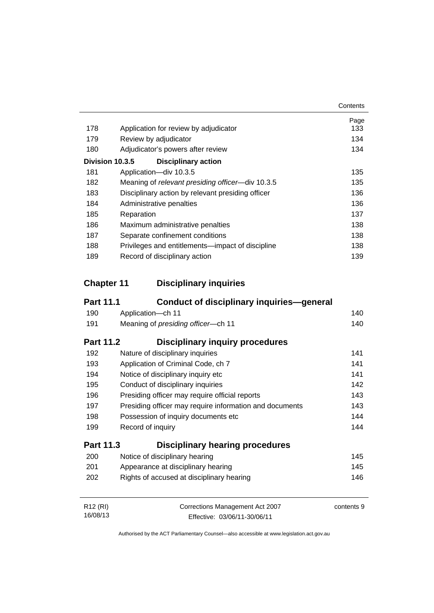|     |                                                   | Contents |
|-----|---------------------------------------------------|----------|
|     |                                                   | Page     |
| 178 | Application for review by adjudicator             | 133      |
| 179 | Review by adjudicator                             | 134      |
| 180 | Adjudicator's powers after review                 | 134      |
|     | Division 10.3.5<br><b>Disciplinary action</b>     |          |
| 181 | Application-div 10.3.5                            | 135      |
| 182 | Meaning of relevant presiding officer-div 10.3.5  | 135      |
| 183 | Disciplinary action by relevant presiding officer | 136      |
| 184 | Administrative penalties                          | 136      |
| 185 | Reparation                                        | 137      |
| 186 | Maximum administrative penalties                  | 138      |
| 187 | Separate confinement conditions                   | 138      |
| 188 | Privileges and entitlements—impact of discipline  | 138      |
| 189 | Record of disciplinary action                     | 139      |

# **Chapter 11 [Disciplinary inquiries](#page-153-0)**

| <b>Part 11.1</b>     | Conduct of disciplinary inquiries—general               |            |
|----------------------|---------------------------------------------------------|------------|
| 190                  | Application-ch 11                                       | 140        |
| 191                  | Meaning of presiding officer-ch 11                      | 140        |
| <b>Part 11.2</b>     | <b>Disciplinary inquiry procedures</b>                  |            |
| 192                  | Nature of disciplinary inquiries                        | 141        |
| 193                  | Application of Criminal Code, ch 7                      | 141        |
| 194                  | Notice of disciplinary inquiry etc                      | 141        |
| 195                  | Conduct of disciplinary inquiries                       | 142        |
| 196                  | Presiding officer may require official reports          | 143        |
| 197                  | Presiding officer may require information and documents | 143        |
| 198                  | Possession of inquiry documents etc                     | 144        |
| 199                  | Record of inquiry                                       | 144        |
| Part 11.3            | <b>Disciplinary hearing procedures</b>                  |            |
| 200                  | Notice of disciplinary hearing                          | 145        |
| 201                  | Appearance at disciplinary hearing                      | 145        |
| 202                  | Rights of accused at disciplinary hearing               | 146        |
| R <sub>12</sub> (RI) | Corrections Management Act 2007                         | contents 9 |
| 16/08/13             | Effective: 03/06/11-30/06/11                            |            |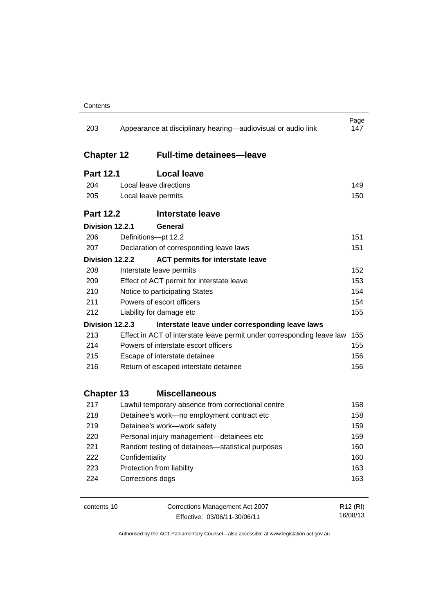| 203               | Appearance at disciplinary hearing—audiovisual or audio link           | Page<br>147          |
|-------------------|------------------------------------------------------------------------|----------------------|
| <b>Chapter 12</b> | <b>Full-time detainees-leave</b>                                       |                      |
| <b>Part 12.1</b>  | <b>Local leave</b>                                                     |                      |
| 204               | Local leave directions                                                 | 149                  |
| 205               | Local leave permits                                                    | 150                  |
| <b>Part 12.2</b>  | <b>Interstate leave</b>                                                |                      |
| Division 12.2.1   | General                                                                |                      |
| 206               | Definitions-pt 12.2                                                    | 151                  |
| 207               | Declaration of corresponding leave laws                                | 151                  |
| Division 12.2.2   | <b>ACT permits for interstate leave</b>                                |                      |
| 208               | Interstate leave permits                                               | 152                  |
| 209               | Effect of ACT permit for interstate leave                              | 153                  |
| 210               | Notice to participating States                                         | 154                  |
| 211               | Powers of escort officers                                              | 154                  |
| 212               | Liability for damage etc                                               | 155                  |
| Division 12.2.3   | Interstate leave under corresponding leave laws                        |                      |
| 213               | Effect in ACT of interstate leave permit under corresponding leave law | 155                  |
| 214               | Powers of interstate escort officers                                   | 155                  |
| 215               | Escape of interstate detainee                                          | 156                  |
| 216               | Return of escaped interstate detainee                                  | 156                  |
| <b>Chapter 13</b> | <b>Miscellaneous</b>                                                   |                      |
| 217               | Lawful temporary absence from correctional centre                      | 158                  |
| 218               | Detainee's work-no employment contract etc                             | 158                  |
| 219               | Detainee's work-work safety                                            | 159                  |
| 220               | Personal injury management-detainees etc                               | 159                  |
| 221               | Random testing of detainees-statistical purposes                       | 160                  |
| 222               | Confidentiality                                                        | 160                  |
| 223               | Protection from liability                                              | 163                  |
| 224               | Corrections dogs                                                       | 163                  |
| contents 10       | Corrections Management Act 2007                                        | R <sub>12</sub> (RI) |

Effective: 03/06/11-30/06/11

16/08/13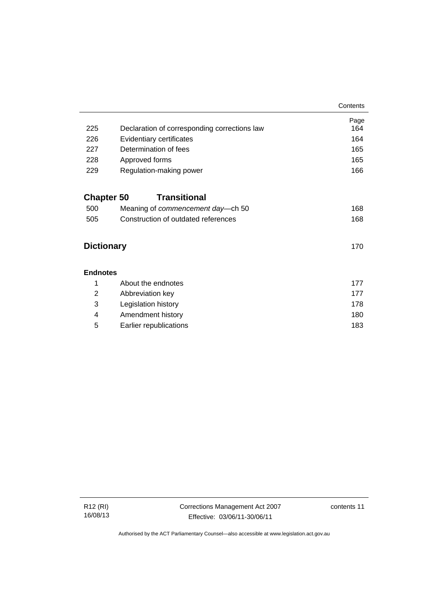|                   |                                              | Contents    |
|-------------------|----------------------------------------------|-------------|
| 225               | Declaration of corresponding corrections law | Page<br>164 |
| 226               | Evidentiary certificates                     | 164         |
| 227               | Determination of fees                        | 165         |
| 228               | Approved forms                               | 165         |
| 229               | Regulation-making power                      | 166         |
| <b>Chapter 50</b> | <b>Transitional</b>                          |             |
| 500               | Meaning of commencement day-ch 50            | 168         |
| 505               | Construction of outdated references          | 168         |
| <b>Dictionary</b> |                                              | 170         |
| <b>Endnotes</b>   |                                              |             |
| 1                 | About the endnotes                           | 177         |
| $\overline{2}$    | Abbreviation key                             | 177         |
| 3                 | Legislation history                          | 178         |
| 4                 | Amendment history                            | 180         |
| 5                 | Earlier republications                       | 183         |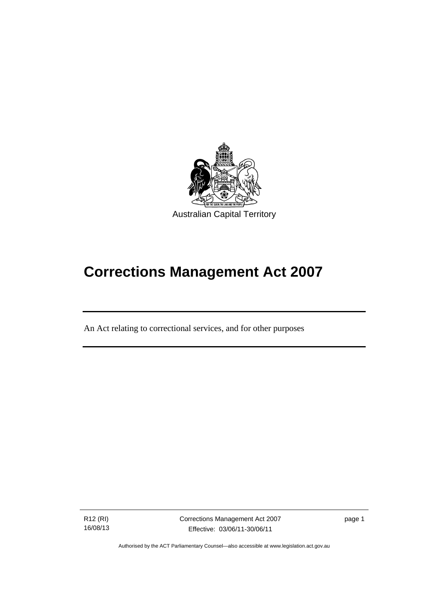

# **Corrections Management Act 2007**

An Act relating to correctional services, and for other purposes

R12 (RI) 16/08/13

l

Corrections Management Act 2007 Effective: 03/06/11-30/06/11

page 1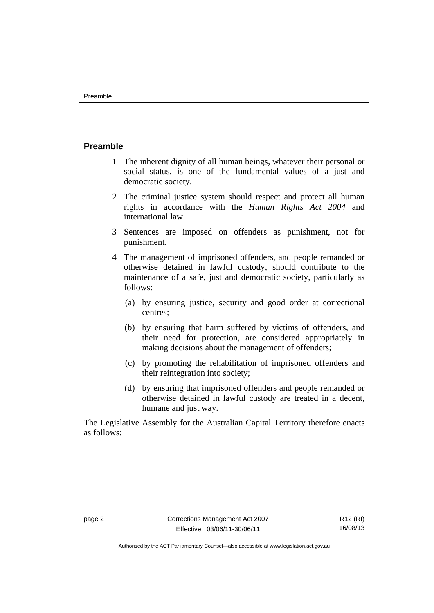#### <span id="page-15-0"></span>**Preamble**

- 1 The inherent dignity of all human beings, whatever their personal or social status, is one of the fundamental values of a just and democratic society.
- 2 The criminal justice system should respect and protect all human rights in accordance with the *Human Rights Act 2004* and international law.
- 3 Sentences are imposed on offenders as punishment, not for punishment.
- 4 The management of imprisoned offenders, and people remanded or otherwise detained in lawful custody, should contribute to the maintenance of a safe, just and democratic society, particularly as follows:
	- (a) by ensuring justice, security and good order at correctional centres;
	- (b) by ensuring that harm suffered by victims of offenders, and their need for protection, are considered appropriately in making decisions about the management of offenders;
	- (c) by promoting the rehabilitation of imprisoned offenders and their reintegration into society;
	- (d) by ensuring that imprisoned offenders and people remanded or otherwise detained in lawful custody are treated in a decent, humane and just way.

The Legislative Assembly for the Australian Capital Territory therefore enacts as follows: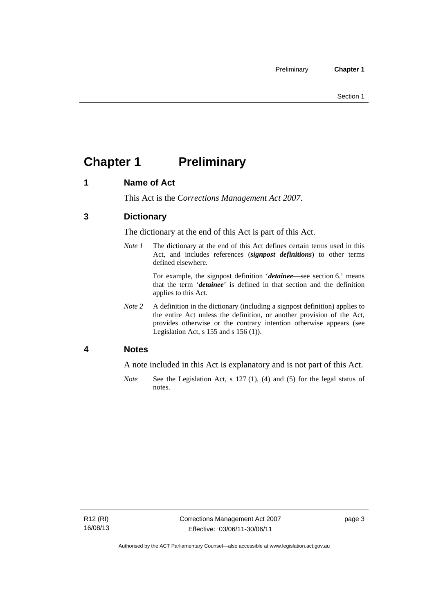# <span id="page-16-0"></span>**Chapter 1** Preliminary

#### <span id="page-16-1"></span>**1 Name of Act**

This Act is the *Corrections Management Act 2007*.

#### <span id="page-16-2"></span>**3 Dictionary**

The dictionary at the end of this Act is part of this Act.

*Note 1* The dictionary at the end of this Act defines certain terms used in this Act, and includes references (*signpost definitions*) to other terms defined elsewhere.

> For example, the signpost definition '*detainee*—see section 6.' means that the term '*detainee*' is defined in that section and the definition applies to this Act.

*Note 2* A definition in the dictionary (including a signpost definition) applies to the entire Act unless the definition, or another provision of the Act, provides otherwise or the contrary intention otherwise appears (see Legislation Act,  $s$  155 and  $s$  156 (1)).

#### <span id="page-16-3"></span>**4 Notes**

A note included in this Act is explanatory and is not part of this Act.

*Note* See the Legislation Act, s 127 (1), (4) and (5) for the legal status of notes.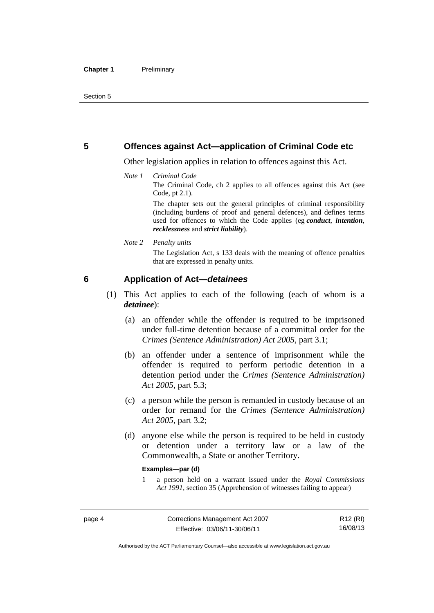#### <span id="page-17-0"></span>**5 Offences against Act—application of Criminal Code etc**

Other legislation applies in relation to offences against this Act.

#### *Note 1 Criminal Code*

The Criminal Code, ch 2 applies to all offences against this Act (see Code, pt 2.1).

The chapter sets out the general principles of criminal responsibility (including burdens of proof and general defences), and defines terms used for offences to which the Code applies (eg *conduct*, *intention*, *recklessness* and *strict liability*).

#### *Note 2 Penalty units*

The Legislation Act, s 133 deals with the meaning of offence penalties that are expressed in penalty units.

#### <span id="page-17-1"></span>**6 Application of Act—***detainees*

- (1) This Act applies to each of the following (each of whom is a *detainee*):
	- (a) an offender while the offender is required to be imprisoned under full-time detention because of a committal order for the *Crimes (Sentence Administration) Act 2005*, part 3.1;
	- (b) an offender under a sentence of imprisonment while the offender is required to perform periodic detention in a detention period under the *Crimes (Sentence Administration) Act 2005,* part 5.3;
	- (c) a person while the person is remanded in custody because of an order for remand for the *Crimes (Sentence Administration) Act 2005*, part 3.2;
	- (d) anyone else while the person is required to be held in custody or detention under a territory law or a law of the Commonwealth, a State or another Territory.

#### **Examples—par (d)**

1 a person held on a warrant issued under the *Royal Commissions Act 1991*, section 35 (Apprehension of witnesses failing to appear)

R12 (RI) 16/08/13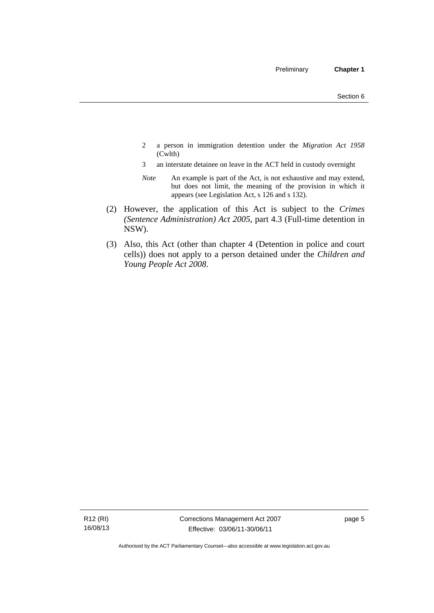- 2 a person in immigration detention under the *Migration Act 1958*  (Cwlth)
- 3 an interstate detainee on leave in the ACT held in custody overnight
- *Note* An example is part of the Act, is not exhaustive and may extend, but does not limit, the meaning of the provision in which it appears (see Legislation Act, s 126 and s 132).
- (2) However, the application of this Act is subject to the *Crimes (Sentence Administration) Act 2005*, part 4.3 (Full-time detention in NSW).
- (3) Also, this Act (other than chapter 4 (Detention in police and court cells)) does not apply to a person detained under the *Children and Young People Act 2008*.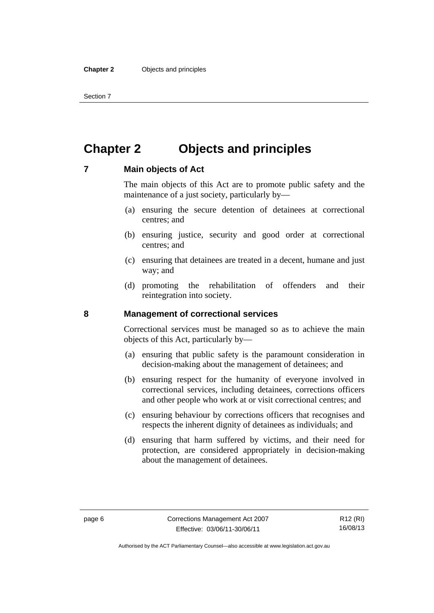Section 7

# <span id="page-19-0"></span>**Chapter 2 Objects and principles**

#### <span id="page-19-1"></span>**7 Main objects of Act**

The main objects of this Act are to promote public safety and the maintenance of a just society, particularly by—

- (a) ensuring the secure detention of detainees at correctional centres; and
- (b) ensuring justice, security and good order at correctional centres; and
- (c) ensuring that detainees are treated in a decent, humane and just way; and
- (d) promoting the rehabilitation of offenders and their reintegration into society.

#### <span id="page-19-2"></span>**8 Management of correctional services**

Correctional services must be managed so as to achieve the main objects of this Act, particularly by—

- (a) ensuring that public safety is the paramount consideration in decision-making about the management of detainees; and
- (b) ensuring respect for the humanity of everyone involved in correctional services, including detainees, corrections officers and other people who work at or visit correctional centres; and
- (c) ensuring behaviour by corrections officers that recognises and respects the inherent dignity of detainees as individuals; and
- (d) ensuring that harm suffered by victims, and their need for protection, are considered appropriately in decision-making about the management of detainees.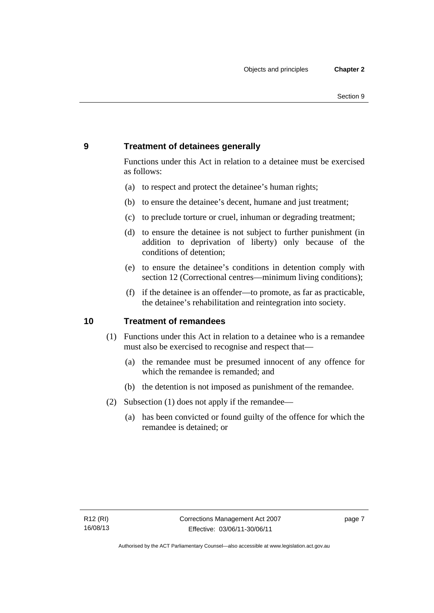#### <span id="page-20-0"></span>**9 Treatment of detainees generally**

Functions under this Act in relation to a detainee must be exercised as follows:

- (a) to respect and protect the detainee's human rights;
- (b) to ensure the detainee's decent, humane and just treatment;
- (c) to preclude torture or cruel, inhuman or degrading treatment;
- (d) to ensure the detainee is not subject to further punishment (in addition to deprivation of liberty) only because of the conditions of detention;
- (e) to ensure the detainee's conditions in detention comply with section 12 (Correctional centres—minimum living conditions);
- (f) if the detainee is an offender—to promote, as far as practicable, the detainee's rehabilitation and reintegration into society.

#### <span id="page-20-1"></span>**10 Treatment of remandees**

- (1) Functions under this Act in relation to a detainee who is a remandee must also be exercised to recognise and respect that—
	- (a) the remandee must be presumed innocent of any offence for which the remandee is remanded; and
	- (b) the detention is not imposed as punishment of the remandee.
- (2) Subsection (1) does not apply if the remandee—
	- (a) has been convicted or found guilty of the offence for which the remandee is detained; or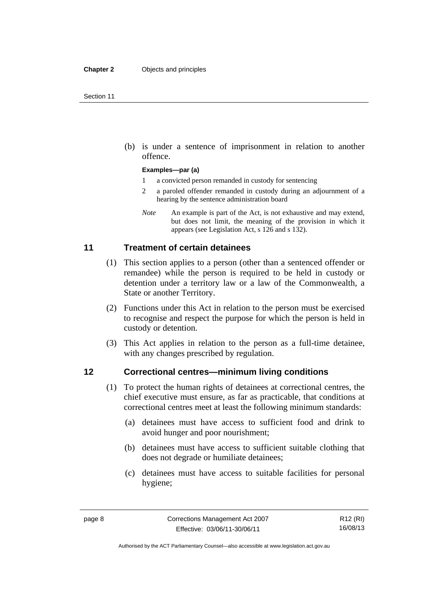(b) is under a sentence of imprisonment in relation to another offence.

#### **Examples—par (a)**

- 1 a convicted person remanded in custody for sentencing
- 2 a paroled offender remanded in custody during an adjournment of a hearing by the sentence administration board
- *Note* An example is part of the Act, is not exhaustive and may extend, but does not limit, the meaning of the provision in which it appears (see Legislation Act, s 126 and s 132).

#### <span id="page-21-0"></span>**11 Treatment of certain detainees**

- (1) This section applies to a person (other than a sentenced offender or remandee) while the person is required to be held in custody or detention under a territory law or a law of the Commonwealth, a State or another Territory.
- (2) Functions under this Act in relation to the person must be exercised to recognise and respect the purpose for which the person is held in custody or detention.
- (3) This Act applies in relation to the person as a full-time detainee, with any changes prescribed by regulation.

#### <span id="page-21-1"></span>**12 Correctional centres—minimum living conditions**

- (1) To protect the human rights of detainees at correctional centres, the chief executive must ensure, as far as practicable, that conditions at correctional centres meet at least the following minimum standards:
	- (a) detainees must have access to sufficient food and drink to avoid hunger and poor nourishment;
	- (b) detainees must have access to sufficient suitable clothing that does not degrade or humiliate detainees;
	- (c) detainees must have access to suitable facilities for personal hygiene;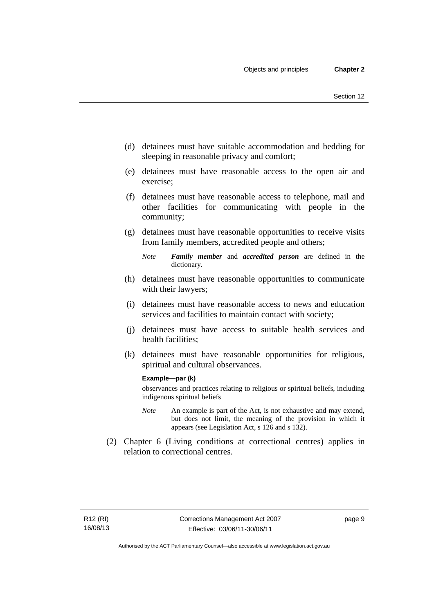- (d) detainees must have suitable accommodation and bedding for sleeping in reasonable privacy and comfort;
- (e) detainees must have reasonable access to the open air and exercise;
- (f) detainees must have reasonable access to telephone, mail and other facilities for communicating with people in the community;
- (g) detainees must have reasonable opportunities to receive visits from family members, accredited people and others;
	- *Note Family member* and *accredited person* are defined in the dictionary.
- (h) detainees must have reasonable opportunities to communicate with their lawyers;
- (i) detainees must have reasonable access to news and education services and facilities to maintain contact with society;
- (j) detainees must have access to suitable health services and health facilities;
- (k) detainees must have reasonable opportunities for religious, spiritual and cultural observances.

#### **Example—par (k)**

observances and practices relating to religious or spiritual beliefs, including indigenous spiritual beliefs

- *Note* An example is part of the Act, is not exhaustive and may extend, but does not limit, the meaning of the provision in which it appears (see Legislation Act, s 126 and s 132).
- (2) Chapter 6 (Living conditions at correctional centres) applies in relation to correctional centres.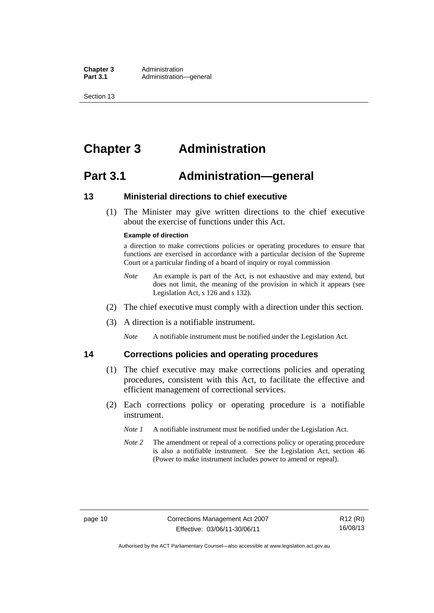**Chapter 3** Administration<br>**Part 3.1** Administration-Administration—general

Section 13

# <span id="page-23-0"></span>**Chapter 3 Administration**

### <span id="page-23-1"></span>**Part 3.1 Administration—general**

#### <span id="page-23-2"></span>**13 Ministerial directions to chief executive**

 (1) The Minister may give written directions to the chief executive about the exercise of functions under this Act.

#### **Example of direction**

a direction to make corrections policies or operating procedures to ensure that functions are exercised in accordance with a particular decision of the Supreme Court or a particular finding of a board of inquiry or royal commission

- *Note* An example is part of the Act, is not exhaustive and may extend, but does not limit, the meaning of the provision in which it appears (see Legislation Act, s 126 and s 132).
- (2) The chief executive must comply with a direction under this section.
- (3) A direction is a notifiable instrument.

*Note* A notifiable instrument must be notified under the Legislation Act.

#### <span id="page-23-3"></span>**14 Corrections policies and operating procedures**

- (1) The chief executive may make corrections policies and operating procedures, consistent with this Act, to facilitate the effective and efficient management of correctional services.
- (2) Each corrections policy or operating procedure is a notifiable instrument.
	- *Note 1* A notifiable instrument must be notified under the Legislation Act.
	- *Note* 2 The amendment or repeal of a corrections policy or operating procedure is also a notifiable instrument. See the Legislation Act, section 46 (Power to make instrument includes power to amend or repeal).

Authorised by the ACT Parliamentary Counsel—also accessible at www.legislation.act.gov.au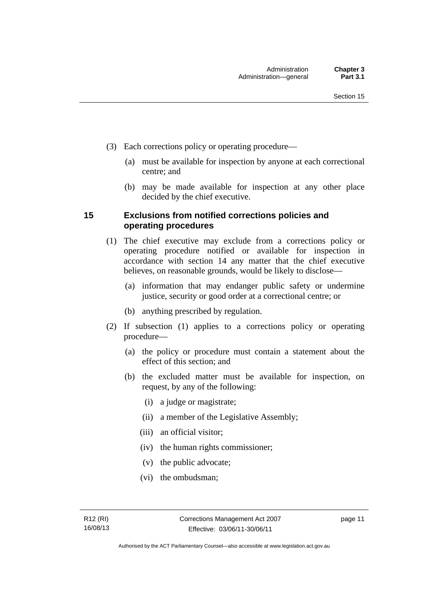- (3) Each corrections policy or operating procedure—
	- (a) must be available for inspection by anyone at each correctional centre; and
	- (b) may be made available for inspection at any other place decided by the chief executive.

#### <span id="page-24-0"></span>**15 Exclusions from notified corrections policies and operating procedures**

- (1) The chief executive may exclude from a corrections policy or operating procedure notified or available for inspection in accordance with section 14 any matter that the chief executive believes, on reasonable grounds, would be likely to disclose—
	- (a) information that may endanger public safety or undermine justice, security or good order at a correctional centre; or
	- (b) anything prescribed by regulation.
- (2) If subsection (1) applies to a corrections policy or operating procedure—
	- (a) the policy or procedure must contain a statement about the effect of this section; and
	- (b) the excluded matter must be available for inspection, on request, by any of the following:
		- (i) a judge or magistrate;
		- (ii) a member of the Legislative Assembly;
		- (iii) an official visitor;
		- (iv) the human rights commissioner;
		- (v) the public advocate;
		- (vi) the ombudsman;

page 11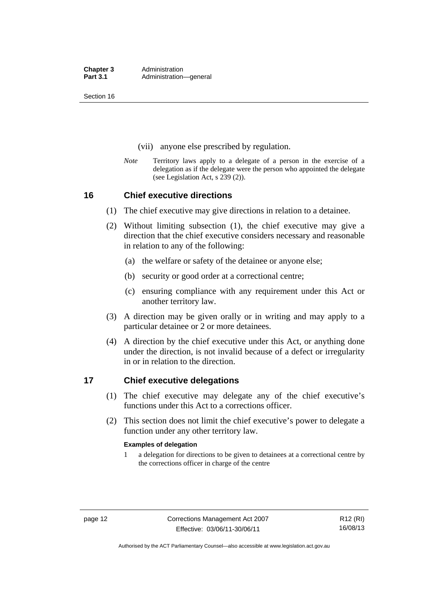Section 16

- (vii) anyone else prescribed by regulation.
- *Note* Territory laws apply to a delegate of a person in the exercise of a delegation as if the delegate were the person who appointed the delegate (see Legislation Act, s 239 (2)).

#### <span id="page-25-0"></span>**16 Chief executive directions**

- (1) The chief executive may give directions in relation to a detainee.
- (2) Without limiting subsection (1), the chief executive may give a direction that the chief executive considers necessary and reasonable in relation to any of the following:
	- (a) the welfare or safety of the detainee or anyone else;
	- (b) security or good order at a correctional centre;
	- (c) ensuring compliance with any requirement under this Act or another territory law.
- (3) A direction may be given orally or in writing and may apply to a particular detainee or 2 or more detainees.
- (4) A direction by the chief executive under this Act, or anything done under the direction, is not invalid because of a defect or irregularity in or in relation to the direction.

#### <span id="page-25-1"></span>**17 Chief executive delegations**

- (1) The chief executive may delegate any of the chief executive's functions under this Act to a corrections officer.
- (2) This section does not limit the chief executive's power to delegate a function under any other territory law.

#### **Examples of delegation**

1 a delegation for directions to be given to detainees at a correctional centre by the corrections officer in charge of the centre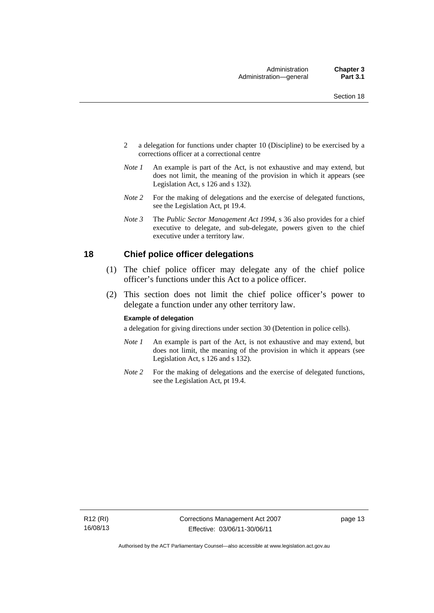- 2 a delegation for functions under chapter 10 (Discipline) to be exercised by a corrections officer at a correctional centre
- *Note 1* An example is part of the Act, is not exhaustive and may extend, but does not limit, the meaning of the provision in which it appears (see Legislation Act, s 126 and s 132).
- *Note 2* For the making of delegations and the exercise of delegated functions, see the Legislation Act, pt 19.4.
- *Note 3* The *Public Sector Management Act 1994*, s 36 also provides for a chief executive to delegate, and sub-delegate, powers given to the chief executive under a territory law.

#### <span id="page-26-0"></span>**18 Chief police officer delegations**

- (1) The chief police officer may delegate any of the chief police officer's functions under this Act to a police officer.
- (2) This section does not limit the chief police officer's power to delegate a function under any other territory law.

#### **Example of delegation**

a delegation for giving directions under section 30 (Detention in police cells).

- *Note 1* An example is part of the Act, is not exhaustive and may extend, but does not limit, the meaning of the provision in which it appears (see Legislation Act, s 126 and s 132).
- *Note* 2 For the making of delegations and the exercise of delegated functions, see the Legislation Act, pt 19.4.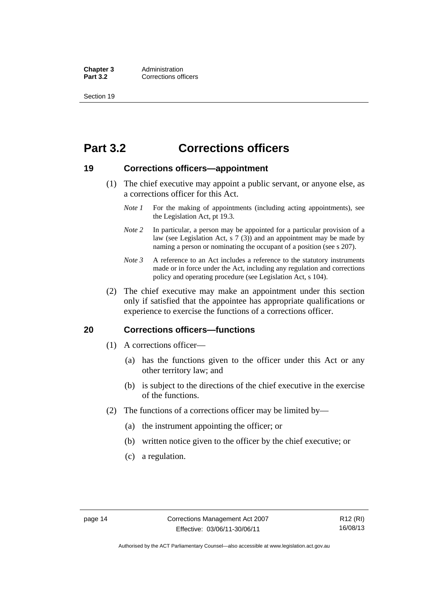**Chapter 3** Administration<br> **Part 3.2** Corrections off **Corrections officers** 

Section 19

# <span id="page-27-0"></span>**Part 3.2 Corrections officers**

#### <span id="page-27-1"></span>**19 Corrections officers—appointment**

- (1) The chief executive may appoint a public servant, or anyone else, as a corrections officer for this Act.
	- *Note 1* For the making of appointments (including acting appointments), see the Legislation Act, pt 19.3.
	- *Note 2* In particular, a person may be appointed for a particular provision of a law (see Legislation Act, s 7 (3)) and an appointment may be made by naming a person or nominating the occupant of a position (see s 207).
	- *Note 3* A reference to an Act includes a reference to the statutory instruments made or in force under the Act, including any regulation and corrections policy and operating procedure (see Legislation Act, s 104).
- (2) The chief executive may make an appointment under this section only if satisfied that the appointee has appropriate qualifications or experience to exercise the functions of a corrections officer.

#### <span id="page-27-2"></span>**20 Corrections officers—functions**

- (1) A corrections officer—
	- (a) has the functions given to the officer under this Act or any other territory law; and
	- (b) is subject to the directions of the chief executive in the exercise of the functions.
- (2) The functions of a corrections officer may be limited by—
	- (a) the instrument appointing the officer; or
	- (b) written notice given to the officer by the chief executive; or
	- (c) a regulation.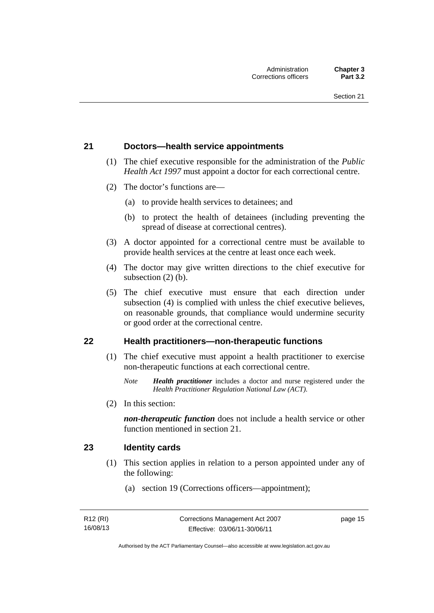#### <span id="page-28-0"></span>**21 Doctors—health service appointments**

- (1) The chief executive responsible for the administration of the *Public Health Act 1997* must appoint a doctor for each correctional centre.
- (2) The doctor's functions are—
	- (a) to provide health services to detainees; and
	- (b) to protect the health of detainees (including preventing the spread of disease at correctional centres).
- (3) A doctor appointed for a correctional centre must be available to provide health services at the centre at least once each week.
- (4) The doctor may give written directions to the chief executive for subsection (2) (b).
- (5) The chief executive must ensure that each direction under subsection (4) is complied with unless the chief executive believes, on reasonable grounds, that compliance would undermine security or good order at the correctional centre.

#### <span id="page-28-1"></span>**22 Health practitioners—non-therapeutic functions**

- (1) The chief executive must appoint a health practitioner to exercise non-therapeutic functions at each correctional centre.
	- *Note Health practitioner* includes a doctor and nurse registered under the *Health Practitioner Regulation National Law (ACT)*.
- (2) In this section:

*non-therapeutic function* does not include a health service or other function mentioned in section 21.

#### <span id="page-28-2"></span>**23 Identity cards**

- (1) This section applies in relation to a person appointed under any of the following:
	- (a) section 19 (Corrections officers—appointment);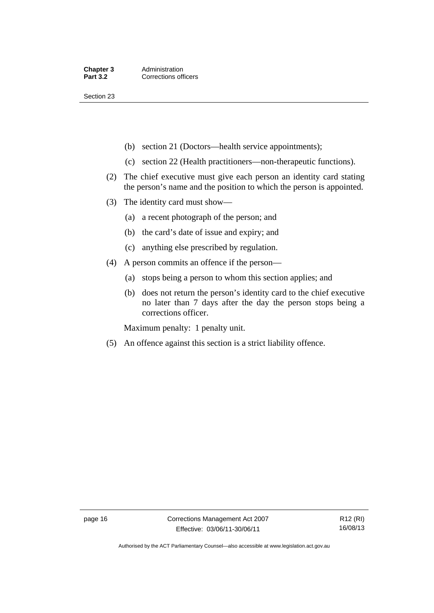Section 23

- (b) section 21 (Doctors—health service appointments);
- (c) section 22 (Health practitioners—non-therapeutic functions).
- (2) The chief executive must give each person an identity card stating the person's name and the position to which the person is appointed.
- (3) The identity card must show—
	- (a) a recent photograph of the person; and
	- (b) the card's date of issue and expiry; and
	- (c) anything else prescribed by regulation.
- (4) A person commits an offence if the person—
	- (a) stops being a person to whom this section applies; and
	- (b) does not return the person's identity card to the chief executive no later than 7 days after the day the person stops being a corrections officer.

Maximum penalty: 1 penalty unit.

(5) An offence against this section is a strict liability offence.

Authorised by the ACT Parliamentary Counsel—also accessible at www.legislation.act.gov.au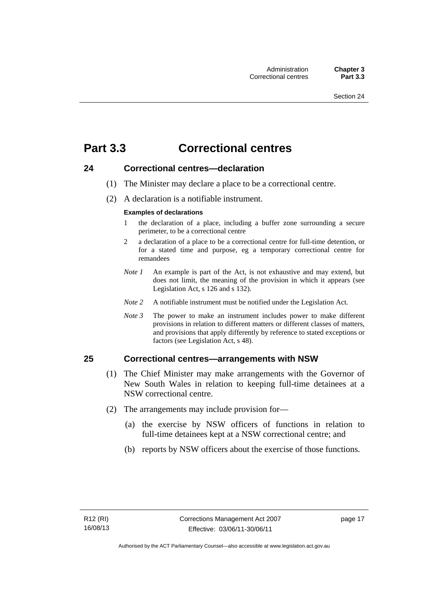# <span id="page-30-0"></span>**Part 3.3 Correctional centres**

#### <span id="page-30-1"></span>**24 Correctional centres—declaration**

- (1) The Minister may declare a place to be a correctional centre.
- (2) A declaration is a notifiable instrument.

#### **Examples of declarations**

- 1 the declaration of a place, including a buffer zone surrounding a secure perimeter, to be a correctional centre
- 2 a declaration of a place to be a correctional centre for full-time detention, or for a stated time and purpose, eg a temporary correctional centre for remandees
- *Note 1* An example is part of the Act, is not exhaustive and may extend, but does not limit, the meaning of the provision in which it appears (see Legislation Act, s 126 and s 132).
- *Note 2* A notifiable instrument must be notified under the Legislation Act.
- *Note 3* The power to make an instrument includes power to make different provisions in relation to different matters or different classes of matters, and provisions that apply differently by reference to stated exceptions or factors (see Legislation Act, s 48).

#### <span id="page-30-2"></span>**25 Correctional centres—arrangements with NSW**

- (1) The Chief Minister may make arrangements with the Governor of New South Wales in relation to keeping full-time detainees at a NSW correctional centre.
- (2) The arrangements may include provision for—
	- (a) the exercise by NSW officers of functions in relation to full-time detainees kept at a NSW correctional centre; and
	- (b) reports by NSW officers about the exercise of those functions.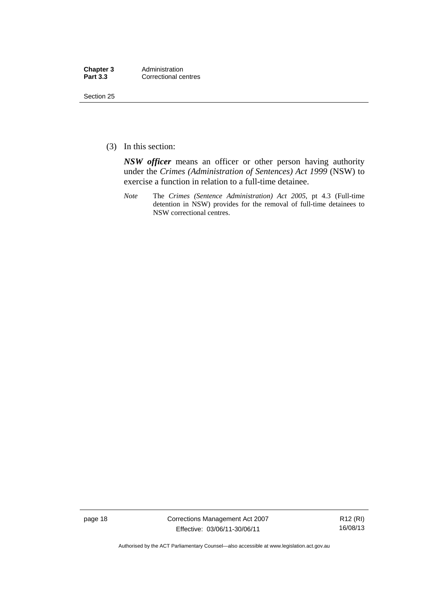| Chapter 3       | Administration       |
|-----------------|----------------------|
| <b>Part 3.3</b> | Correctional centres |

Section 25

(3) In this section:

*NSW officer* means an officer or other person having authority under the *Crimes (Administration of Sentences) Act 1999* (NSW) to exercise a function in relation to a full-time detainee.

*Note* The *Crimes (Sentence Administration) Act 2005*, pt 4.3 (Full-time detention in NSW) provides for the removal of full-time detainees to NSW correctional centres.

page 18 Corrections Management Act 2007 Effective: 03/06/11-30/06/11

R12 (RI) 16/08/13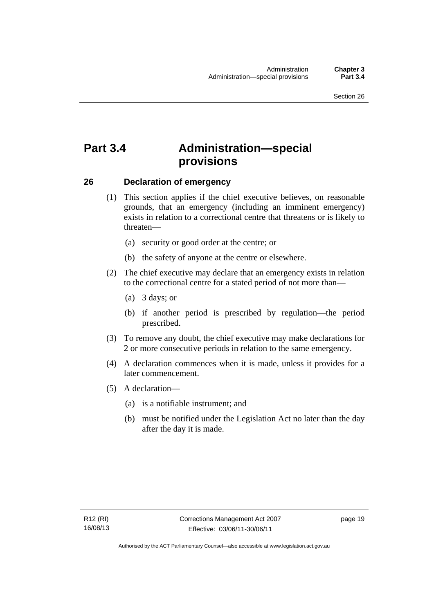# <span id="page-32-0"></span>**Part 3.4 Administration—special provisions**

#### <span id="page-32-1"></span>**26 Declaration of emergency**

- (1) This section applies if the chief executive believes, on reasonable grounds, that an emergency (including an imminent emergency) exists in relation to a correctional centre that threatens or is likely to threaten—
	- (a) security or good order at the centre; or
	- (b) the safety of anyone at the centre or elsewhere.
- (2) The chief executive may declare that an emergency exists in relation to the correctional centre for a stated period of not more than—
	- (a) 3 days; or
	- (b) if another period is prescribed by regulation—the period prescribed.
- (3) To remove any doubt, the chief executive may make declarations for 2 or more consecutive periods in relation to the same emergency.
- (4) A declaration commences when it is made, unless it provides for a later commencement.
- (5) A declaration—
	- (a) is a notifiable instrument; and
	- (b) must be notified under the Legislation Act no later than the day after the day it is made.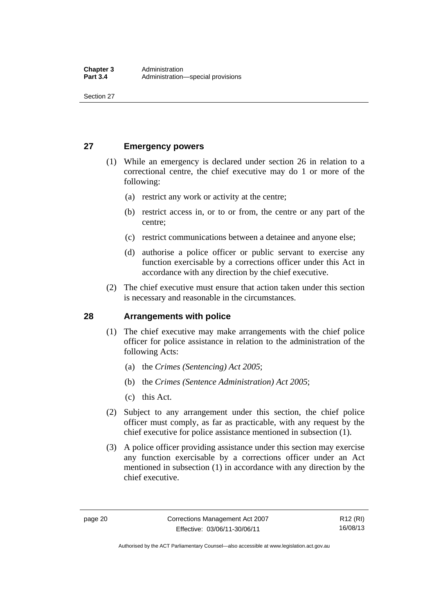Section 27

#### <span id="page-33-0"></span>**27 Emergency powers**

- (1) While an emergency is declared under section 26 in relation to a correctional centre, the chief executive may do 1 or more of the following:
	- (a) restrict any work or activity at the centre;
	- (b) restrict access in, or to or from, the centre or any part of the centre;
	- (c) restrict communications between a detainee and anyone else;
	- (d) authorise a police officer or public servant to exercise any function exercisable by a corrections officer under this Act in accordance with any direction by the chief executive.
- (2) The chief executive must ensure that action taken under this section is necessary and reasonable in the circumstances.

#### <span id="page-33-1"></span>**28 Arrangements with police**

- (1) The chief executive may make arrangements with the chief police officer for police assistance in relation to the administration of the following Acts:
	- (a) the *Crimes (Sentencing) Act 2005*;
	- (b) the *Crimes (Sentence Administration) Act 2005*;
	- (c) this Act.
- (2) Subject to any arrangement under this section, the chief police officer must comply, as far as practicable, with any request by the chief executive for police assistance mentioned in subsection (1).
- (3) A police officer providing assistance under this section may exercise any function exercisable by a corrections officer under an Act mentioned in subsection (1) in accordance with any direction by the chief executive.

Authorised by the ACT Parliamentary Counsel—also accessible at www.legislation.act.gov.au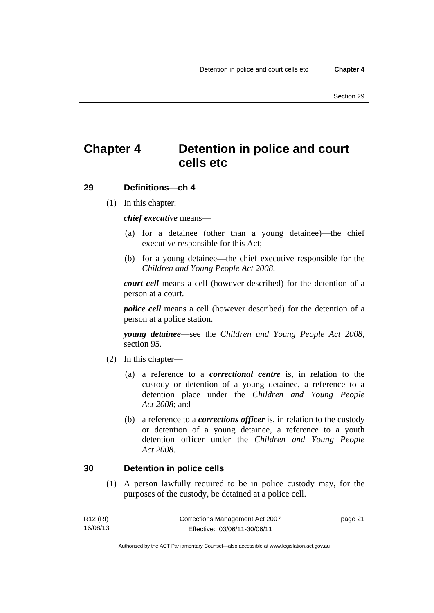# <span id="page-34-0"></span>**Chapter 4 Detention in police and court cells etc**

#### <span id="page-34-1"></span>**29 Definitions—ch 4**

(1) In this chapter:

*chief executive* means—

- (a) for a detainee (other than a young detainee)—the chief executive responsible for this Act;
- (b) for a young detainee—the chief executive responsible for the *Children and Young People Act 2008*.

*court cell* means a cell (however described) for the detention of a person at a court.

*police cell* means a cell (however described) for the detention of a person at a police station.

*young detainee*—see the *Children and Young People Act 2008*, section 95.

- (2) In this chapter—
	- (a) a reference to a *correctional centre* is, in relation to the custody or detention of a young detainee, a reference to a detention place under the *Children and Young People Act 2008*; and
	- (b) a reference to a *corrections officer* is, in relation to the custody or detention of a young detainee, a reference to a youth detention officer under the *Children and Young People Act 2008*.

#### <span id="page-34-2"></span>**30 Detention in police cells**

 (1) A person lawfully required to be in police custody may, for the purposes of the custody, be detained at a police cell.

| R12 (RI) | Corrections Management Act 2007 | page 21 |
|----------|---------------------------------|---------|
| 16/08/13 | Effective: 03/06/11-30/06/11    |         |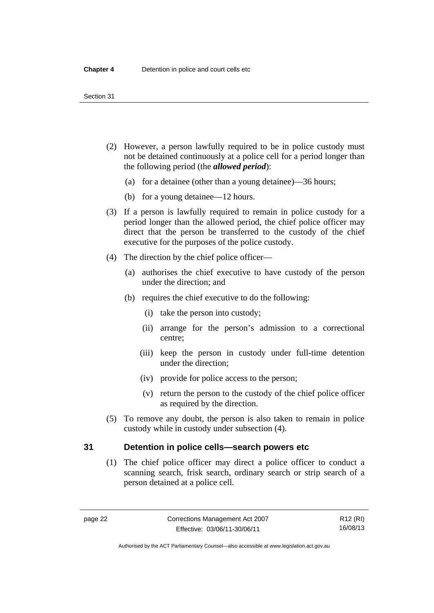#### Section 31

- (2) However, a person lawfully required to be in police custody must not be detained continuously at a police cell for a period longer than the following period (the *allowed period*):
	- (a) for a detainee (other than a young detainee)—36 hours;
	- (b) for a young detainee—12 hours.
- (3) If a person is lawfully required to remain in police custody for a period longer than the allowed period, the chief police officer may direct that the person be transferred to the custody of the chief executive for the purposes of the police custody.
- (4) The direction by the chief police officer—
	- (a) authorises the chief executive to have custody of the person under the direction; and
	- (b) requires the chief executive to do the following:
		- (i) take the person into custody;
		- (ii) arrange for the person's admission to a correctional centre;
		- (iii) keep the person in custody under full-time detention under the direction;
		- (iv) provide for police access to the person;
		- (v) return the person to the custody of the chief police officer as required by the direction.
- (5) To remove any doubt, the person is also taken to remain in police custody while in custody under subsection (4).

#### <span id="page-35-0"></span>**31 Detention in police cells—search powers etc**

 (1) The chief police officer may direct a police officer to conduct a scanning search, frisk search, ordinary search or strip search of a person detained at a police cell.

Authorised by the ACT Parliamentary Counsel—also accessible at www.legislation.act.gov.au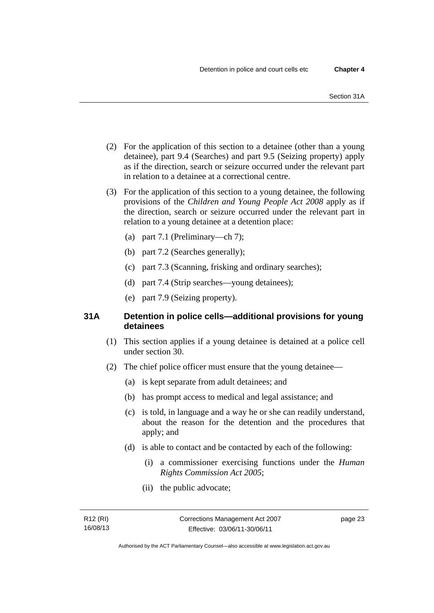- (2) For the application of this section to a detainee (other than a young detainee), part 9.4 (Searches) and part 9.5 (Seizing property) apply as if the direction, search or seizure occurred under the relevant part in relation to a detainee at a correctional centre.
- (3) For the application of this section to a young detainee, the following provisions of the *Children and Young People Act 2008* apply as if the direction, search or seizure occurred under the relevant part in relation to a young detainee at a detention place:
	- (a) part 7.1 (Preliminary—ch 7);
	- (b) part 7.2 (Searches generally);
	- (c) part 7.3 (Scanning, frisking and ordinary searches);
	- (d) part 7.4 (Strip searches—young detainees);
	- (e) part 7.9 (Seizing property).

# **31A Detention in police cells—additional provisions for young detainees**

- (1) This section applies if a young detainee is detained at a police cell under section 30.
- (2) The chief police officer must ensure that the young detainee—
	- (a) is kept separate from adult detainees; and
	- (b) has prompt access to medical and legal assistance; and
	- (c) is told, in language and a way he or she can readily understand, about the reason for the detention and the procedures that apply; and
	- (d) is able to contact and be contacted by each of the following:
		- (i) a commissioner exercising functions under the *Human Rights Commission Act 2005*;
		- (ii) the public advocate;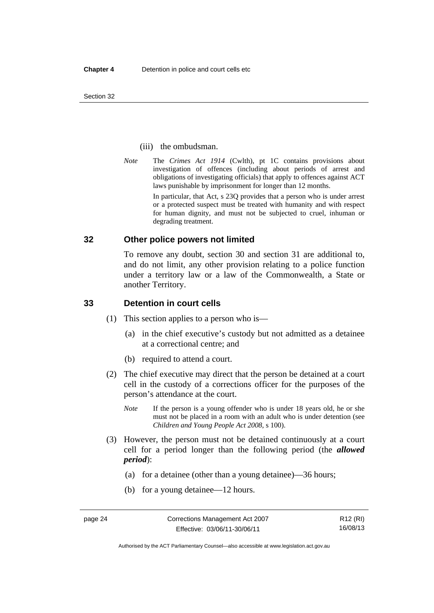#### (iii) the ombudsman.

*Note* The *Crimes Act 1914* (Cwlth), pt 1C contains provisions about investigation of offences (including about periods of arrest and obligations of investigating officials) that apply to offences against ACT laws punishable by imprisonment for longer than 12 months.

In particular, that Act, s 23Q provides that a person who is under arrest or a protected suspect must be treated with humanity and with respect for human dignity, and must not be subjected to cruel, inhuman or degrading treatment.

#### **32 Other police powers not limited**

To remove any doubt, section 30 and section 31 are additional to, and do not limit, any other provision relating to a police function under a territory law or a law of the Commonwealth, a State or another Territory.

#### **33 Detention in court cells**

- (1) This section applies to a person who is—
	- (a) in the chief executive's custody but not admitted as a detainee at a correctional centre; and
	- (b) required to attend a court.
- (2) The chief executive may direct that the person be detained at a court cell in the custody of a corrections officer for the purposes of the person's attendance at the court.
	- *Note* If the person is a young offender who is under 18 years old, he or she must not be placed in a room with an adult who is under detention (see *Children and Young People Act 2008*, s 100).
- (3) However, the person must not be detained continuously at a court cell for a period longer than the following period (the *allowed period*):
	- (a) for a detainee (other than a young detainee)—36 hours;
	- (b) for a young detainee—12 hours.

Authorised by the ACT Parliamentary Counsel—also accessible at www.legislation.act.gov.au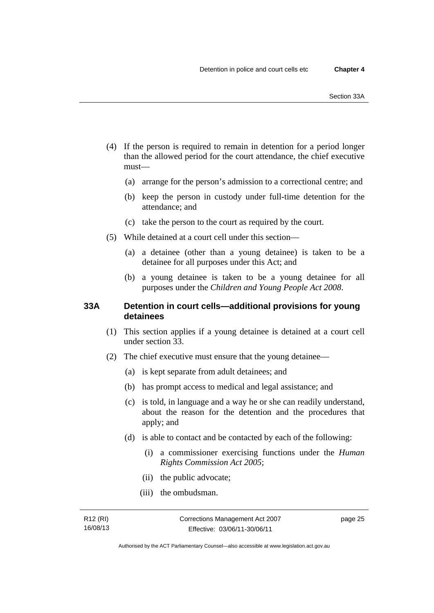- (4) If the person is required to remain in detention for a period longer than the allowed period for the court attendance, the chief executive must—
	- (a) arrange for the person's admission to a correctional centre; and
	- (b) keep the person in custody under full-time detention for the attendance; and
	- (c) take the person to the court as required by the court.
- (5) While detained at a court cell under this section—
	- (a) a detainee (other than a young detainee) is taken to be a detainee for all purposes under this Act; and
	- (b) a young detainee is taken to be a young detainee for all purposes under the *Children and Young People Act 2008*.

#### **33A Detention in court cells—additional provisions for young detainees**

- (1) This section applies if a young detainee is detained at a court cell under section 33.
- (2) The chief executive must ensure that the young detainee—
	- (a) is kept separate from adult detainees; and
	- (b) has prompt access to medical and legal assistance; and
	- (c) is told, in language and a way he or she can readily understand, about the reason for the detention and the procedures that apply; and
	- (d) is able to contact and be contacted by each of the following:
		- (i) a commissioner exercising functions under the *Human Rights Commission Act 2005*;
		- (ii) the public advocate;
		- (iii) the ombudsman.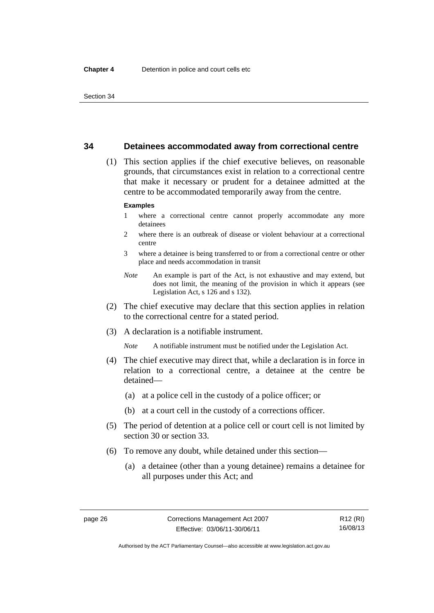#### **34 Detainees accommodated away from correctional centre**

 (1) This section applies if the chief executive believes, on reasonable grounds, that circumstances exist in relation to a correctional centre that make it necessary or prudent for a detainee admitted at the centre to be accommodated temporarily away from the centre.

#### **Examples**

- 1 where a correctional centre cannot properly accommodate any more detainees
- 2 where there is an outbreak of disease or violent behaviour at a correctional centre
- 3 where a detainee is being transferred to or from a correctional centre or other place and needs accommodation in transit
- *Note* An example is part of the Act, is not exhaustive and may extend, but does not limit, the meaning of the provision in which it appears (see Legislation Act, s 126 and s 132).
- (2) The chief executive may declare that this section applies in relation to the correctional centre for a stated period.
- (3) A declaration is a notifiable instrument.

*Note* A notifiable instrument must be notified under the Legislation Act.

- (4) The chief executive may direct that, while a declaration is in force in relation to a correctional centre, a detainee at the centre be detained—
	- (a) at a police cell in the custody of a police officer; or
	- (b) at a court cell in the custody of a corrections officer.
- (5) The period of detention at a police cell or court cell is not limited by section 30 or section 33.
- (6) To remove any doubt, while detained under this section—
	- (a) a detainee (other than a young detainee) remains a detainee for all purposes under this Act; and

R12 (RI) 16/08/13

Authorised by the ACT Parliamentary Counsel—also accessible at www.legislation.act.gov.au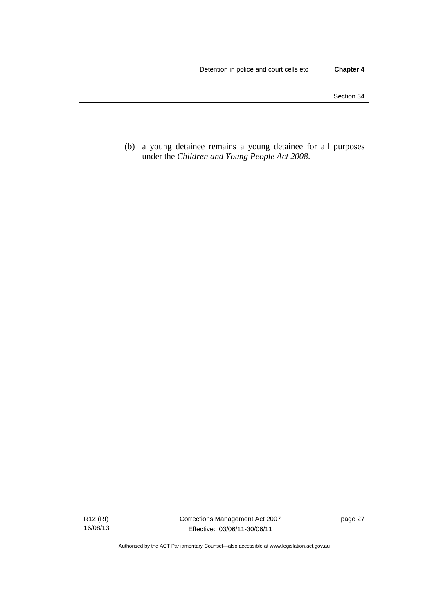(b) a young detainee remains a young detainee for all purposes under the *Children and Young People Act 2008*.

R12 (RI) 16/08/13 Corrections Management Act 2007 Effective: 03/06/11-30/06/11

page 27

Authorised by the ACT Parliamentary Counsel—also accessible at www.legislation.act.gov.au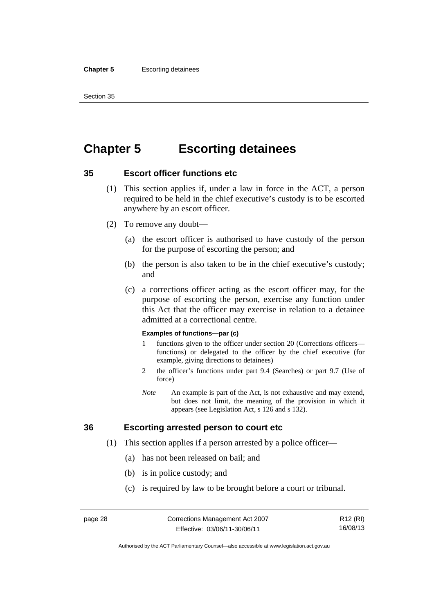#### **Chapter 5** Escorting detainees

Section 35

# **Chapter 5 Escorting detainees**

# **35 Escort officer functions etc**

- (1) This section applies if, under a law in force in the ACT, a person required to be held in the chief executive's custody is to be escorted anywhere by an escort officer.
- (2) To remove any doubt—
	- (a) the escort officer is authorised to have custody of the person for the purpose of escorting the person; and
	- (b) the person is also taken to be in the chief executive's custody; and
	- (c) a corrections officer acting as the escort officer may, for the purpose of escorting the person, exercise any function under this Act that the officer may exercise in relation to a detainee admitted at a correctional centre.

#### **Examples of functions—par (c)**

- 1 functions given to the officer under section 20 (Corrections officers functions) or delegated to the officer by the chief executive (for example, giving directions to detainees)
- 2 the officer's functions under part 9.4 (Searches) or part 9.7 (Use of force)
- *Note* An example is part of the Act, is not exhaustive and may extend, but does not limit, the meaning of the provision in which it appears (see Legislation Act, s 126 and s 132).

# **36 Escorting arrested person to court etc**

- (1) This section applies if a person arrested by a police officer—
	- (a) has not been released on bail; and
	- (b) is in police custody; and
	- (c) is required by law to be brought before a court or tribunal.

R12 (RI) 16/08/13

Authorised by the ACT Parliamentary Counsel—also accessible at www.legislation.act.gov.au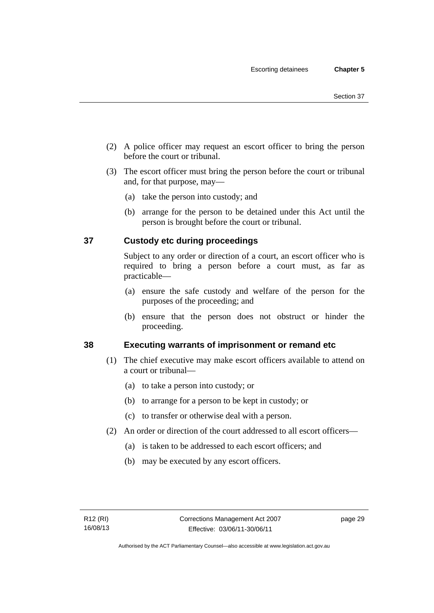- (2) A police officer may request an escort officer to bring the person before the court or tribunal.
- (3) The escort officer must bring the person before the court or tribunal and, for that purpose, may—
	- (a) take the person into custody; and
	- (b) arrange for the person to be detained under this Act until the person is brought before the court or tribunal.

# **37 Custody etc during proceedings**

Subject to any order or direction of a court, an escort officer who is required to bring a person before a court must, as far as practicable—

- (a) ensure the safe custody and welfare of the person for the purposes of the proceeding; and
- (b) ensure that the person does not obstruct or hinder the proceeding.

# **38 Executing warrants of imprisonment or remand etc**

- (1) The chief executive may make escort officers available to attend on a court or tribunal—
	- (a) to take a person into custody; or
	- (b) to arrange for a person to be kept in custody; or
	- (c) to transfer or otherwise deal with a person.
- (2) An order or direction of the court addressed to all escort officers—
	- (a) is taken to be addressed to each escort officers; and
	- (b) may be executed by any escort officers.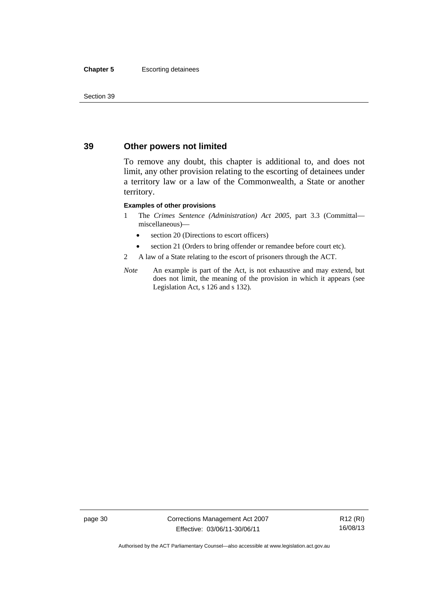#### **Chapter 5** Escorting detainees

Section 39

# **39 Other powers not limited**

To remove any doubt, this chapter is additional to, and does not limit, any other provision relating to the escorting of detainees under a territory law or a law of the Commonwealth, a State or another territory.

#### **Examples of other provisions**

- 1 The *Crimes Sentence (Administration) Act 2005*, part 3.3 (Committal miscellaneous)—
	- section 20 (Directions to escort officers)
	- section 21 (Orders to bring offender or remandee before court etc).
- 2 A law of a State relating to the escort of prisoners through the ACT.
- *Note* An example is part of the Act, is not exhaustive and may extend, but does not limit, the meaning of the provision in which it appears (see Legislation Act, s 126 and s 132).

page 30 Corrections Management Act 2007 Effective: 03/06/11-30/06/11

R12 (RI) 16/08/13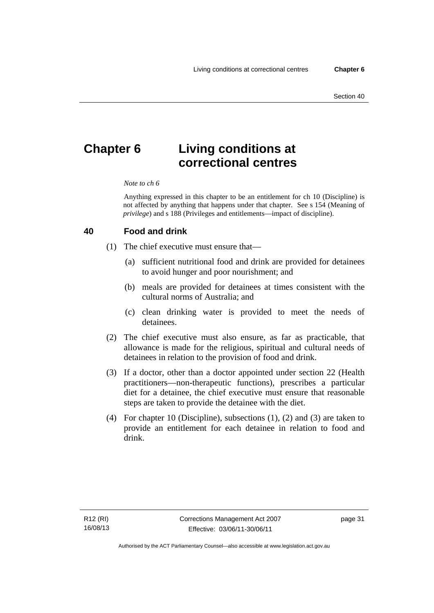# **Chapter 6 Living conditions at correctional centres**

#### *Note to ch 6*

Anything expressed in this chapter to be an entitlement for ch 10 (Discipline) is not affected by anything that happens under that chapter. See s 154 (Meaning of *privilege*) and s 188 (Privileges and entitlements—impact of discipline).

#### **40 Food and drink**

- (1) The chief executive must ensure that—
	- (a) sufficient nutritional food and drink are provided for detainees to avoid hunger and poor nourishment; and
	- (b) meals are provided for detainees at times consistent with the cultural norms of Australia; and
	- (c) clean drinking water is provided to meet the needs of detainees.
- (2) The chief executive must also ensure, as far as practicable, that allowance is made for the religious, spiritual and cultural needs of detainees in relation to the provision of food and drink.
- (3) If a doctor, other than a doctor appointed under section 22 (Health practitioners—non-therapeutic functions), prescribes a particular diet for a detainee, the chief executive must ensure that reasonable steps are taken to provide the detainee with the diet.
- (4) For chapter 10 (Discipline), subsections (1), (2) and (3) are taken to provide an entitlement for each detainee in relation to food and drink.

page 31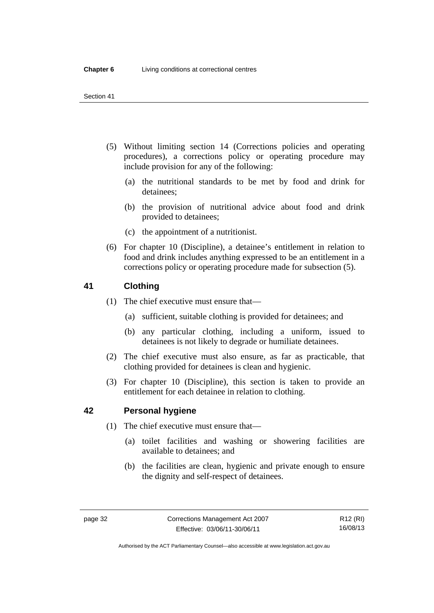- (5) Without limiting section 14 (Corrections policies and operating procedures), a corrections policy or operating procedure may include provision for any of the following:
	- (a) the nutritional standards to be met by food and drink for detainees;
	- (b) the provision of nutritional advice about food and drink provided to detainees;
	- (c) the appointment of a nutritionist.
- (6) For chapter 10 (Discipline), a detainee's entitlement in relation to food and drink includes anything expressed to be an entitlement in a corrections policy or operating procedure made for subsection (5).

# **41 Clothing**

- (1) The chief executive must ensure that—
	- (a) sufficient, suitable clothing is provided for detainees; and
	- (b) any particular clothing, including a uniform, issued to detainees is not likely to degrade or humiliate detainees.
- (2) The chief executive must also ensure, as far as practicable, that clothing provided for detainees is clean and hygienic.
- (3) For chapter 10 (Discipline), this section is taken to provide an entitlement for each detainee in relation to clothing.

# **42 Personal hygiene**

- (1) The chief executive must ensure that—
	- (a) toilet facilities and washing or showering facilities are available to detainees; and
	- (b) the facilities are clean, hygienic and private enough to ensure the dignity and self-respect of detainees.

Authorised by the ACT Parliamentary Counsel—also accessible at www.legislation.act.gov.au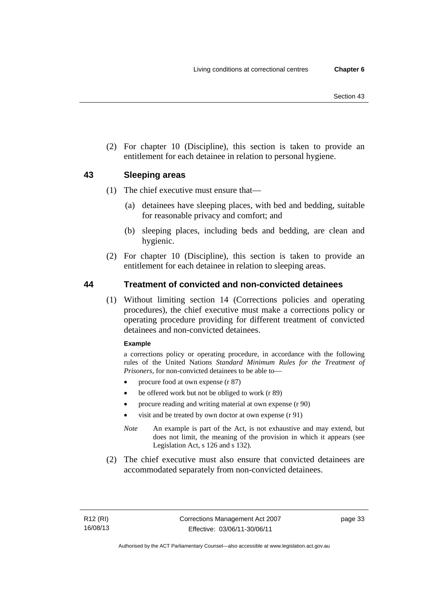(2) For chapter 10 (Discipline), this section is taken to provide an entitlement for each detainee in relation to personal hygiene.

# **43 Sleeping areas**

- (1) The chief executive must ensure that—
	- (a) detainees have sleeping places, with bed and bedding, suitable for reasonable privacy and comfort; and
	- (b) sleeping places, including beds and bedding, are clean and hygienic.
- (2) For chapter 10 (Discipline), this section is taken to provide an entitlement for each detainee in relation to sleeping areas.

# **44 Treatment of convicted and non-convicted detainees**

 (1) Without limiting section 14 (Corrections policies and operating procedures), the chief executive must make a corrections policy or operating procedure providing for different treatment of convicted detainees and non-convicted detainees.

#### **Example**

a corrections policy or operating procedure, in accordance with the following rules of the United Nations *Standard Minimum Rules for the Treatment of Prisoners*, for non-convicted detainees to be able to—

- procure food at own expense (r 87)
- be offered work but not be obliged to work (r 89)
- procure reading and writing material at own expense (r 90)
- visit and be treated by own doctor at own expense (r 91)
- *Note* An example is part of the Act, is not exhaustive and may extend, but does not limit, the meaning of the provision in which it appears (see Legislation Act, s 126 and s 132).
- (2) The chief executive must also ensure that convicted detainees are accommodated separately from non-convicted detainees.

page 33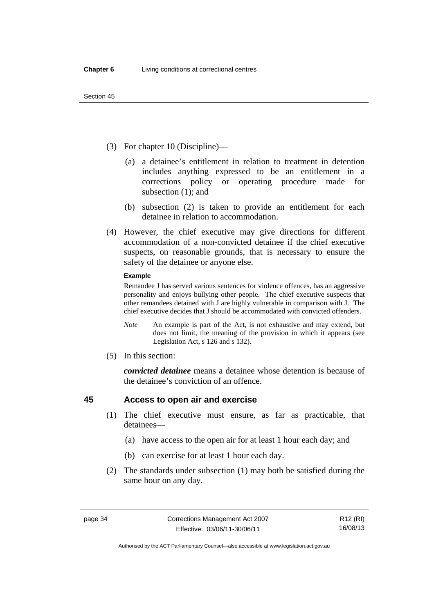- (3) For chapter 10 (Discipline)—
	- (a) a detainee's entitlement in relation to treatment in detention includes anything expressed to be an entitlement in a corrections policy or operating procedure made for subsection (1); and
	- (b) subsection (2) is taken to provide an entitlement for each detainee in relation to accommodation.
- (4) However, the chief executive may give directions for different accommodation of a non-convicted detainee if the chief executive suspects, on reasonable grounds, that is necessary to ensure the safety of the detainee or anyone else.

#### **Example**

Remandee J has served various sentences for violence offences, has an aggressive personality and enjoys bullying other people. The chief executive suspects that other remandees detained with J are highly vulnerable in comparison with J. The chief executive decides that J should be accommodated with convicted offenders.

- *Note* An example is part of the Act, is not exhaustive and may extend, but does not limit, the meaning of the provision in which it appears (see Legislation Act, s 126 and s 132).
- (5) In this section:

*convicted detainee* means a detainee whose detention is because of the detainee's conviction of an offence.

# **45 Access to open air and exercise**

- (1) The chief executive must ensure, as far as practicable, that detainees—
	- (a) have access to the open air for at least 1 hour each day; and
	- (b) can exercise for at least 1 hour each day.
- (2) The standards under subsection (1) may both be satisfied during the same hour on any day.

Authorised by the ACT Parliamentary Counsel—also accessible at www.legislation.act.gov.au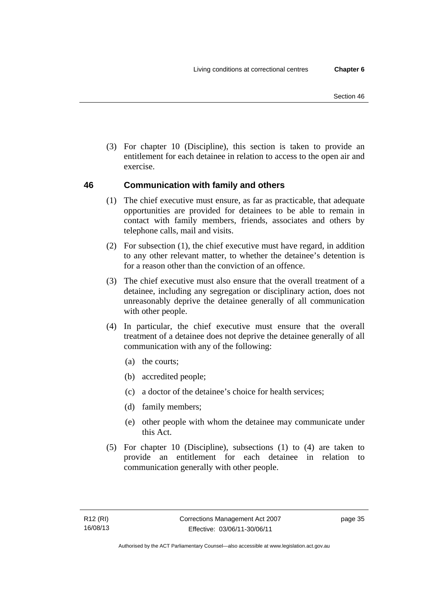(3) For chapter 10 (Discipline), this section is taken to provide an entitlement for each detainee in relation to access to the open air and exercise.

# **46 Communication with family and others**

- (1) The chief executive must ensure, as far as practicable, that adequate opportunities are provided for detainees to be able to remain in contact with family members, friends, associates and others by telephone calls, mail and visits.
- (2) For subsection (1), the chief executive must have regard, in addition to any other relevant matter, to whether the detainee's detention is for a reason other than the conviction of an offence.
- (3) The chief executive must also ensure that the overall treatment of a detainee, including any segregation or disciplinary action, does not unreasonably deprive the detainee generally of all communication with other people.
- (4) In particular, the chief executive must ensure that the overall treatment of a detainee does not deprive the detainee generally of all communication with any of the following:
	- (a) the courts;
	- (b) accredited people;
	- (c) a doctor of the detainee's choice for health services;
	- (d) family members;
	- (e) other people with whom the detainee may communicate under this Act.
- (5) For chapter 10 (Discipline), subsections (1) to (4) are taken to provide an entitlement for each detainee in relation to communication generally with other people.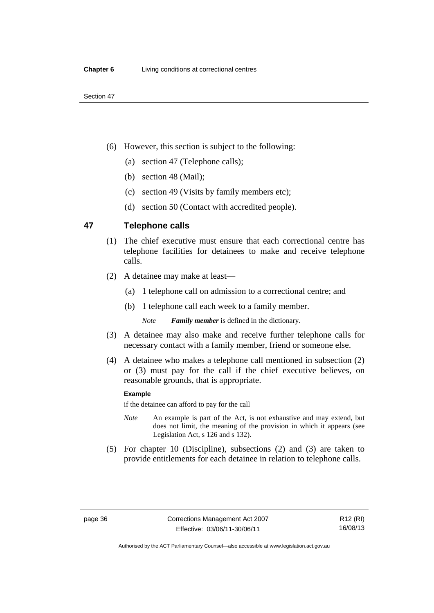- (6) However, this section is subject to the following:
	- (a) section 47 (Telephone calls);
	- (b) section 48 (Mail);
	- (c) section 49 (Visits by family members etc);
	- (d) section 50 (Contact with accredited people).

#### **47 Telephone calls**

- (1) The chief executive must ensure that each correctional centre has telephone facilities for detainees to make and receive telephone calls.
- (2) A detainee may make at least—
	- (a) 1 telephone call on admission to a correctional centre; and
	- (b) 1 telephone call each week to a family member.

*Note Family member* is defined in the dictionary.

- (3) A detainee may also make and receive further telephone calls for necessary contact with a family member, friend or someone else.
- (4) A detainee who makes a telephone call mentioned in subsection (2) or (3) must pay for the call if the chief executive believes, on reasonable grounds, that is appropriate.

#### **Example**

if the detainee can afford to pay for the call

- *Note* An example is part of the Act, is not exhaustive and may extend, but does not limit, the meaning of the provision in which it appears (see Legislation Act, s 126 and s 132).
- (5) For chapter 10 (Discipline), subsections (2) and (3) are taken to provide entitlements for each detainee in relation to telephone calls.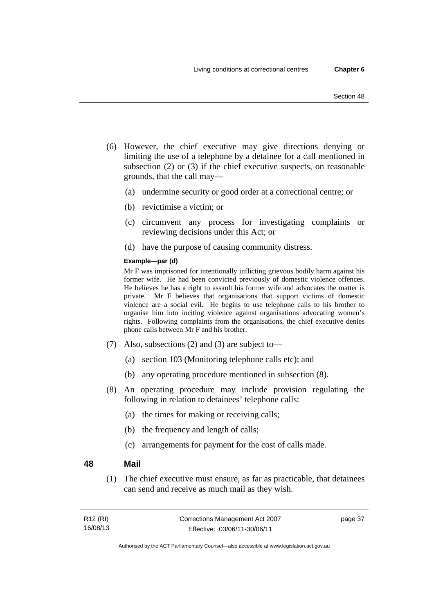- (6) However, the chief executive may give directions denying or limiting the use of a telephone by a detainee for a call mentioned in subsection (2) or (3) if the chief executive suspects, on reasonable grounds, that the call may—
	- (a) undermine security or good order at a correctional centre; or
	- (b) revictimise a victim; or
	- (c) circumvent any process for investigating complaints or reviewing decisions under this Act; or
	- (d) have the purpose of causing community distress.

#### **Example—par (d)**

Mr F was imprisoned for intentionally inflicting grievous bodily harm against his former wife. He had been convicted previously of domestic violence offences. He believes he has a right to assault his former wife and advocates the matter is private. Mr F believes that organisations that support victims of domestic violence are a social evil. He begins to use telephone calls to his brother to organise him into inciting violence against organisations advocating women's rights. Following complaints from the organisations, the chief executive denies phone calls between Mr F and his brother.

- (7) Also, subsections (2) and (3) are subject to—
	- (a) section 103 (Monitoring telephone calls etc); and
	- (b) any operating procedure mentioned in subsection (8).
- (8) An operating procedure may include provision regulating the following in relation to detainees' telephone calls:
	- (a) the times for making or receiving calls;
	- (b) the frequency and length of calls;
	- (c) arrangements for payment for the cost of calls made.

#### **48 Mail**

 (1) The chief executive must ensure, as far as practicable, that detainees can send and receive as much mail as they wish.

| R12 (RI) | Corrections Management Act 2007 | page 37 |
|----------|---------------------------------|---------|
| 16/08/13 | Effective: 03/06/11-30/06/11    |         |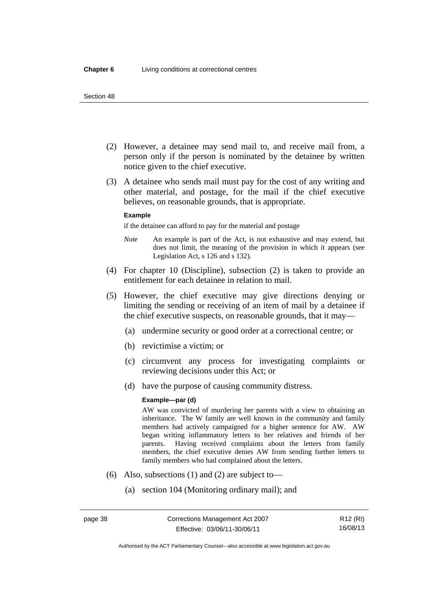- (2) However, a detainee may send mail to, and receive mail from, a person only if the person is nominated by the detainee by written notice given to the chief executive.
- (3) A detainee who sends mail must pay for the cost of any writing and other material, and postage, for the mail if the chief executive believes, on reasonable grounds, that is appropriate.

#### **Example**

if the detainee can afford to pay for the material and postage

- *Note* An example is part of the Act, is not exhaustive and may extend, but does not limit, the meaning of the provision in which it appears (see Legislation Act, s 126 and s 132).
- (4) For chapter 10 (Discipline), subsection (2) is taken to provide an entitlement for each detainee in relation to mail.
- (5) However, the chief executive may give directions denying or limiting the sending or receiving of an item of mail by a detainee if the chief executive suspects, on reasonable grounds, that it may—
	- (a) undermine security or good order at a correctional centre; or
	- (b) revictimise a victim; or
	- (c) circumvent any process for investigating complaints or reviewing decisions under this Act; or
	- (d) have the purpose of causing community distress.

#### **Example—par (d)**

AW was convicted of murdering her parents with a view to obtaining an inheritance. The W family are well known in the community and family members had actively campaigned for a higher sentence for AW. AW began writing inflammatory letters to her relatives and friends of her parents. Having received complaints about the letters from family members, the chief executive denies AW from sending further letters to family members who had complained about the letters.

- (6) Also, subsections (1) and (2) are subject to—
	- (a) section 104 (Monitoring ordinary mail); and

Authorised by the ACT Parliamentary Counsel—also accessible at www.legislation.act.gov.au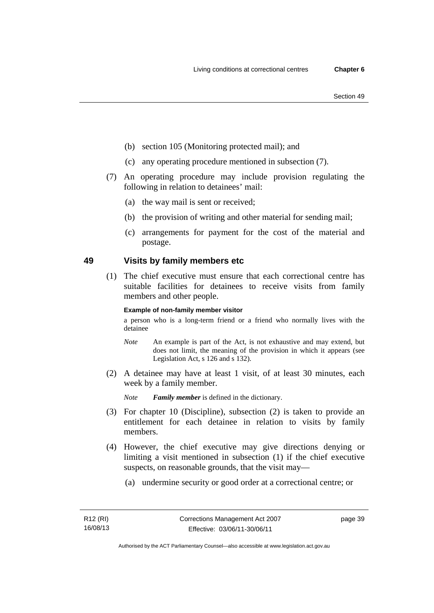- (b) section 105 (Monitoring protected mail); and
- (c) any operating procedure mentioned in subsection (7).
- (7) An operating procedure may include provision regulating the following in relation to detainees' mail:
	- (a) the way mail is sent or received;
	- (b) the provision of writing and other material for sending mail;
	- (c) arrangements for payment for the cost of the material and postage.

# **49 Visits by family members etc**

 (1) The chief executive must ensure that each correctional centre has suitable facilities for detainees to receive visits from family members and other people.

#### **Example of non-family member visitor**

a person who is a long-term friend or a friend who normally lives with the detainee

- *Note* An example is part of the Act, is not exhaustive and may extend, but does not limit, the meaning of the provision in which it appears (see Legislation Act, s 126 and s 132).
- (2) A detainee may have at least 1 visit, of at least 30 minutes, each week by a family member.

*Note Family member* is defined in the dictionary.

- (3) For chapter 10 (Discipline), subsection (2) is taken to provide an entitlement for each detainee in relation to visits by family members.
- (4) However, the chief executive may give directions denying or limiting a visit mentioned in subsection (1) if the chief executive suspects, on reasonable grounds, that the visit may—
	- (a) undermine security or good order at a correctional centre; or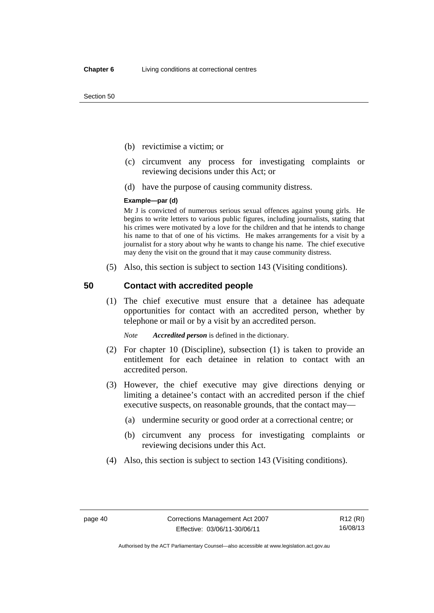- (b) revictimise a victim; or
- (c) circumvent any process for investigating complaints or reviewing decisions under this Act; or
- (d) have the purpose of causing community distress.

#### **Example—par (d)**

Mr J is convicted of numerous serious sexual offences against young girls. He begins to write letters to various public figures, including journalists, stating that his crimes were motivated by a love for the children and that he intends to change his name to that of one of his victims. He makes arrangements for a visit by a journalist for a story about why he wants to change his name. The chief executive may deny the visit on the ground that it may cause community distress.

(5) Also, this section is subject to section 143 (Visiting conditions).

#### **50 Contact with accredited people**

 (1) The chief executive must ensure that a detainee has adequate opportunities for contact with an accredited person, whether by telephone or mail or by a visit by an accredited person.

*Note Accredited person* is defined in the dictionary.

- (2) For chapter 10 (Discipline), subsection (1) is taken to provide an entitlement for each detainee in relation to contact with an accredited person.
- (3) However, the chief executive may give directions denying or limiting a detainee's contact with an accredited person if the chief executive suspects, on reasonable grounds, that the contact may—
	- (a) undermine security or good order at a correctional centre; or
	- (b) circumvent any process for investigating complaints or reviewing decisions under this Act.
- (4) Also, this section is subject to section 143 (Visiting conditions).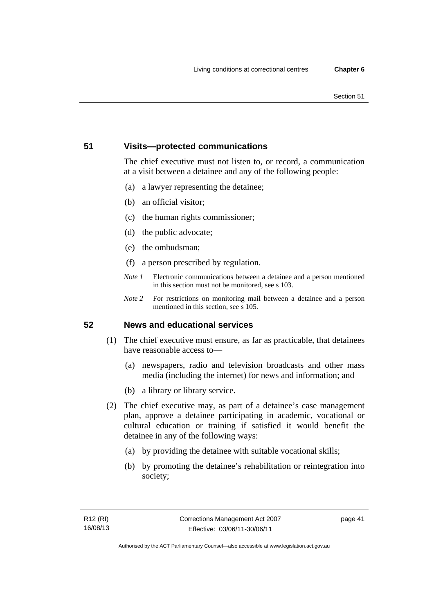# **51 Visits—protected communications**

The chief executive must not listen to, or record, a communication at a visit between a detainee and any of the following people:

- (a) a lawyer representing the detainee;
- (b) an official visitor;
- (c) the human rights commissioner;
- (d) the public advocate;
- (e) the ombudsman;
- (f) a person prescribed by regulation.
- *Note 1* Electronic communications between a detainee and a person mentioned in this section must not be monitored, see s 103.
- *Note 2* For restrictions on monitoring mail between a detainee and a person mentioned in this section, see s 105.

# **52 News and educational services**

- (1) The chief executive must ensure, as far as practicable, that detainees have reasonable access to—
	- (a) newspapers, radio and television broadcasts and other mass media (including the internet) for news and information; and
	- (b) a library or library service.
- (2) The chief executive may, as part of a detainee's case management plan, approve a detainee participating in academic, vocational or cultural education or training if satisfied it would benefit the detainee in any of the following ways:
	- (a) by providing the detainee with suitable vocational skills;
	- (b) by promoting the detainee's rehabilitation or reintegration into society;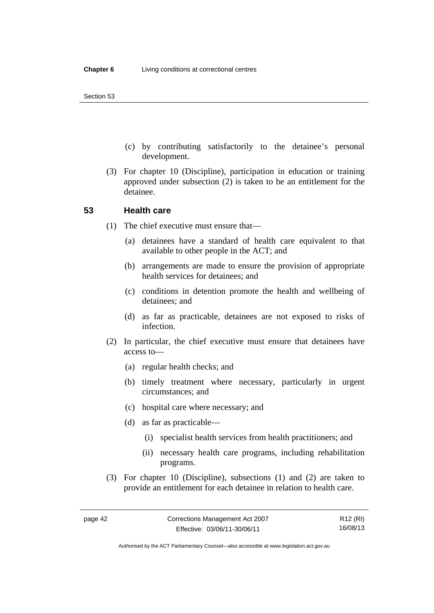- (c) by contributing satisfactorily to the detainee's personal development.
- (3) For chapter 10 (Discipline), participation in education or training approved under subsection (2) is taken to be an entitlement for the detainee.

#### **53 Health care**

- (1) The chief executive must ensure that—
	- (a) detainees have a standard of health care equivalent to that available to other people in the ACT; and
	- (b) arrangements are made to ensure the provision of appropriate health services for detainees; and
	- (c) conditions in detention promote the health and wellbeing of detainees; and
	- (d) as far as practicable, detainees are not exposed to risks of infection.
- (2) In particular, the chief executive must ensure that detainees have access to—
	- (a) regular health checks; and
	- (b) timely treatment where necessary, particularly in urgent circumstances; and
	- (c) hospital care where necessary; and
	- (d) as far as practicable—
		- (i) specialist health services from health practitioners; and
		- (ii) necessary health care programs, including rehabilitation programs.
- (3) For chapter 10 (Discipline), subsections (1) and (2) are taken to provide an entitlement for each detainee in relation to health care.

R12 (RI) 16/08/13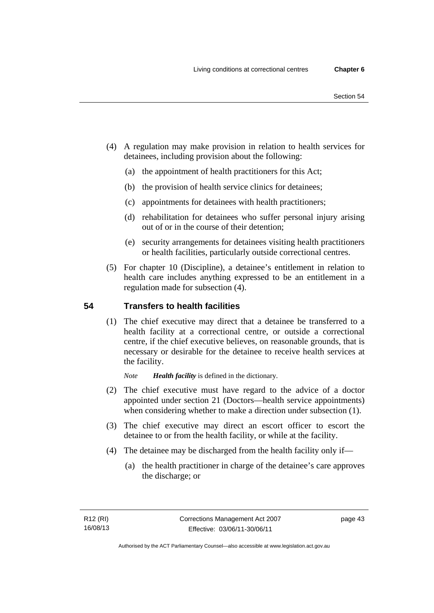- (4) A regulation may make provision in relation to health services for detainees, including provision about the following:
	- (a) the appointment of health practitioners for this Act;
	- (b) the provision of health service clinics for detainees;
	- (c) appointments for detainees with health practitioners;
	- (d) rehabilitation for detainees who suffer personal injury arising out of or in the course of their detention;
	- (e) security arrangements for detainees visiting health practitioners or health facilities, particularly outside correctional centres.
- (5) For chapter 10 (Discipline), a detainee's entitlement in relation to health care includes anything expressed to be an entitlement in a regulation made for subsection (4).

# **54 Transfers to health facilities**

 (1) The chief executive may direct that a detainee be transferred to a health facility at a correctional centre, or outside a correctional centre, if the chief executive believes, on reasonable grounds, that is necessary or desirable for the detainee to receive health services at the facility.

*Note Health facility* is defined in the dictionary.

- (2) The chief executive must have regard to the advice of a doctor appointed under section 21 (Doctors—health service appointments) when considering whether to make a direction under subsection  $(1)$ .
- (3) The chief executive may direct an escort officer to escort the detainee to or from the health facility, or while at the facility.
- (4) The detainee may be discharged from the health facility only if—
	- (a) the health practitioner in charge of the detainee's care approves the discharge; or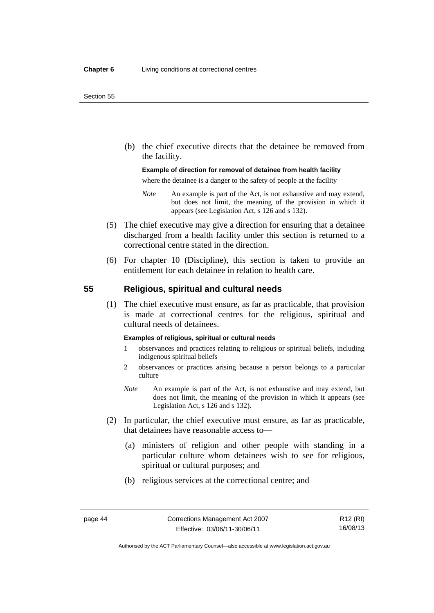(b) the chief executive directs that the detainee be removed from the facility.

#### **Example of direction for removal of detainee from health facility**

where the detainee is a danger to the safety of people at the facility

- *Note* An example is part of the Act, is not exhaustive and may extend, but does not limit, the meaning of the provision in which it appears (see Legislation Act, s 126 and s 132).
- (5) The chief executive may give a direction for ensuring that a detainee discharged from a health facility under this section is returned to a correctional centre stated in the direction.
- (6) For chapter 10 (Discipline), this section is taken to provide an entitlement for each detainee in relation to health care.

# **55 Religious, spiritual and cultural needs**

 (1) The chief executive must ensure, as far as practicable, that provision is made at correctional centres for the religious, spiritual and cultural needs of detainees.

#### **Examples of religious, spiritual or cultural needs**

- 1 observances and practices relating to religious or spiritual beliefs, including indigenous spiritual beliefs
- 2 observances or practices arising because a person belongs to a particular culture
- *Note* An example is part of the Act, is not exhaustive and may extend, but does not limit, the meaning of the provision in which it appears (see Legislation Act, s 126 and s 132).
- (2) In particular, the chief executive must ensure, as far as practicable, that detainees have reasonable access to—
	- (a) ministers of religion and other people with standing in a particular culture whom detainees wish to see for religious, spiritual or cultural purposes; and
	- (b) religious services at the correctional centre; and

Authorised by the ACT Parliamentary Counsel—also accessible at www.legislation.act.gov.au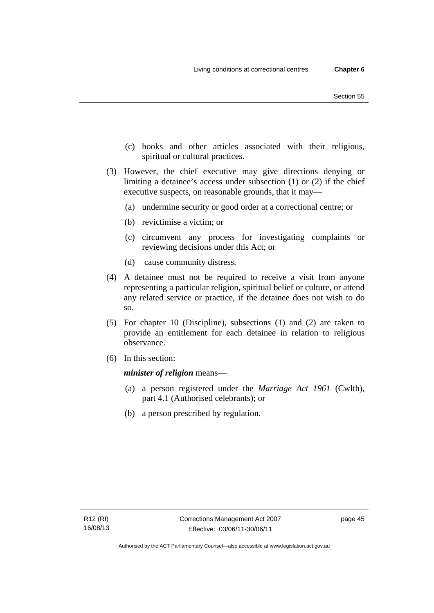- (c) books and other articles associated with their religious, spiritual or cultural practices.
- (3) However, the chief executive may give directions denying or limiting a detainee's access under subsection (1) or (2) if the chief executive suspects, on reasonable grounds, that it may—
	- (a) undermine security or good order at a correctional centre; or
	- (b) revictimise a victim; or
	- (c) circumvent any process for investigating complaints or reviewing decisions under this Act; or
	- (d) cause community distress.
- (4) A detainee must not be required to receive a visit from anyone representing a particular religion, spiritual belief or culture, or attend any related service or practice, if the detainee does not wish to do so.
- (5) For chapter 10 (Discipline), subsections (1) and (2) are taken to provide an entitlement for each detainee in relation to religious observance.
- (6) In this section:

*minister of religion* means—

- (a) a person registered under the *Marriage Act 1961* (Cwlth), part 4.1 (Authorised celebrants); or
- (b) a person prescribed by regulation.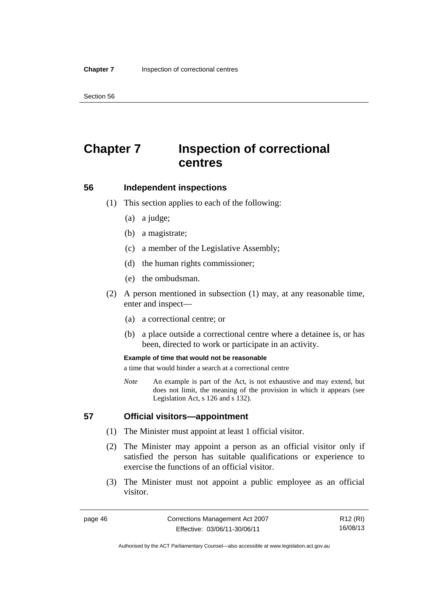# **Chapter 7 Inspection of correctional centres**

#### **56 Independent inspections**

- (1) This section applies to each of the following:
	- (a) a judge;
	- (b) a magistrate;
	- (c) a member of the Legislative Assembly;
	- (d) the human rights commissioner;
	- (e) the ombudsman.
- (2) A person mentioned in subsection (1) may, at any reasonable time, enter and inspect—
	- (a) a correctional centre; or
	- (b) a place outside a correctional centre where a detainee is, or has been, directed to work or participate in an activity.

#### **Example of time that would not be reasonable**

a time that would hinder a search at a correctional centre

*Note* An example is part of the Act, is not exhaustive and may extend, but does not limit, the meaning of the provision in which it appears (see Legislation Act, s 126 and s 132).

#### **57 Official visitors—appointment**

- (1) The Minister must appoint at least 1 official visitor.
- (2) The Minister may appoint a person as an official visitor only if satisfied the person has suitable qualifications or experience to exercise the functions of an official visitor.
- (3) The Minister must not appoint a public employee as an official visitor.

R12 (RI) 16/08/13

Authorised by the ACT Parliamentary Counsel—also accessible at www.legislation.act.gov.au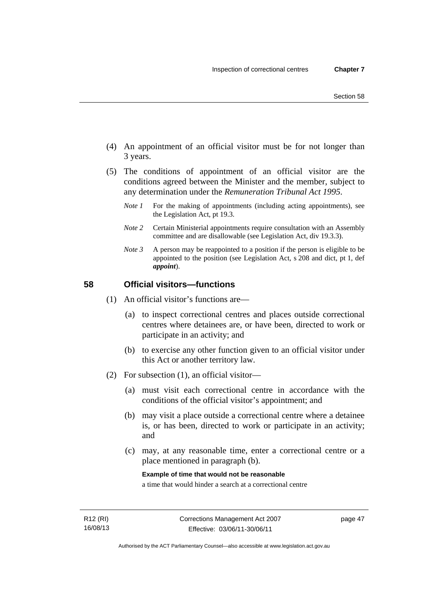- (4) An appointment of an official visitor must be for not longer than 3 years.
- (5) The conditions of appointment of an official visitor are the conditions agreed between the Minister and the member, subject to any determination under the *Remuneration Tribunal Act 1995*.
	- *Note 1* For the making of appointments (including acting appointments), see the Legislation Act, pt 19.3.
	- *Note 2* Certain Ministerial appointments require consultation with an Assembly committee and are disallowable (see Legislation Act, div 19.3.3).
	- *Note 3* A person may be reappointed to a position if the person is eligible to be appointed to the position (see Legislation Act, s 208 and dict, pt 1, def *appoint*).

# **58 Official visitors—functions**

- (1) An official visitor's functions are—
	- (a) to inspect correctional centres and places outside correctional centres where detainees are, or have been, directed to work or participate in an activity; and
	- (b) to exercise any other function given to an official visitor under this Act or another territory law.
- (2) For subsection (1), an official visitor—
	- (a) must visit each correctional centre in accordance with the conditions of the official visitor's appointment; and
	- (b) may visit a place outside a correctional centre where a detainee is, or has been, directed to work or participate in an activity; and
	- (c) may, at any reasonable time, enter a correctional centre or a place mentioned in paragraph (b).

**Example of time that would not be reasonable** 

a time that would hinder a search at a correctional centre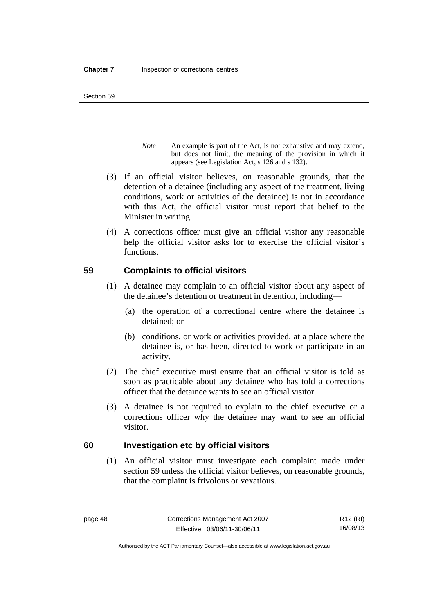- *Note* An example is part of the Act, is not exhaustive and may extend, but does not limit, the meaning of the provision in which it appears (see Legislation Act, s 126 and s 132).
- (3) If an official visitor believes, on reasonable grounds, that the detention of a detainee (including any aspect of the treatment, living conditions, work or activities of the detainee) is not in accordance with this Act, the official visitor must report that belief to the Minister in writing.
- (4) A corrections officer must give an official visitor any reasonable help the official visitor asks for to exercise the official visitor's functions.

# **59 Complaints to official visitors**

- (1) A detainee may complain to an official visitor about any aspect of the detainee's detention or treatment in detention, including—
	- (a) the operation of a correctional centre where the detainee is detained; or
	- (b) conditions, or work or activities provided, at a place where the detainee is, or has been, directed to work or participate in an activity.
- (2) The chief executive must ensure that an official visitor is told as soon as practicable about any detainee who has told a corrections officer that the detainee wants to see an official visitor.
- (3) A detainee is not required to explain to the chief executive or a corrections officer why the detainee may want to see an official visitor.

# **60 Investigation etc by official visitors**

 (1) An official visitor must investigate each complaint made under section 59 unless the official visitor believes, on reasonable grounds, that the complaint is frivolous or vexatious.

R12 (RI) 16/08/13

Authorised by the ACT Parliamentary Counsel—also accessible at www.legislation.act.gov.au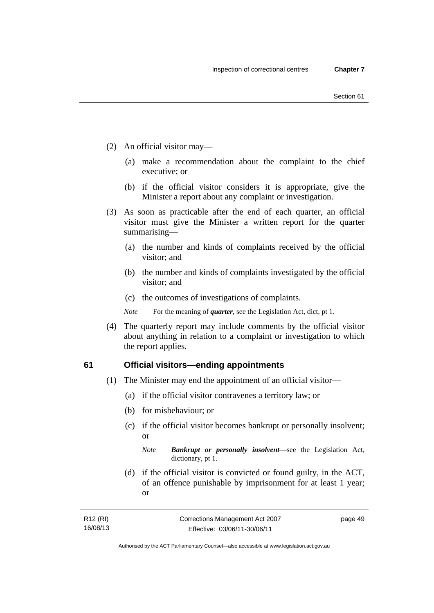- (2) An official visitor may—
	- (a) make a recommendation about the complaint to the chief executive; or
	- (b) if the official visitor considers it is appropriate, give the Minister a report about any complaint or investigation.
- (3) As soon as practicable after the end of each quarter, an official visitor must give the Minister a written report for the quarter summarising—
	- (a) the number and kinds of complaints received by the official visitor; and
	- (b) the number and kinds of complaints investigated by the official visitor; and
	- (c) the outcomes of investigations of complaints.
	- *Note* For the meaning of *quarter*, see the Legislation Act, dict, pt 1.
- (4) The quarterly report may include comments by the official visitor about anything in relation to a complaint or investigation to which the report applies.

#### **61 Official visitors—ending appointments**

- (1) The Minister may end the appointment of an official visitor—
	- (a) if the official visitor contravenes a territory law; or
	- (b) for misbehaviour; or
	- (c) if the official visitor becomes bankrupt or personally insolvent; or

*Note Bankrupt or personally insolvent*—see the Legislation Act, dictionary, pt 1.

 (d) if the official visitor is convicted or found guilty, in the ACT, of an offence punishable by imprisonment for at least 1 year; or

| R12 (RI) | Corrections Management Act 2007 | page 49 |
|----------|---------------------------------|---------|
| 16/08/13 | Effective: 03/06/11-30/06/11    |         |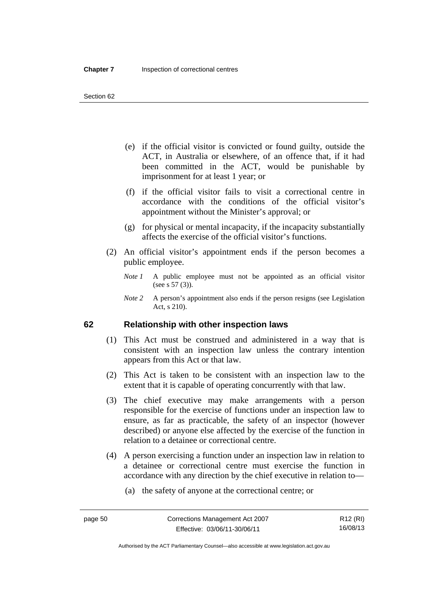- (e) if the official visitor is convicted or found guilty, outside the ACT, in Australia or elsewhere, of an offence that, if it had been committed in the ACT, would be punishable by imprisonment for at least 1 year; or
- (f) if the official visitor fails to visit a correctional centre in accordance with the conditions of the official visitor's appointment without the Minister's approval; or
- (g) for physical or mental incapacity, if the incapacity substantially affects the exercise of the official visitor's functions.
- (2) An official visitor's appointment ends if the person becomes a public employee.
	- *Note 1* A public employee must not be appointed as an official visitor (see s 57 (3)).
	- *Note 2* A person's appointment also ends if the person resigns (see Legislation Act, s 210).

#### **62 Relationship with other inspection laws**

- (1) This Act must be construed and administered in a way that is consistent with an inspection law unless the contrary intention appears from this Act or that law.
- (2) This Act is taken to be consistent with an inspection law to the extent that it is capable of operating concurrently with that law.
- (3) The chief executive may make arrangements with a person responsible for the exercise of functions under an inspection law to ensure, as far as practicable, the safety of an inspector (however described) or anyone else affected by the exercise of the function in relation to a detainee or correctional centre.
- (4) A person exercising a function under an inspection law in relation to a detainee or correctional centre must exercise the function in accordance with any direction by the chief executive in relation to—
	- (a) the safety of anyone at the correctional centre; or

Authorised by the ACT Parliamentary Counsel—also accessible at www.legislation.act.gov.au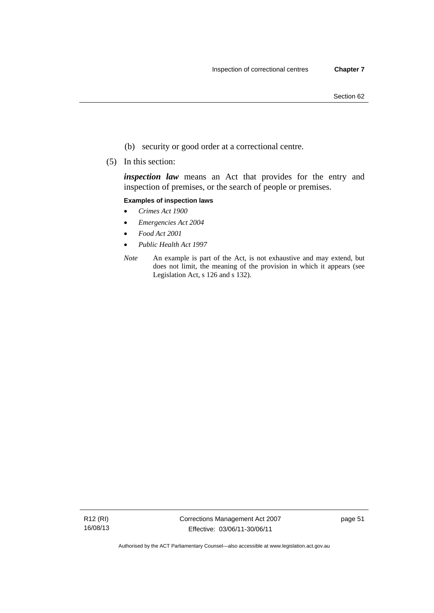- (b) security or good order at a correctional centre.
- (5) In this section:

*inspection law* means an Act that provides for the entry and inspection of premises, or the search of people or premises.

#### **Examples of inspection laws**

- *Crimes Act 1900*
- *Emergencies Act 2004*
- *Food Act 2001*
- *Public Health Act 1997*
- *Note* An example is part of the Act, is not exhaustive and may extend, but does not limit, the meaning of the provision in which it appears (see Legislation Act, s 126 and s 132).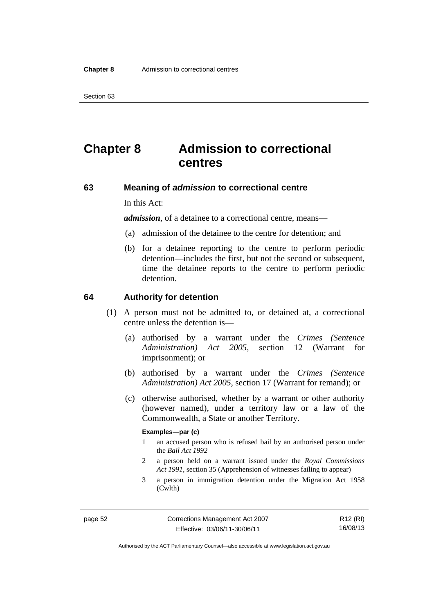# **Chapter 8 Admission to correctional centres**

#### **63 Meaning of** *admission* **to correctional centre**

In this Act:

*admission,* of a detainee to a correctional centre, means—

- (a) admission of the detainee to the centre for detention; and
- (b) for a detainee reporting to the centre to perform periodic detention—includes the first, but not the second or subsequent, time the detainee reports to the centre to perform periodic detention.

#### **64 Authority for detention**

- (1) A person must not be admitted to, or detained at, a correctional centre unless the detention is—
	- (a) authorised by a warrant under the *Crimes (Sentence Administration) Act 2005*, section 12 (Warrant for imprisonment); or
	- (b) authorised by a warrant under the *Crimes (Sentence Administration) Act 2005*, section 17 (Warrant for remand); or
	- (c) otherwise authorised, whether by a warrant or other authority (however named), under a territory law or a law of the Commonwealth, a State or another Territory.

#### **Examples—par (c)**

- 1 an accused person who is refused bail by an authorised person under the *Bail Act 1992*
- 2 a person held on a warrant issued under the *Royal Commissions Act 1991*, section 35 (Apprehension of witnesses failing to appear)
- 3 a person in immigration detention under the Migration Act 1958 (Cwlth)

R12 (RI) 16/08/13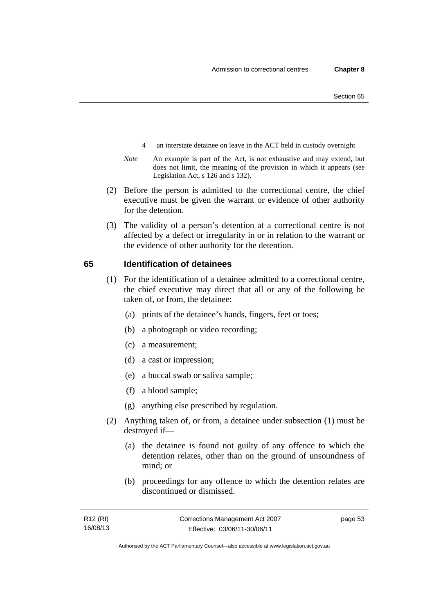- 4 an interstate detainee on leave in the ACT held in custody overnight
- *Note* An example is part of the Act, is not exhaustive and may extend, but does not limit, the meaning of the provision in which it appears (see Legislation Act, s 126 and s 132).
- (2) Before the person is admitted to the correctional centre, the chief executive must be given the warrant or evidence of other authority for the detention.
- (3) The validity of a person's detention at a correctional centre is not affected by a defect or irregularity in or in relation to the warrant or the evidence of other authority for the detention.

#### **65 Identification of detainees**

- (1) For the identification of a detainee admitted to a correctional centre, the chief executive may direct that all or any of the following be taken of, or from, the detainee:
	- (a) prints of the detainee's hands, fingers, feet or toes;
	- (b) a photograph or video recording;
	- (c) a measurement;
	- (d) a cast or impression;
	- (e) a buccal swab or saliva sample;
	- (f) a blood sample;
	- (g) anything else prescribed by regulation.
- (2) Anything taken of, or from, a detainee under subsection (1) must be destroyed if—
	- (a) the detainee is found not guilty of any offence to which the detention relates, other than on the ground of unsoundness of mind; or
	- (b) proceedings for any offence to which the detention relates are discontinued or dismissed.

page 53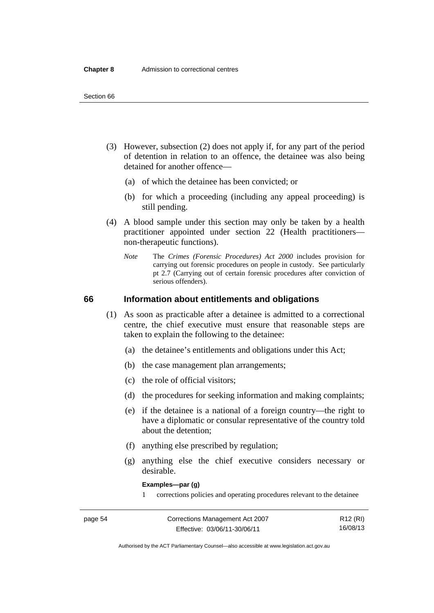- (3) However, subsection (2) does not apply if, for any part of the period of detention in relation to an offence, the detainee was also being detained for another offence—
	- (a) of which the detainee has been convicted; or
	- (b) for which a proceeding (including any appeal proceeding) is still pending.
- (4) A blood sample under this section may only be taken by a health practitioner appointed under section 22 (Health practitioners non-therapeutic functions).
	- *Note* The *Crimes (Forensic Procedures) Act 2000* includes provision for carrying out forensic procedures on people in custody. See particularly pt 2.7 (Carrying out of certain forensic procedures after conviction of serious offenders).

#### **66 Information about entitlements and obligations**

- (1) As soon as practicable after a detainee is admitted to a correctional centre, the chief executive must ensure that reasonable steps are taken to explain the following to the detainee:
	- (a) the detainee's entitlements and obligations under this Act;
	- (b) the case management plan arrangements;
	- (c) the role of official visitors;
	- (d) the procedures for seeking information and making complaints;
	- (e) if the detainee is a national of a foreign country—the right to have a diplomatic or consular representative of the country told about the detention;
	- (f) anything else prescribed by regulation;
	- (g) anything else the chief executive considers necessary or desirable.

**Examples—par (g)** 

1 corrections policies and operating procedures relevant to the detainee

| page 54 | Corrections Management Act 2007 | R12 (RI) |
|---------|---------------------------------|----------|
|         | Effective: 03/06/11-30/06/11    | 16/08/13 |

Authorised by the ACT Parliamentary Counsel—also accessible at www.legislation.act.gov.au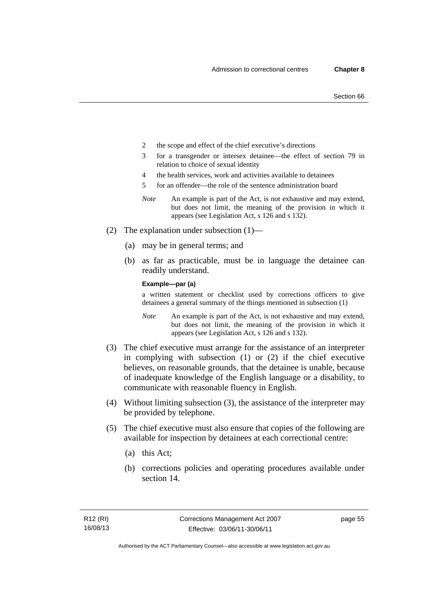- 2 the scope and effect of the chief executive's directions
- 3 for a transgender or intersex detainee—the effect of section 79 in relation to choice of sexual identity
- 4 the health services, work and activities available to detainees
- 5 for an offender—the role of the sentence administration board
- *Note* An example is part of the Act, is not exhaustive and may extend, but does not limit, the meaning of the provision in which it appears (see Legislation Act, s 126 and s 132).
- (2) The explanation under subsection (1)—
	- (a) may be in general terms; and
	- (b) as far as practicable, must be in language the detainee can readily understand.

**Example—par (a)** 

a written statement or checklist used by corrections officers to give detainees a general summary of the things mentioned in subsection (1)

- *Note* An example is part of the Act, is not exhaustive and may extend, but does not limit, the meaning of the provision in which it appears (see Legislation Act, s 126 and s 132).
- (3) The chief executive must arrange for the assistance of an interpreter in complying with subsection (1) or (2) if the chief executive believes, on reasonable grounds, that the detainee is unable, because of inadequate knowledge of the English language or a disability, to communicate with reasonable fluency in English.
- (4) Without limiting subsection (3), the assistance of the interpreter may be provided by telephone.
- (5) The chief executive must also ensure that copies of the following are available for inspection by detainees at each correctional centre:
	- (a) this Act;
	- (b) corrections policies and operating procedures available under section 14.

page 55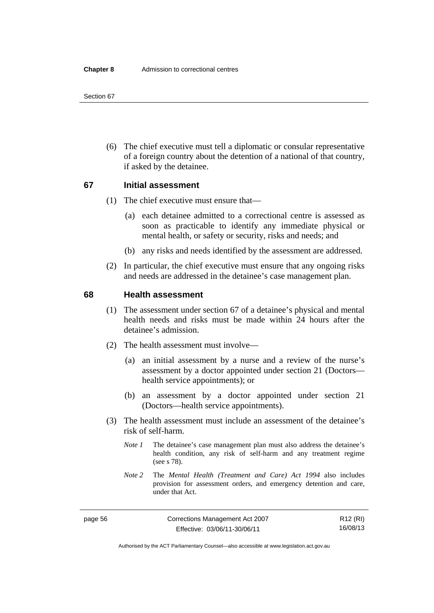(6) The chief executive must tell a diplomatic or consular representative of a foreign country about the detention of a national of that country, if asked by the detainee.

# **67 Initial assessment**

- (1) The chief executive must ensure that—
	- (a) each detainee admitted to a correctional centre is assessed as soon as practicable to identify any immediate physical or mental health, or safety or security, risks and needs; and
	- (b) any risks and needs identified by the assessment are addressed.
- (2) In particular, the chief executive must ensure that any ongoing risks and needs are addressed in the detainee's case management plan.

#### **68 Health assessment**

- (1) The assessment under section 67 of a detainee's physical and mental health needs and risks must be made within 24 hours after the detainee's admission.
- (2) The health assessment must involve—
	- (a) an initial assessment by a nurse and a review of the nurse's assessment by a doctor appointed under section 21 (Doctors health service appointments); or
	- (b) an assessment by a doctor appointed under section 21 (Doctors—health service appointments).
- (3) The health assessment must include an assessment of the detainee's risk of self-harm.
	- *Note 1* The detainee's case management plan must also address the detainee's health condition, any risk of self-harm and any treatment regime (see s 78).
	- *Note 2* The *Mental Health (Treatment and Care) Act 1994* also includes provision for assessment orders, and emergency detention and care, under that Act.

R12 (RI) 16/08/13

Authorised by the ACT Parliamentary Counsel—also accessible at www.legislation.act.gov.au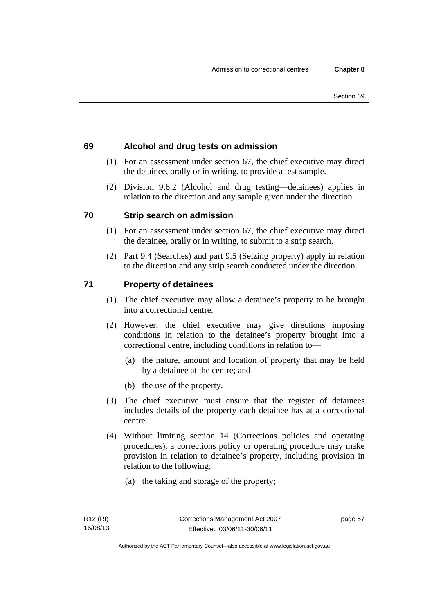# **69 Alcohol and drug tests on admission**

- (1) For an assessment under section 67, the chief executive may direct the detainee, orally or in writing, to provide a test sample.
- (2) Division 9.6.2 (Alcohol and drug testing—detainees) applies in relation to the direction and any sample given under the direction.

# **70 Strip search on admission**

- (1) For an assessment under section 67, the chief executive may direct the detainee, orally or in writing, to submit to a strip search.
- (2) Part 9.4 (Searches) and part 9.5 (Seizing property) apply in relation to the direction and any strip search conducted under the direction.

# **71 Property of detainees**

- (1) The chief executive may allow a detainee's property to be brought into a correctional centre.
- (2) However, the chief executive may give directions imposing conditions in relation to the detainee's property brought into a correctional centre, including conditions in relation to—
	- (a) the nature, amount and location of property that may be held by a detainee at the centre; and
	- (b) the use of the property.
- (3) The chief executive must ensure that the register of detainees includes details of the property each detainee has at a correctional centre.
- (4) Without limiting section 14 (Corrections policies and operating procedures), a corrections policy or operating procedure may make provision in relation to detainee's property, including provision in relation to the following:
	- (a) the taking and storage of the property;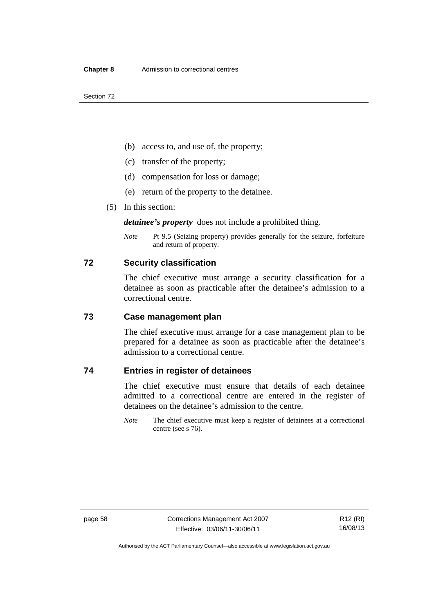- (b) access to, and use of, the property;
- (c) transfer of the property;
- (d) compensation for loss or damage;
- (e) return of the property to the detainee.
- (5) In this section:

*detainee's property* does not include a prohibited thing.

*Note* Pt 9.5 (Seizing property) provides generally for the seizure, forfeiture and return of property.

#### **72 Security classification**

The chief executive must arrange a security classification for a detainee as soon as practicable after the detainee's admission to a correctional centre.

#### **73 Case management plan**

The chief executive must arrange for a case management plan to be prepared for a detainee as soon as practicable after the detainee's admission to a correctional centre.

# **74 Entries in register of detainees**

The chief executive must ensure that details of each detainee admitted to a correctional centre are entered in the register of detainees on the detainee's admission to the centre.

*Note* The chief executive must keep a register of detainees at a correctional centre (see s 76).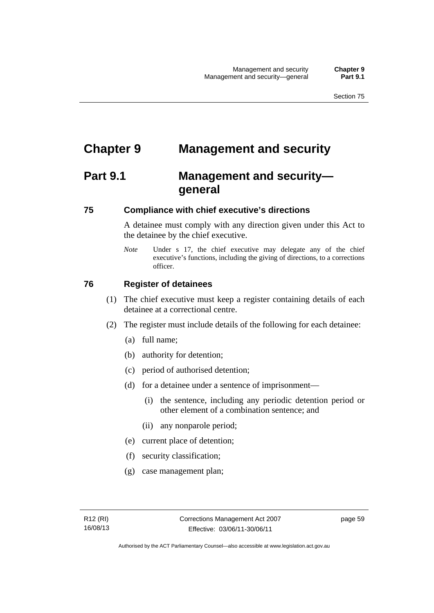# **Chapter 9 Management and security**

# **Part 9.1 Management and security general**

#### **75 Compliance with chief executive's directions**

A detainee must comply with any direction given under this Act to the detainee by the chief executive.

*Note* Under s 17, the chief executive may delegate any of the chief executive's functions, including the giving of directions, to a corrections officer.

## **76 Register of detainees**

- (1) The chief executive must keep a register containing details of each detainee at a correctional centre.
- (2) The register must include details of the following for each detainee:
	- (a) full name;
	- (b) authority for detention;
	- (c) period of authorised detention;
	- (d) for a detainee under a sentence of imprisonment—
		- (i) the sentence, including any periodic detention period or other element of a combination sentence; and
		- (ii) any nonparole period;
	- (e) current place of detention;
	- (f) security classification;
	- (g) case management plan;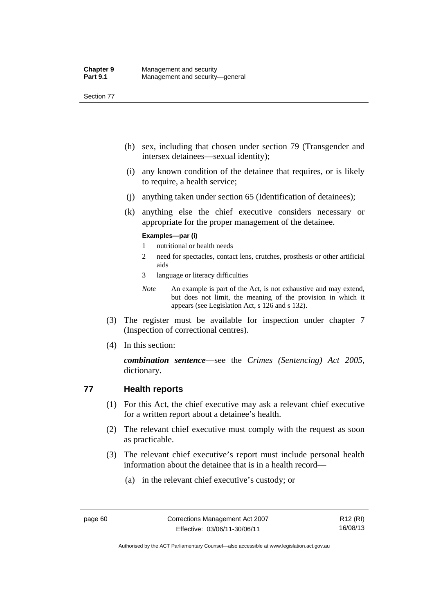- (h) sex, including that chosen under section 79 (Transgender and intersex detainees—sexual identity);
- (i) any known condition of the detainee that requires, or is likely to require, a health service;
- (j) anything taken under section 65 (Identification of detainees);
- (k) anything else the chief executive considers necessary or appropriate for the proper management of the detainee.

#### **Examples—par (i)**

- 1 nutritional or health needs
- 2 need for spectacles, contact lens, crutches, prosthesis or other artificial aids
- 3 language or literacy difficulties
- *Note* An example is part of the Act, is not exhaustive and may extend, but does not limit, the meaning of the provision in which it appears (see Legislation Act, s 126 and s 132).
- (3) The register must be available for inspection under chapter 7 (Inspection of correctional centres).
- (4) In this section:

*combination sentence*—see the *Crimes (Sentencing) Act 2005*, dictionary.

## **77 Health reports**

- (1) For this Act, the chief executive may ask a relevant chief executive for a written report about a detainee's health.
- (2) The relevant chief executive must comply with the request as soon as practicable.
- (3) The relevant chief executive's report must include personal health information about the detainee that is in a health record—
	- (a) in the relevant chief executive's custody; or

Authorised by the ACT Parliamentary Counsel—also accessible at www.legislation.act.gov.au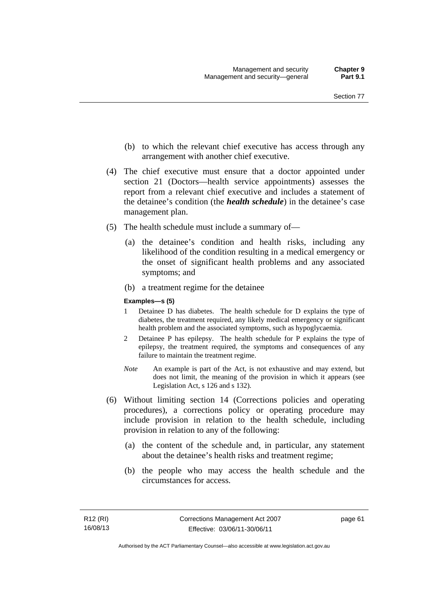- (b) to which the relevant chief executive has access through any arrangement with another chief executive.
- (4) The chief executive must ensure that a doctor appointed under section 21 (Doctors—health service appointments) assesses the report from a relevant chief executive and includes a statement of the detainee's condition (the *health schedule*) in the detainee's case management plan.
- (5) The health schedule must include a summary of—
	- (a) the detainee's condition and health risks, including any likelihood of the condition resulting in a medical emergency or the onset of significant health problems and any associated symptoms; and
	- (b) a treatment regime for the detainee

#### **Examples—s (5)**

- 1 Detainee D has diabetes. The health schedule for D explains the type of diabetes, the treatment required, any likely medical emergency or significant health problem and the associated symptoms, such as hypoglycaemia.
- 2 Detainee P has epilepsy. The health schedule for P explains the type of epilepsy, the treatment required, the symptoms and consequences of any failure to maintain the treatment regime.
- *Note* An example is part of the Act, is not exhaustive and may extend, but does not limit, the meaning of the provision in which it appears (see Legislation Act, s 126 and s 132).
- (6) Without limiting section 14 (Corrections policies and operating procedures), a corrections policy or operating procedure may include provision in relation to the health schedule, including provision in relation to any of the following:
	- (a) the content of the schedule and, in particular, any statement about the detainee's health risks and treatment regime;
	- (b) the people who may access the health schedule and the circumstances for access.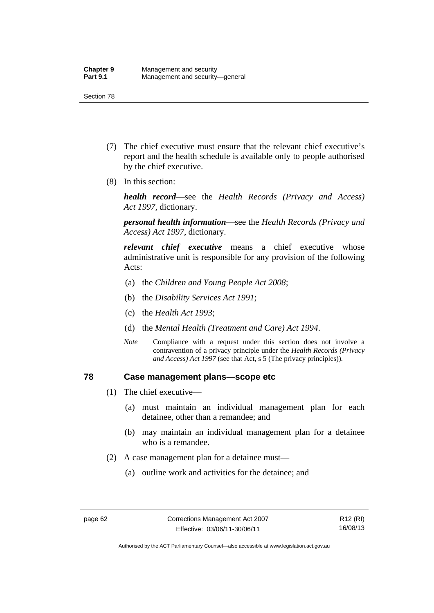- (7) The chief executive must ensure that the relevant chief executive's report and the health schedule is available only to people authorised by the chief executive.
- (8) In this section:

*health record*—see the *Health Records (Privacy and Access) Act 1997*, dictionary.

*personal health information*—see the *Health Records (Privacy and Access) Act 1997*, dictionary.

*relevant chief executive* means a chief executive whose administrative unit is responsible for any provision of the following Acts:

- (a) the *Children and Young People Act 2008*;
- (b) the *Disability Services Act 1991*;
- (c) the *Health Act 1993*;
- (d) the *Mental Health (Treatment and Care) Act 1994*.
- *Note* Compliance with a request under this section does not involve a contravention of a privacy principle under the *Health Records (Privacy and Access) Act 1997* (see that Act, s 5 (The privacy principles))*.*

#### **78 Case management plans—scope etc**

- (1) The chief executive—
	- (a) must maintain an individual management plan for each detainee, other than a remandee; and
	- (b) may maintain an individual management plan for a detainee who is a remandee.
- (2) A case management plan for a detainee must—
	- (a) outline work and activities for the detainee; and

Authorised by the ACT Parliamentary Counsel—also accessible at www.legislation.act.gov.au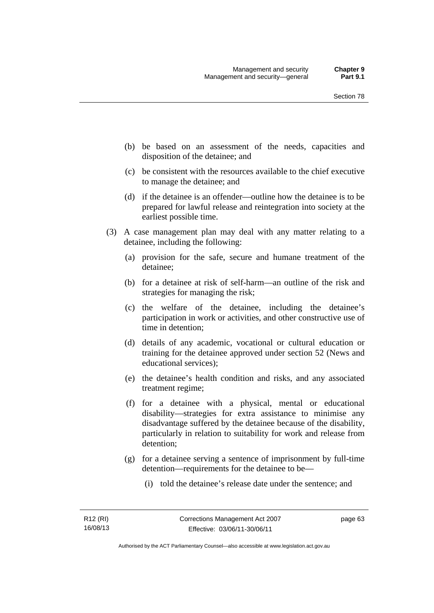- (b) be based on an assessment of the needs, capacities and disposition of the detainee; and
- (c) be consistent with the resources available to the chief executive to manage the detainee; and
- (d) if the detainee is an offender—outline how the detainee is to be prepared for lawful release and reintegration into society at the earliest possible time.
- (3) A case management plan may deal with any matter relating to a detainee, including the following:
	- (a) provision for the safe, secure and humane treatment of the detainee;
	- (b) for a detainee at risk of self-harm—an outline of the risk and strategies for managing the risk;
	- (c) the welfare of the detainee, including the detainee's participation in work or activities, and other constructive use of time in detention;
	- (d) details of any academic, vocational or cultural education or training for the detainee approved under section 52 (News and educational services);
	- (e) the detainee's health condition and risks, and any associated treatment regime;
	- (f) for a detainee with a physical, mental or educational disability—strategies for extra assistance to minimise any disadvantage suffered by the detainee because of the disability, particularly in relation to suitability for work and release from detention;
	- (g) for a detainee serving a sentence of imprisonment by full-time detention—requirements for the detainee to be—
		- (i) told the detainee's release date under the sentence; and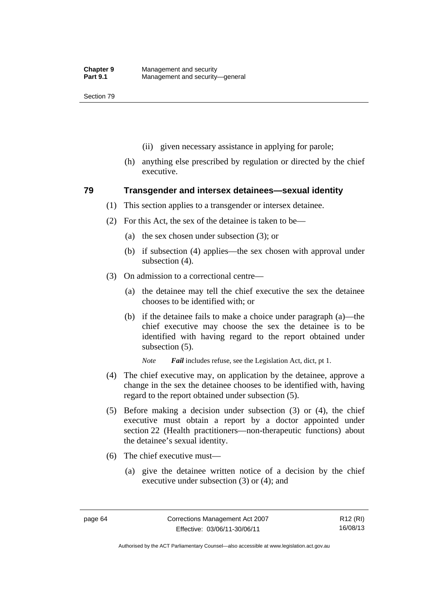- (ii) given necessary assistance in applying for parole;
- (h) anything else prescribed by regulation or directed by the chief executive.

#### **79 Transgender and intersex detainees—sexual identity**

- (1) This section applies to a transgender or intersex detainee.
- (2) For this Act, the sex of the detainee is taken to be—
	- (a) the sex chosen under subsection (3); or
	- (b) if subsection (4) applies—the sex chosen with approval under subsection (4).
- (3) On admission to a correctional centre—
	- (a) the detainee may tell the chief executive the sex the detainee chooses to be identified with; or
	- (b) if the detainee fails to make a choice under paragraph (a)—the chief executive may choose the sex the detainee is to be identified with having regard to the report obtained under subsection (5).

*Note Fail* includes refuse, see the Legislation Act, dict, pt 1.

- (4) The chief executive may, on application by the detainee, approve a change in the sex the detainee chooses to be identified with, having regard to the report obtained under subsection (5).
- (5) Before making a decision under subsection (3) or (4), the chief executive must obtain a report by a doctor appointed under section 22 (Health practitioners—non-therapeutic functions) about the detainee's sexual identity.
- (6) The chief executive must—
	- (a) give the detainee written notice of a decision by the chief executive under subsection (3) or (4); and

R12 (RI) 16/08/13

Authorised by the ACT Parliamentary Counsel—also accessible at www.legislation.act.gov.au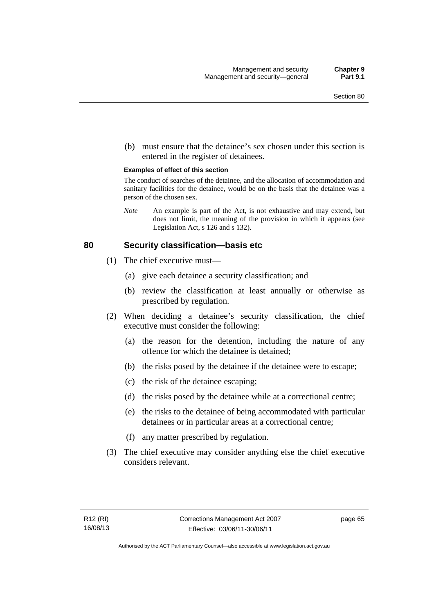(b) must ensure that the detainee's sex chosen under this section is entered in the register of detainees.

#### **Examples of effect of this section**

The conduct of searches of the detainee, and the allocation of accommodation and sanitary facilities for the detainee, would be on the basis that the detainee was a person of the chosen sex.

*Note* An example is part of the Act, is not exhaustive and may extend, but does not limit, the meaning of the provision in which it appears (see Legislation Act, s 126 and s 132).

#### **80 Security classification—basis etc**

- (1) The chief executive must—
	- (a) give each detainee a security classification; and
	- (b) review the classification at least annually or otherwise as prescribed by regulation.
- (2) When deciding a detainee's security classification, the chief executive must consider the following:
	- (a) the reason for the detention, including the nature of any offence for which the detainee is detained;
	- (b) the risks posed by the detainee if the detainee were to escape;
	- (c) the risk of the detainee escaping;
	- (d) the risks posed by the detainee while at a correctional centre;
	- (e) the risks to the detainee of being accommodated with particular detainees or in particular areas at a correctional centre;
	- (f) any matter prescribed by regulation.
- (3) The chief executive may consider anything else the chief executive considers relevant.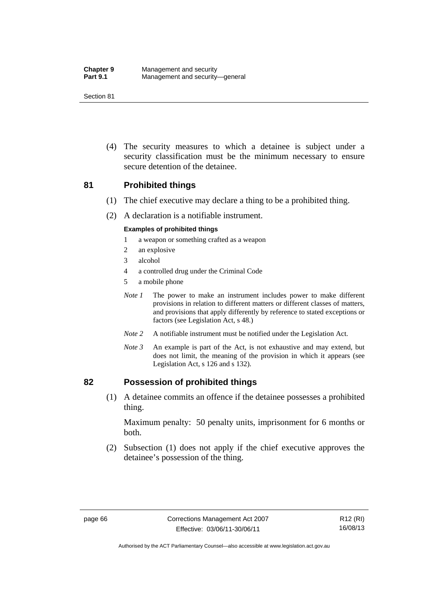(4) The security measures to which a detainee is subject under a security classification must be the minimum necessary to ensure secure detention of the detainee.

## **81 Prohibited things**

- (1) The chief executive may declare a thing to be a prohibited thing.
- (2) A declaration is a notifiable instrument.

#### **Examples of prohibited things**

- 1 a weapon or something crafted as a weapon
- 2 an explosive
- 3 alcohol
- 4 a controlled drug under the Criminal Code
- 5 a mobile phone
- *Note 1* The power to make an instrument includes power to make different provisions in relation to different matters or different classes of matters, and provisions that apply differently by reference to stated exceptions or factors (see Legislation Act, s 48.)
- *Note 2* A notifiable instrument must be notified under the Legislation Act.
- *Note 3* An example is part of the Act, is not exhaustive and may extend, but does not limit, the meaning of the provision in which it appears (see Legislation Act, s 126 and s 132).

## **82 Possession of prohibited things**

 (1) A detainee commits an offence if the detainee possesses a prohibited thing.

Maximum penalty: 50 penalty units, imprisonment for 6 months or both.

 (2) Subsection (1) does not apply if the chief executive approves the detainee's possession of the thing.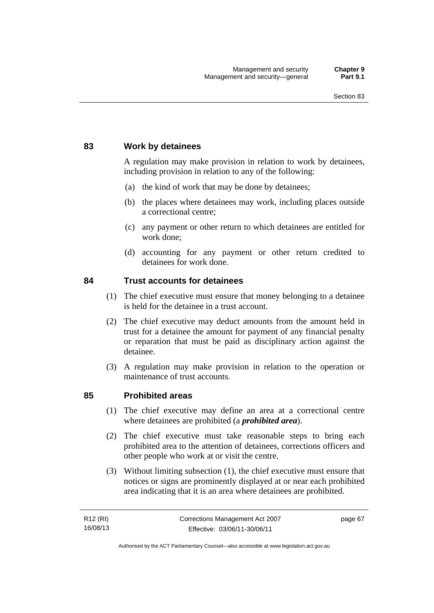## **83 Work by detainees**

A regulation may make provision in relation to work by detainees, including provision in relation to any of the following:

- (a) the kind of work that may be done by detainees;
- (b) the places where detainees may work, including places outside a correctional centre;
- (c) any payment or other return to which detainees are entitled for work done;
- (d) accounting for any payment or other return credited to detainees for work done.

## **84 Trust accounts for detainees**

- (1) The chief executive must ensure that money belonging to a detainee is held for the detainee in a trust account.
- (2) The chief executive may deduct amounts from the amount held in trust for a detainee the amount for payment of any financial penalty or reparation that must be paid as disciplinary action against the detainee.
- (3) A regulation may make provision in relation to the operation or maintenance of trust accounts.

## **85 Prohibited areas**

- (1) The chief executive may define an area at a correctional centre where detainees are prohibited (a *prohibited area*).
- (2) The chief executive must take reasonable steps to bring each prohibited area to the attention of detainees, corrections officers and other people who work at or visit the centre.
- (3) Without limiting subsection (1), the chief executive must ensure that notices or signs are prominently displayed at or near each prohibited area indicating that it is an area where detainees are prohibited.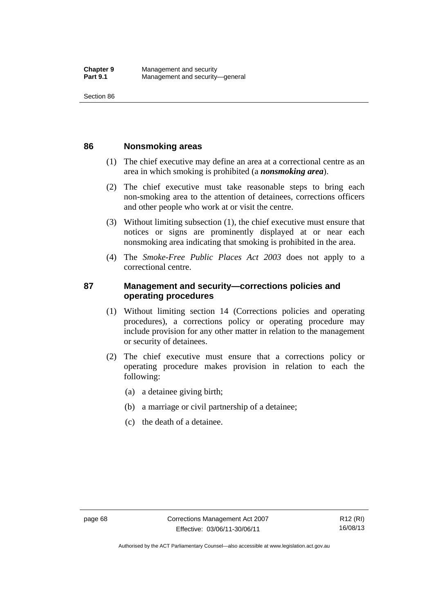#### **86 Nonsmoking areas**

- (1) The chief executive may define an area at a correctional centre as an area in which smoking is prohibited (a *nonsmoking area*).
- (2) The chief executive must take reasonable steps to bring each non-smoking area to the attention of detainees, corrections officers and other people who work at or visit the centre.
- (3) Without limiting subsection (1), the chief executive must ensure that notices or signs are prominently displayed at or near each nonsmoking area indicating that smoking is prohibited in the area.
- (4) The *Smoke-Free Public Places Act 2003* does not apply to a correctional centre.

## **87 Management and security—corrections policies and operating procedures**

- (1) Without limiting section 14 (Corrections policies and operating procedures), a corrections policy or operating procedure may include provision for any other matter in relation to the management or security of detainees.
- (2) The chief executive must ensure that a corrections policy or operating procedure makes provision in relation to each the following:
	- (a) a detainee giving birth;
	- (b) a marriage or civil partnership of a detainee;
	- (c) the death of a detainee.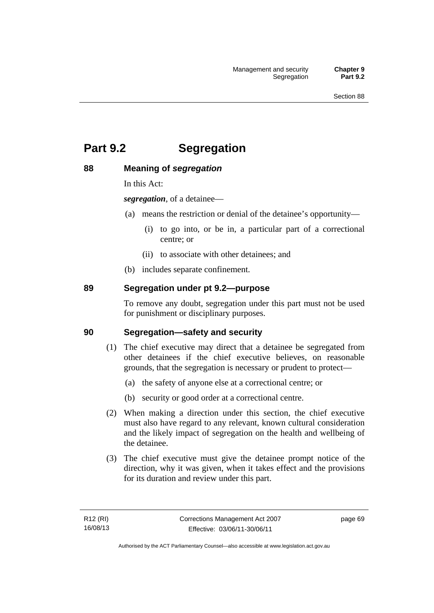# **Part 9.2 Segregation**

## **88 Meaning of** *segregation*

In this Act:

*segregation*, of a detainee—

- (a) means the restriction or denial of the detainee's opportunity—
	- (i) to go into, or be in, a particular part of a correctional centre; or
	- (ii) to associate with other detainees; and
- (b) includes separate confinement.

## **89 Segregation under pt 9.2—purpose**

To remove any doubt, segregation under this part must not be used for punishment or disciplinary purposes.

## **90 Segregation—safety and security**

- (1) The chief executive may direct that a detainee be segregated from other detainees if the chief executive believes, on reasonable grounds, that the segregation is necessary or prudent to protect—
	- (a) the safety of anyone else at a correctional centre; or
	- (b) security or good order at a correctional centre.
- (2) When making a direction under this section, the chief executive must also have regard to any relevant, known cultural consideration and the likely impact of segregation on the health and wellbeing of the detainee.
- (3) The chief executive must give the detainee prompt notice of the direction, why it was given, when it takes effect and the provisions for its duration and review under this part.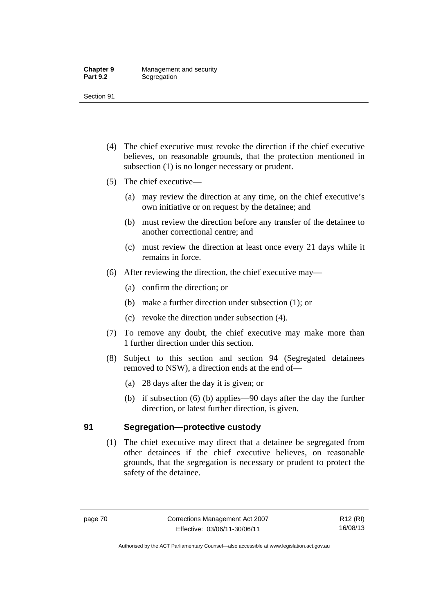- (4) The chief executive must revoke the direction if the chief executive believes, on reasonable grounds, that the protection mentioned in subsection (1) is no longer necessary or prudent.
- (5) The chief executive—
	- (a) may review the direction at any time, on the chief executive's own initiative or on request by the detainee; and
	- (b) must review the direction before any transfer of the detainee to another correctional centre; and
	- (c) must review the direction at least once every 21 days while it remains in force.
- (6) After reviewing the direction, the chief executive may—
	- (a) confirm the direction; or
	- (b) make a further direction under subsection (1); or
	- (c) revoke the direction under subsection (4).
- (7) To remove any doubt, the chief executive may make more than 1 further direction under this section.
- (8) Subject to this section and section 94 (Segregated detainees removed to NSW), a direction ends at the end of—
	- (a) 28 days after the day it is given; or
	- (b) if subsection (6) (b) applies—90 days after the day the further direction, or latest further direction, is given.

## **91 Segregation—protective custody**

 (1) The chief executive may direct that a detainee be segregated from other detainees if the chief executive believes, on reasonable grounds, that the segregation is necessary or prudent to protect the safety of the detainee.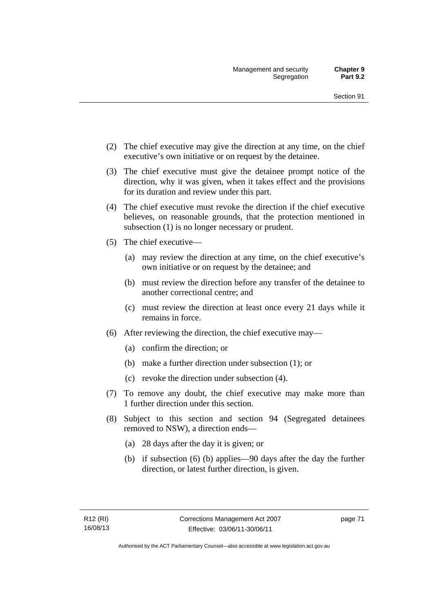- (2) The chief executive may give the direction at any time, on the chief executive's own initiative or on request by the detainee.
- (3) The chief executive must give the detainee prompt notice of the direction, why it was given, when it takes effect and the provisions for its duration and review under this part.
- (4) The chief executive must revoke the direction if the chief executive believes, on reasonable grounds, that the protection mentioned in subsection (1) is no longer necessary or prudent.
- (5) The chief executive—
	- (a) may review the direction at any time, on the chief executive's own initiative or on request by the detainee; and
	- (b) must review the direction before any transfer of the detainee to another correctional centre; and
	- (c) must review the direction at least once every 21 days while it remains in force.
- (6) After reviewing the direction, the chief executive may—
	- (a) confirm the direction; or
	- (b) make a further direction under subsection (1); or
	- (c) revoke the direction under subsection (4).
- (7) To remove any doubt, the chief executive may make more than 1 further direction under this section.
- (8) Subject to this section and section 94 (Segregated detainees removed to NSW), a direction ends—
	- (a) 28 days after the day it is given; or
	- (b) if subsection (6) (b) applies—90 days after the day the further direction, or latest further direction, is given.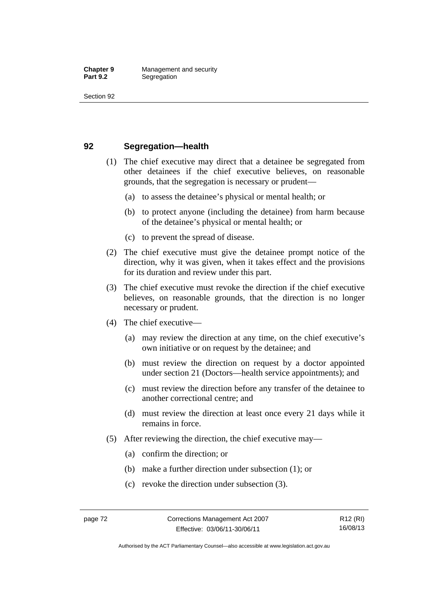## **92 Segregation—health**

- (1) The chief executive may direct that a detainee be segregated from other detainees if the chief executive believes, on reasonable grounds, that the segregation is necessary or prudent—
	- (a) to assess the detainee's physical or mental health; or
	- (b) to protect anyone (including the detainee) from harm because of the detainee's physical or mental health; or
	- (c) to prevent the spread of disease.
- (2) The chief executive must give the detainee prompt notice of the direction, why it was given, when it takes effect and the provisions for its duration and review under this part.
- (3) The chief executive must revoke the direction if the chief executive believes, on reasonable grounds, that the direction is no longer necessary or prudent.
- (4) The chief executive—
	- (a) may review the direction at any time, on the chief executive's own initiative or on request by the detainee; and
	- (b) must review the direction on request by a doctor appointed under section 21 (Doctors—health service appointments); and
	- (c) must review the direction before any transfer of the detainee to another correctional centre; and
	- (d) must review the direction at least once every 21 days while it remains in force.
- (5) After reviewing the direction, the chief executive may—
	- (a) confirm the direction; or
	- (b) make a further direction under subsection (1); or
	- (c) revoke the direction under subsection (3).

Authorised by the ACT Parliamentary Counsel—also accessible at www.legislation.act.gov.au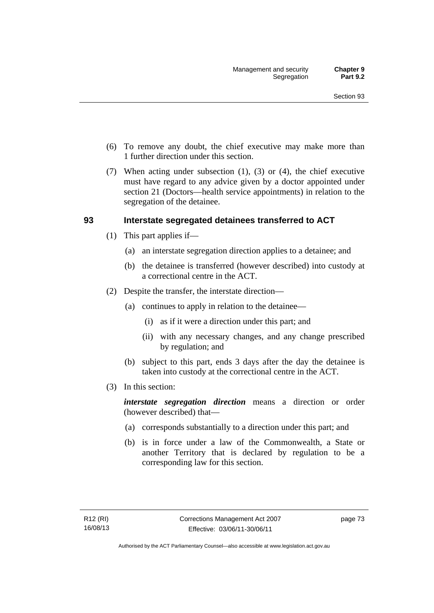- (6) To remove any doubt, the chief executive may make more than 1 further direction under this section.
- (7) When acting under subsection (1), (3) or (4), the chief executive must have regard to any advice given by a doctor appointed under section 21 (Doctors—health service appointments) in relation to the segregation of the detainee.

## **93 Interstate segregated detainees transferred to ACT**

- (1) This part applies if—
	- (a) an interstate segregation direction applies to a detainee; and
	- (b) the detainee is transferred (however described) into custody at a correctional centre in the ACT.
- (2) Despite the transfer, the interstate direction—
	- (a) continues to apply in relation to the detainee—
		- (i) as if it were a direction under this part; and
		- (ii) with any necessary changes, and any change prescribed by regulation; and
	- (b) subject to this part, ends 3 days after the day the detainee is taken into custody at the correctional centre in the ACT.
- (3) In this section:

*interstate segregation direction* means a direction or order (however described) that—

- (a) corresponds substantially to a direction under this part; and
- (b) is in force under a law of the Commonwealth, a State or another Territory that is declared by regulation to be a corresponding law for this section.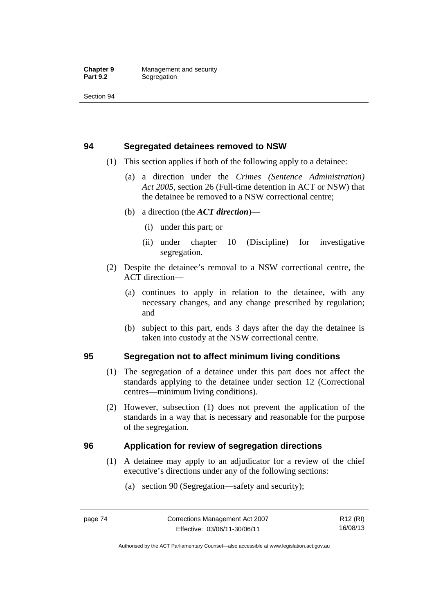## **94 Segregated detainees removed to NSW**

- (1) This section applies if both of the following apply to a detainee:
	- (a) a direction under the *Crimes (Sentence Administration) Act 2005*, section 26 (Full-time detention in ACT or NSW) that the detainee be removed to a NSW correctional centre;
	- (b) a direction (the *ACT direction*)—
		- (i) under this part; or
		- (ii) under chapter 10 (Discipline) for investigative segregation.
- (2) Despite the detainee's removal to a NSW correctional centre, the ACT direction—
	- (a) continues to apply in relation to the detainee, with any necessary changes, and any change prescribed by regulation; and
	- (b) subject to this part, ends 3 days after the day the detainee is taken into custody at the NSW correctional centre.

## **95 Segregation not to affect minimum living conditions**

- (1) The segregation of a detainee under this part does not affect the standards applying to the detainee under section 12 (Correctional centres—minimum living conditions).
- (2) However, subsection (1) does not prevent the application of the standards in a way that is necessary and reasonable for the purpose of the segregation.

## **96 Application for review of segregation directions**

- (1) A detainee may apply to an adjudicator for a review of the chief executive's directions under any of the following sections:
	- (a) section 90 (Segregation—safety and security);

R12 (RI) 16/08/13

Authorised by the ACT Parliamentary Counsel—also accessible at www.legislation.act.gov.au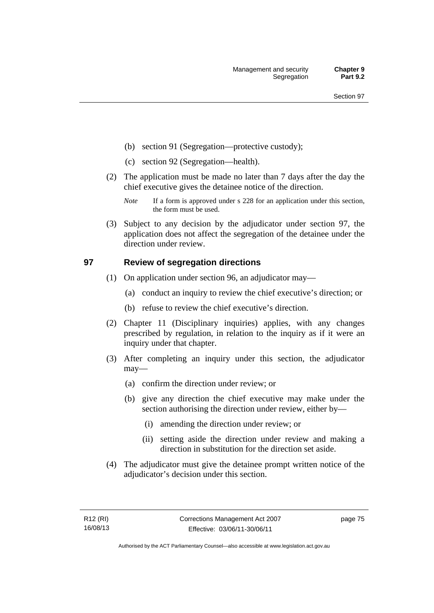- (b) section 91 (Segregation—protective custody);
- (c) section 92 (Segregation—health).
- (2) The application must be made no later than 7 days after the day the chief executive gives the detainee notice of the direction.
	- *Note* If a form is approved under s 228 for an application under this section, the form must be used.
- (3) Subject to any decision by the adjudicator under section 97, the application does not affect the segregation of the detainee under the direction under review.

## **97 Review of segregation directions**

- (1) On application under section 96, an adjudicator may—
	- (a) conduct an inquiry to review the chief executive's direction; or
	- (b) refuse to review the chief executive's direction.
- (2) Chapter 11 (Disciplinary inquiries) applies, with any changes prescribed by regulation, in relation to the inquiry as if it were an inquiry under that chapter.
- (3) After completing an inquiry under this section, the adjudicator may—
	- (a) confirm the direction under review; or
	- (b) give any direction the chief executive may make under the section authorising the direction under review, either by—
		- (i) amending the direction under review; or
		- (ii) setting aside the direction under review and making a direction in substitution for the direction set aside.
- (4) The adjudicator must give the detainee prompt written notice of the adjudicator's decision under this section.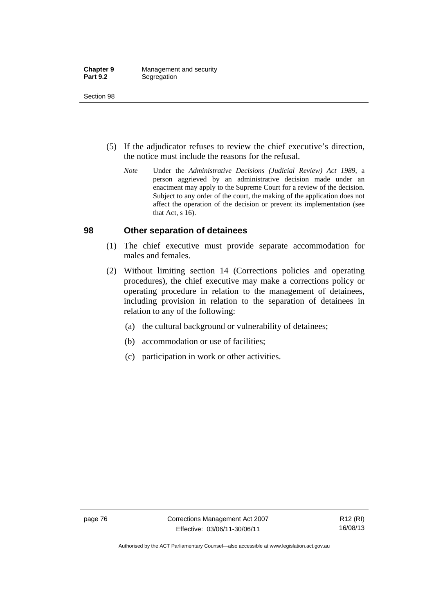- (5) If the adjudicator refuses to review the chief executive's direction, the notice must include the reasons for the refusal.
	- *Note* Under the *Administrative Decisions (Judicial Review) Act 1989*, a person aggrieved by an administrative decision made under an enactment may apply to the Supreme Court for a review of the decision. Subject to any order of the court, the making of the application does not affect the operation of the decision or prevent its implementation (see that Act, s 16).

## **98 Other separation of detainees**

- (1) The chief executive must provide separate accommodation for males and females.
- (2) Without limiting section 14 (Corrections policies and operating procedures), the chief executive may make a corrections policy or operating procedure in relation to the management of detainees, including provision in relation to the separation of detainees in relation to any of the following:
	- (a) the cultural background or vulnerability of detainees;
	- (b) accommodation or use of facilities;
	- (c) participation in work or other activities.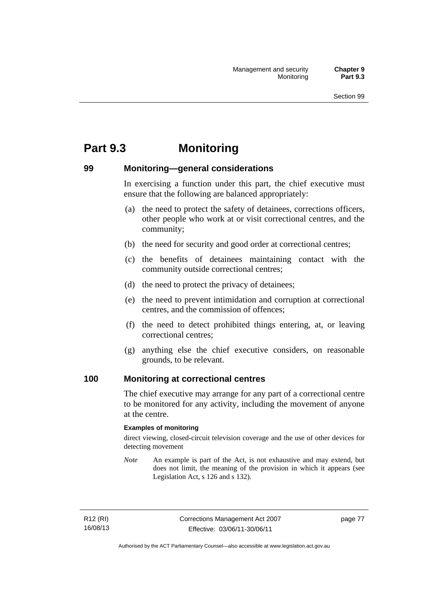# **Part 9.3 Monitoring**

## **99 Monitoring—general considerations**

In exercising a function under this part, the chief executive must ensure that the following are balanced appropriately:

- (a) the need to protect the safety of detainees, corrections officers, other people who work at or visit correctional centres, and the community;
- (b) the need for security and good order at correctional centres;
- (c) the benefits of detainees maintaining contact with the community outside correctional centres;
- (d) the need to protect the privacy of detainees;
- (e) the need to prevent intimidation and corruption at correctional centres, and the commission of offences;
- (f) the need to detect prohibited things entering, at, or leaving correctional centres;
- (g) anything else the chief executive considers, on reasonable grounds, to be relevant.

## **100 Monitoring at correctional centres**

The chief executive may arrange for any part of a correctional centre to be monitored for any activity, including the movement of anyone at the centre.

#### **Examples of monitoring**

direct viewing, closed-circuit television coverage and the use of other devices for detecting movement

*Note* An example is part of the Act, is not exhaustive and may extend, but does not limit, the meaning of the provision in which it appears (see Legislation Act, s 126 and s 132).

R12 (RI) 16/08/13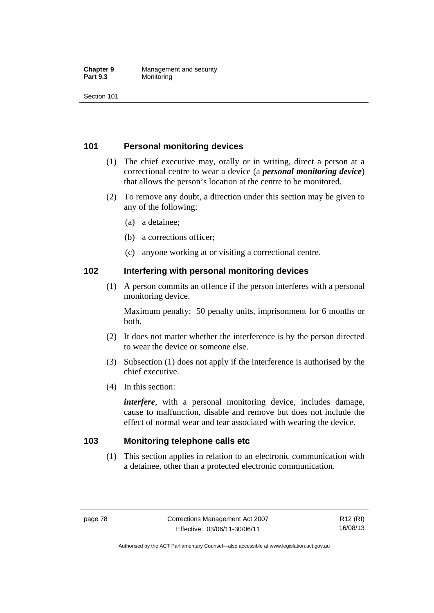#### **Chapter 9 Management and security**<br>**Part 9.3 Monitoring Monitoring**

Section 101

## **101 Personal monitoring devices**

- (1) The chief executive may, orally or in writing, direct a person at a correctional centre to wear a device (a *personal monitoring device*) that allows the person's location at the centre to be monitored.
- (2) To remove any doubt, a direction under this section may be given to any of the following:
	- (a) a detainee;
	- (b) a corrections officer;
	- (c) anyone working at or visiting a correctional centre.

## **102 Interfering with personal monitoring devices**

 (1) A person commits an offence if the person interferes with a personal monitoring device.

Maximum penalty: 50 penalty units, imprisonment for 6 months or both.

- (2) It does not matter whether the interference is by the person directed to wear the device or someone else.
- (3) Subsection (1) does not apply if the interference is authorised by the chief executive.
- (4) In this section:

*interfere*, with a personal monitoring device, includes damage, cause to malfunction, disable and remove but does not include the effect of normal wear and tear associated with wearing the device.

## **103 Monitoring telephone calls etc**

 (1) This section applies in relation to an electronic communication with a detainee, other than a protected electronic communication.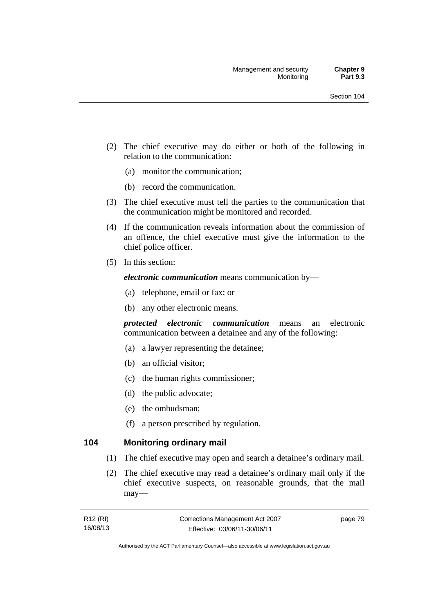- (2) The chief executive may do either or both of the following in relation to the communication:
	- (a) monitor the communication;
	- (b) record the communication.
- (3) The chief executive must tell the parties to the communication that the communication might be monitored and recorded.
- (4) If the communication reveals information about the commission of an offence, the chief executive must give the information to the chief police officer.
- (5) In this section:

*electronic communication* means communication by—

- (a) telephone, email or fax; or
- (b) any other electronic means.

*protected electronic communication* means an electronic communication between a detainee and any of the following:

- (a) a lawyer representing the detainee;
- (b) an official visitor;
- (c) the human rights commissioner;
- (d) the public advocate;
- (e) the ombudsman;
- (f) a person prescribed by regulation.

## **104 Monitoring ordinary mail**

- (1) The chief executive may open and search a detainee's ordinary mail.
- (2) The chief executive may read a detainee's ordinary mail only if the chief executive suspects, on reasonable grounds, that the mail may—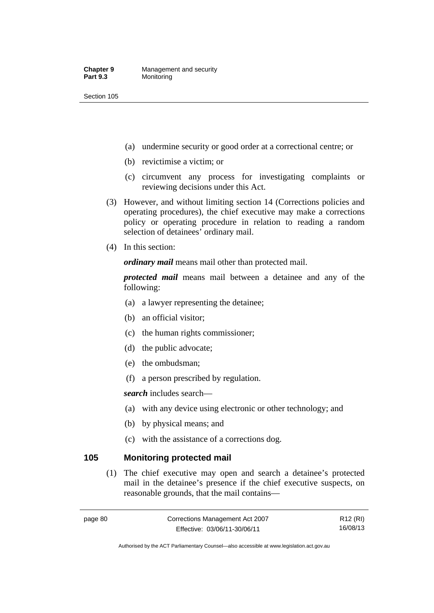- (a) undermine security or good order at a correctional centre; or
- (b) revictimise a victim; or
- (c) circumvent any process for investigating complaints or reviewing decisions under this Act.
- (3) However, and without limiting section 14 (Corrections policies and operating procedures), the chief executive may make a corrections policy or operating procedure in relation to reading a random selection of detainees' ordinary mail.
- (4) In this section:

*ordinary mail* means mail other than protected mail.

*protected mail* means mail between a detainee and any of the following:

- (a) a lawyer representing the detainee;
- (b) an official visitor;
- (c) the human rights commissioner;
- (d) the public advocate;
- (e) the ombudsman;
- (f) a person prescribed by regulation.

*search* includes search—

- (a) with any device using electronic or other technology; and
- (b) by physical means; and
- (c) with the assistance of a corrections dog.

## **105 Monitoring protected mail**

 (1) The chief executive may open and search a detainee's protected mail in the detainee's presence if the chief executive suspects, on reasonable grounds, that the mail contains—

R12 (RI) 16/08/13

Authorised by the ACT Parliamentary Counsel—also accessible at www.legislation.act.gov.au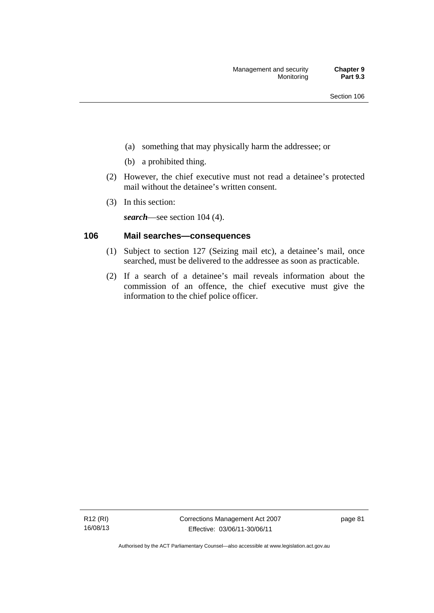- (a) something that may physically harm the addressee; or
- (b) a prohibited thing.
- (2) However, the chief executive must not read a detainee's protected mail without the detainee's written consent.
- (3) In this section:

*search*—see section 104 (4).

## **106 Mail searches—consequences**

- (1) Subject to section 127 (Seizing mail etc), a detainee's mail, once searched, must be delivered to the addressee as soon as practicable.
- (2) If a search of a detainee's mail reveals information about the commission of an offence, the chief executive must give the information to the chief police officer.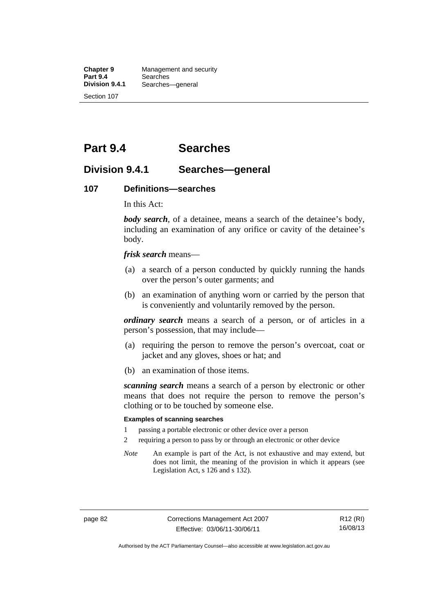**Chapter 9 Management and security**<br>**Part 9.4 Searches Part 9.4 Searches**<br>**Division 9.4.1 Searches Division 9.4.1** Searches—general Section 107

**Part 9.4 Searches** 

## **Division 9.4.1 Searches—general**

#### **107 Definitions—searches**

In this Act:

*body search*, of a detainee, means a search of the detainee's body, including an examination of any orifice or cavity of the detainee's body.

*frisk search* means—

- (a) a search of a person conducted by quickly running the hands over the person's outer garments; and
- (b) an examination of anything worn or carried by the person that is conveniently and voluntarily removed by the person.

*ordinary search* means a search of a person, or of articles in a person's possession, that may include—

- (a) requiring the person to remove the person's overcoat, coat or jacket and any gloves, shoes or hat; and
- (b) an examination of those items.

*scanning search* means a search of a person by electronic or other means that does not require the person to remove the person's clothing or to be touched by someone else.

#### **Examples of scanning searches**

- 1 passing a portable electronic or other device over a person
- 2 requiring a person to pass by or through an electronic or other device
- *Note* An example is part of the Act, is not exhaustive and may extend, but does not limit, the meaning of the provision in which it appears (see Legislation Act, s 126 and s 132).

page 82 Corrections Management Act 2007 Effective: 03/06/11-30/06/11

R12 (RI) 16/08/13

Authorised by the ACT Parliamentary Counsel—also accessible at www.legislation.act.gov.au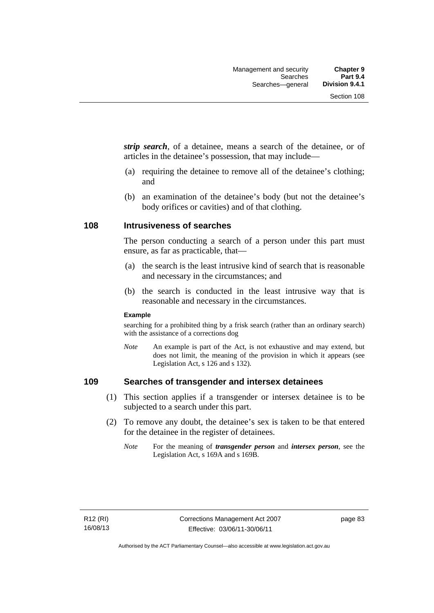*strip search*, of a detainee, means a search of the detainee, or of articles in the detainee's possession, that may include—

- (a) requiring the detainee to remove all of the detainee's clothing; and
- (b) an examination of the detainee's body (but not the detainee's body orifices or cavities) and of that clothing.

#### **108 Intrusiveness of searches**

The person conducting a search of a person under this part must ensure, as far as practicable, that—

- (a) the search is the least intrusive kind of search that is reasonable and necessary in the circumstances; and
- (b) the search is conducted in the least intrusive way that is reasonable and necessary in the circumstances.

#### **Example**

searching for a prohibited thing by a frisk search (rather than an ordinary search) with the assistance of a corrections dog

*Note* An example is part of the Act, is not exhaustive and may extend, but does not limit, the meaning of the provision in which it appears (see Legislation Act, s 126 and s 132).

## **109 Searches of transgender and intersex detainees**

- (1) This section applies if a transgender or intersex detainee is to be subjected to a search under this part.
- (2) To remove any doubt, the detainee's sex is taken to be that entered for the detainee in the register of detainees.
	- *Note* For the meaning of *transgender person* and *intersex person*, see the Legislation Act, s 169A and s 169B.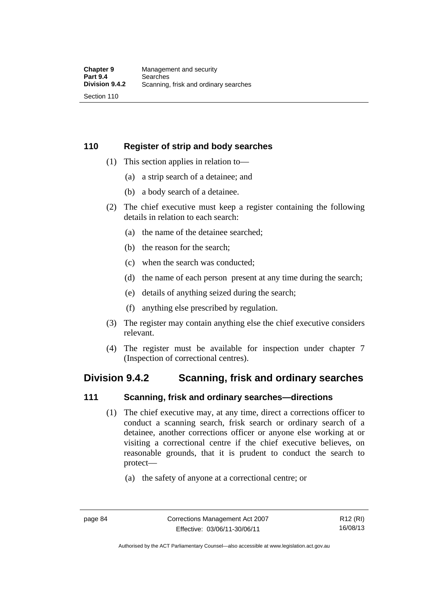## **110 Register of strip and body searches**

- (1) This section applies in relation to—
	- (a) a strip search of a detainee; and
	- (b) a body search of a detainee.
- (2) The chief executive must keep a register containing the following details in relation to each search:
	- (a) the name of the detainee searched;
	- (b) the reason for the search;
	- (c) when the search was conducted;
	- (d) the name of each person present at any time during the search;
	- (e) details of anything seized during the search;
	- (f) anything else prescribed by regulation.
- (3) The register may contain anything else the chief executive considers relevant.
- (4) The register must be available for inspection under chapter 7 (Inspection of correctional centres).

## **Division 9.4.2 Scanning, frisk and ordinary searches**

## **111 Scanning, frisk and ordinary searches—directions**

- (1) The chief executive may, at any time, direct a corrections officer to conduct a scanning search, frisk search or ordinary search of a detainee, another corrections officer or anyone else working at or visiting a correctional centre if the chief executive believes, on reasonable grounds, that it is prudent to conduct the search to protect—
	- (a) the safety of anyone at a correctional centre; or

Authorised by the ACT Parliamentary Counsel—also accessible at www.legislation.act.gov.au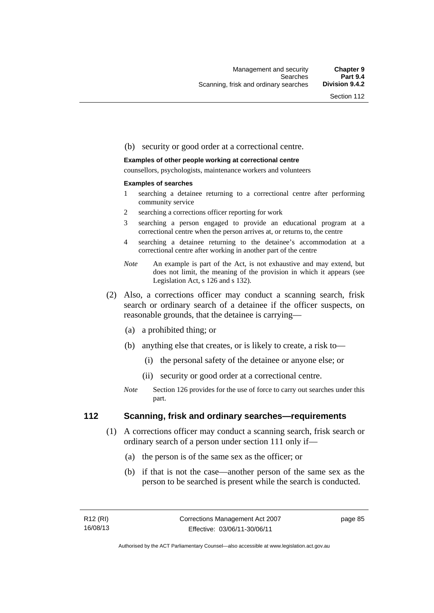#### (b) security or good order at a correctional centre.

#### **Examples of other people working at correctional centre**

counsellors, psychologists, maintenance workers and volunteers

#### **Examples of searches**

- 1 searching a detainee returning to a correctional centre after performing community service
- 2 searching a corrections officer reporting for work
- 3 searching a person engaged to provide an educational program at a correctional centre when the person arrives at, or returns to, the centre
- 4 searching a detainee returning to the detainee's accommodation at a correctional centre after working in another part of the centre
- *Note* An example is part of the Act, is not exhaustive and may extend, but does not limit, the meaning of the provision in which it appears (see Legislation Act, s 126 and s 132).
- (2) Also, a corrections officer may conduct a scanning search, frisk search or ordinary search of a detainee if the officer suspects, on reasonable grounds, that the detainee is carrying—
	- (a) a prohibited thing; or
	- (b) anything else that creates, or is likely to create, a risk to—
		- (i) the personal safety of the detainee or anyone else; or
		- (ii) security or good order at a correctional centre.
	- *Note* Section 126 provides for the use of force to carry out searches under this part.

#### **112 Scanning, frisk and ordinary searches—requirements**

- (1) A corrections officer may conduct a scanning search, frisk search or ordinary search of a person under section 111 only if—
	- (a) the person is of the same sex as the officer; or
	- (b) if that is not the case—another person of the same sex as the person to be searched is present while the search is conducted.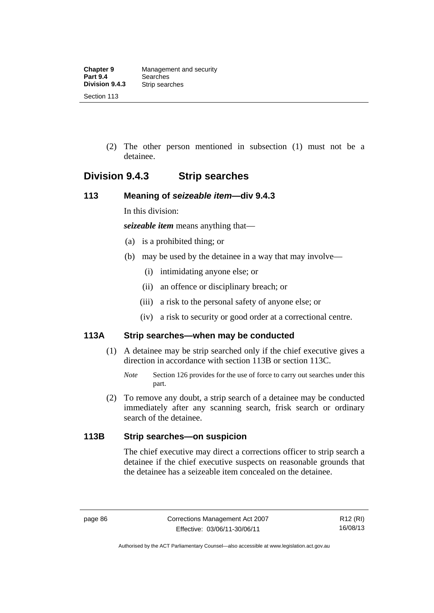(2) The other person mentioned in subsection (1) must not be a detainee.

## **Division 9.4.3 Strip searches**

## **113 Meaning of** *seizeable item***—div 9.4.3**

In this division:

*seizeable item* means anything that—

- (a) is a prohibited thing; or
- (b) may be used by the detainee in a way that may involve—
	- (i) intimidating anyone else; or
	- (ii) an offence or disciplinary breach; or
	- (iii) a risk to the personal safety of anyone else; or
	- (iv) a risk to security or good order at a correctional centre.

## **113A Strip searches—when may be conducted**

- (1) A detainee may be strip searched only if the chief executive gives a direction in accordance with section 113B or section 113C.
	- *Note* Section 126 provides for the use of force to carry out searches under this part.
- (2) To remove any doubt, a strip search of a detainee may be conducted immediately after any scanning search, frisk search or ordinary search of the detainee.

## **113B Strip searches—on suspicion**

The chief executive may direct a corrections officer to strip search a detainee if the chief executive suspects on reasonable grounds that the detainee has a seizeable item concealed on the detainee.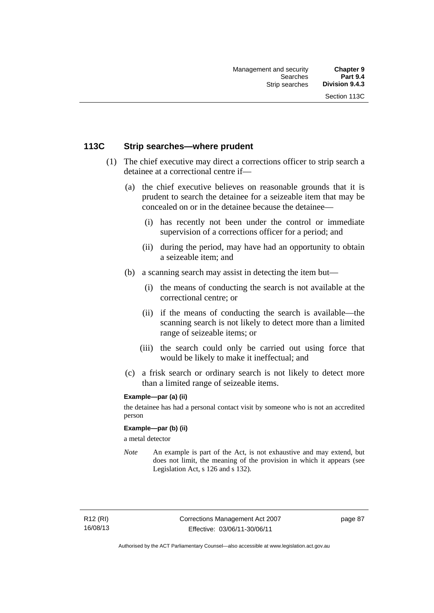## **113C Strip searches—where prudent**

- (1) The chief executive may direct a corrections officer to strip search a detainee at a correctional centre if—
	- (a) the chief executive believes on reasonable grounds that it is prudent to search the detainee for a seizeable item that may be concealed on or in the detainee because the detainee—
		- (i) has recently not been under the control or immediate supervision of a corrections officer for a period; and
		- (ii) during the period, may have had an opportunity to obtain a seizeable item; and
	- (b) a scanning search may assist in detecting the item but—
		- (i) the means of conducting the search is not available at the correctional centre; or
		- (ii) if the means of conducting the search is available—the scanning search is not likely to detect more than a limited range of seizeable items; or
		- (iii) the search could only be carried out using force that would be likely to make it ineffectual; and
	- (c) a frisk search or ordinary search is not likely to detect more than a limited range of seizeable items.

#### **Example—par (a) (ii)**

the detainee has had a personal contact visit by someone who is not an accredited person

#### **Example—par (b) (ii)**

a metal detector

*Note* An example is part of the Act, is not exhaustive and may extend, but does not limit, the meaning of the provision in which it appears (see Legislation Act, s 126 and s 132).

R12 (RI) 16/08/13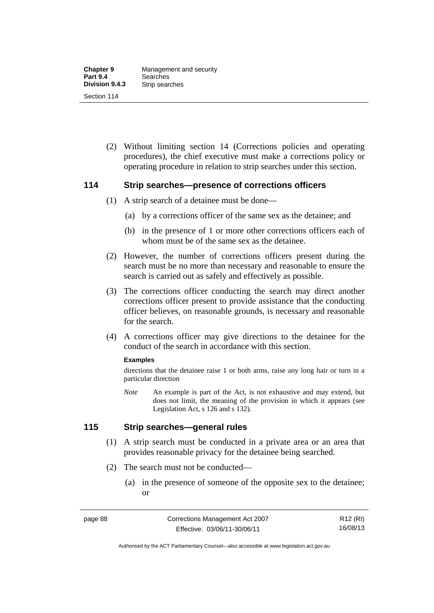(2) Without limiting section 14 (Corrections policies and operating procedures), the chief executive must make a corrections policy or operating procedure in relation to strip searches under this section.

#### **114 Strip searches—presence of corrections officers**

- (1) A strip search of a detainee must be done—
	- (a) by a corrections officer of the same sex as the detainee; and
	- (b) in the presence of 1 or more other corrections officers each of whom must be of the same sex as the detainee.
- (2) However, the number of corrections officers present during the search must be no more than necessary and reasonable to ensure the search is carried out as safely and effectively as possible.
- (3) The corrections officer conducting the search may direct another corrections officer present to provide assistance that the conducting officer believes, on reasonable grounds, is necessary and reasonable for the search.
- (4) A corrections officer may give directions to the detainee for the conduct of the search in accordance with this section.

#### **Examples**

directions that the detainee raise 1 or both arms, raise any long hair or turn in a particular direction

*Note* An example is part of the Act, is not exhaustive and may extend, but does not limit, the meaning of the provision in which it appears (see Legislation Act, s 126 and s 132).

## **115 Strip searches—general rules**

- (1) A strip search must be conducted in a private area or an area that provides reasonable privacy for the detainee being searched.
- (2) The search must not be conducted—
	- (a) in the presence of someone of the opposite sex to the detainee; or

R12 (RI) 16/08/13

Authorised by the ACT Parliamentary Counsel—also accessible at www.legislation.act.gov.au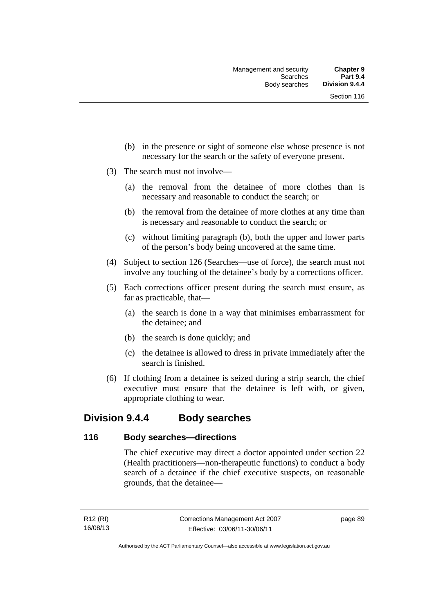- (b) in the presence or sight of someone else whose presence is not necessary for the search or the safety of everyone present.
- (3) The search must not involve—
	- (a) the removal from the detainee of more clothes than is necessary and reasonable to conduct the search; or
	- (b) the removal from the detainee of more clothes at any time than is necessary and reasonable to conduct the search; or
	- (c) without limiting paragraph (b), both the upper and lower parts of the person's body being uncovered at the same time.
- (4) Subject to section 126 (Searches—use of force), the search must not involve any touching of the detainee's body by a corrections officer.
- (5) Each corrections officer present during the search must ensure, as far as practicable, that—
	- (a) the search is done in a way that minimises embarrassment for the detainee; and
	- (b) the search is done quickly; and
	- (c) the detainee is allowed to dress in private immediately after the search is finished.
- (6) If clothing from a detainee is seized during a strip search, the chief executive must ensure that the detainee is left with, or given, appropriate clothing to wear.

## **Division 9.4.4 Body searches**

## **116 Body searches—directions**

The chief executive may direct a doctor appointed under section 22 (Health practitioners—non-therapeutic functions) to conduct a body search of a detainee if the chief executive suspects, on reasonable grounds, that the detainee—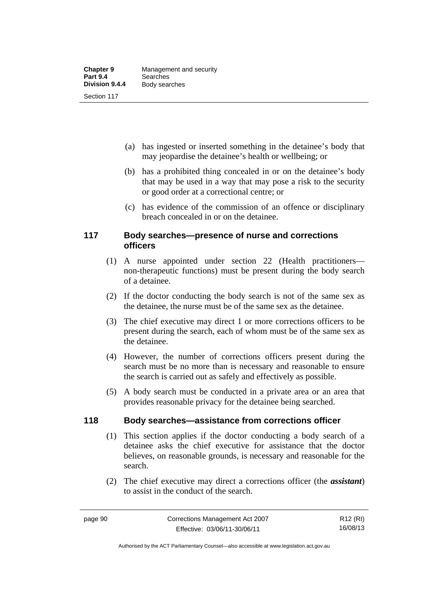- (a) has ingested or inserted something in the detainee's body that may jeopardise the detainee's health or wellbeing; or
- (b) has a prohibited thing concealed in or on the detainee's body that may be used in a way that may pose a risk to the security or good order at a correctional centre; or
- (c) has evidence of the commission of an offence or disciplinary breach concealed in or on the detainee.

## **117 Body searches—presence of nurse and corrections officers**

- (1) A nurse appointed under section 22 (Health practitioners non-therapeutic functions) must be present during the body search of a detainee.
- (2) If the doctor conducting the body search is not of the same sex as the detainee, the nurse must be of the same sex as the detainee.
- (3) The chief executive may direct 1 or more corrections officers to be present during the search, each of whom must be of the same sex as the detainee.
- (4) However, the number of corrections officers present during the search must be no more than is necessary and reasonable to ensure the search is carried out as safely and effectively as possible.
- (5) A body search must be conducted in a private area or an area that provides reasonable privacy for the detainee being searched.

## **118 Body searches—assistance from corrections officer**

- (1) This section applies if the doctor conducting a body search of a detainee asks the chief executive for assistance that the doctor believes, on reasonable grounds, is necessary and reasonable for the search.
- (2) The chief executive may direct a corrections officer (the *assistant*) to assist in the conduct of the search.

R12 (RI) 16/08/13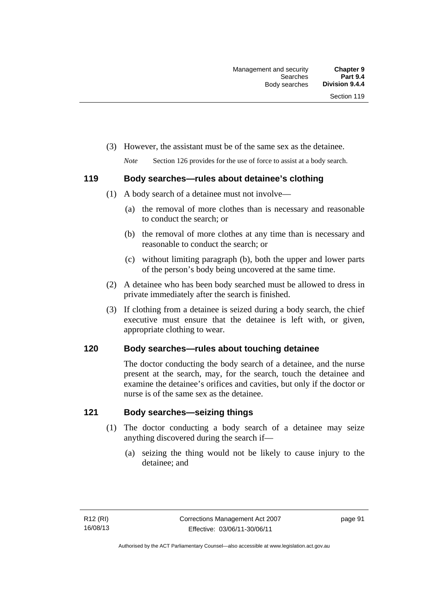- (3) However, the assistant must be of the same sex as the detainee.
	- *Note* Section 126 provides for the use of force to assist at a body search.

## **119 Body searches—rules about detainee's clothing**

- (1) A body search of a detainee must not involve—
	- (a) the removal of more clothes than is necessary and reasonable to conduct the search; or
	- (b) the removal of more clothes at any time than is necessary and reasonable to conduct the search; or
	- (c) without limiting paragraph (b), both the upper and lower parts of the person's body being uncovered at the same time.
- (2) A detainee who has been body searched must be allowed to dress in private immediately after the search is finished.
- (3) If clothing from a detainee is seized during a body search, the chief executive must ensure that the detainee is left with, or given, appropriate clothing to wear.

## **120 Body searches—rules about touching detainee**

The doctor conducting the body search of a detainee, and the nurse present at the search, may, for the search, touch the detainee and examine the detainee's orifices and cavities, but only if the doctor or nurse is of the same sex as the detainee.

## **121 Body searches—seizing things**

- (1) The doctor conducting a body search of a detainee may seize anything discovered during the search if—
	- (a) seizing the thing would not be likely to cause injury to the detainee; and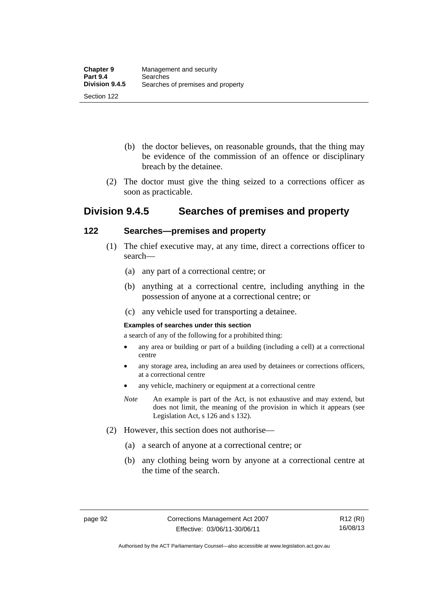- (b) the doctor believes, on reasonable grounds, that the thing may be evidence of the commission of an offence or disciplinary breach by the detainee.
- (2) The doctor must give the thing seized to a corrections officer as soon as practicable.

## **Division 9.4.5 Searches of premises and property**

## **122 Searches—premises and property**

- (1) The chief executive may, at any time, direct a corrections officer to search—
	- (a) any part of a correctional centre; or
	- (b) anything at a correctional centre, including anything in the possession of anyone at a correctional centre; or
	- (c) any vehicle used for transporting a detainee.

#### **Examples of searches under this section**

a search of any of the following for a prohibited thing:

- any area or building or part of a building (including a cell) at a correctional centre
- any storage area, including an area used by detainees or corrections officers, at a correctional centre
- any vehicle, machinery or equipment at a correctional centre
- *Note* An example is part of the Act, is not exhaustive and may extend, but does not limit, the meaning of the provision in which it appears (see Legislation Act, s 126 and s 132).
- (2) However, this section does not authorise—
	- (a) a search of anyone at a correctional centre; or
	- (b) any clothing being worn by anyone at a correctional centre at the time of the search.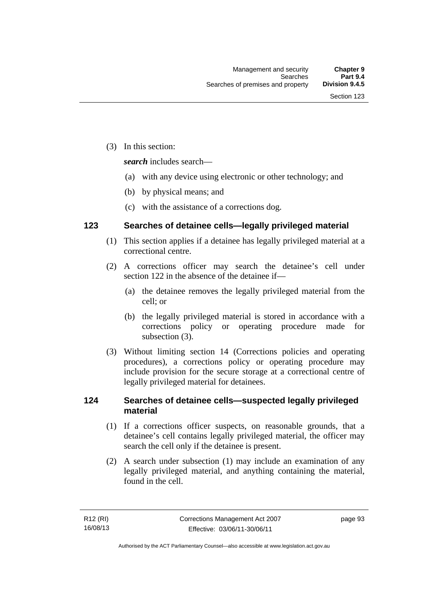(3) In this section:

*search* includes search—

- (a) with any device using electronic or other technology; and
- (b) by physical means; and
- (c) with the assistance of a corrections dog.

## **123 Searches of detainee cells—legally privileged material**

- (1) This section applies if a detainee has legally privileged material at a correctional centre.
- (2) A corrections officer may search the detainee's cell under section 122 in the absence of the detainee if—
	- (a) the detainee removes the legally privileged material from the cell; or
	- (b) the legally privileged material is stored in accordance with a corrections policy or operating procedure made for subsection (3).
- (3) Without limiting section 14 (Corrections policies and operating procedures), a corrections policy or operating procedure may include provision for the secure storage at a correctional centre of legally privileged material for detainees.

## **124 Searches of detainee cells—suspected legally privileged material**

- (1) If a corrections officer suspects, on reasonable grounds, that a detainee's cell contains legally privileged material, the officer may search the cell only if the detainee is present.
- (2) A search under subsection (1) may include an examination of any legally privileged material, and anything containing the material, found in the cell.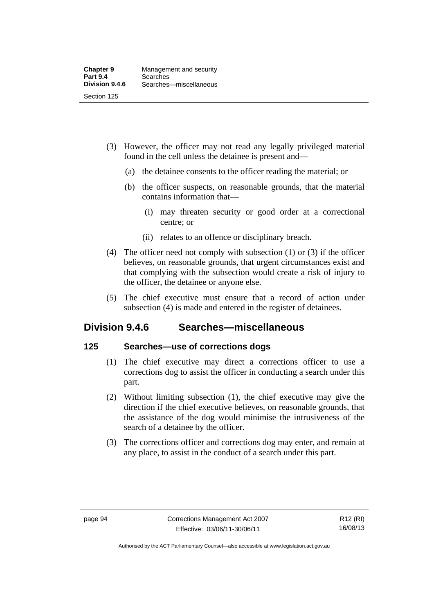- (3) However, the officer may not read any legally privileged material found in the cell unless the detainee is present and—
	- (a) the detainee consents to the officer reading the material; or
	- (b) the officer suspects, on reasonable grounds, that the material contains information that—
		- (i) may threaten security or good order at a correctional centre; or
		- (ii) relates to an offence or disciplinary breach.
- (4) The officer need not comply with subsection (1) or (3) if the officer believes, on reasonable grounds, that urgent circumstances exist and that complying with the subsection would create a risk of injury to the officer, the detainee or anyone else.
- (5) The chief executive must ensure that a record of action under subsection (4) is made and entered in the register of detainees.

## **Division 9.4.6 Searches—miscellaneous**

## **125 Searches—use of corrections dogs**

- (1) The chief executive may direct a corrections officer to use a corrections dog to assist the officer in conducting a search under this part.
- (2) Without limiting subsection (1), the chief executive may give the direction if the chief executive believes, on reasonable grounds, that the assistance of the dog would minimise the intrusiveness of the search of a detainee by the officer.
- (3) The corrections officer and corrections dog may enter, and remain at any place, to assist in the conduct of a search under this part.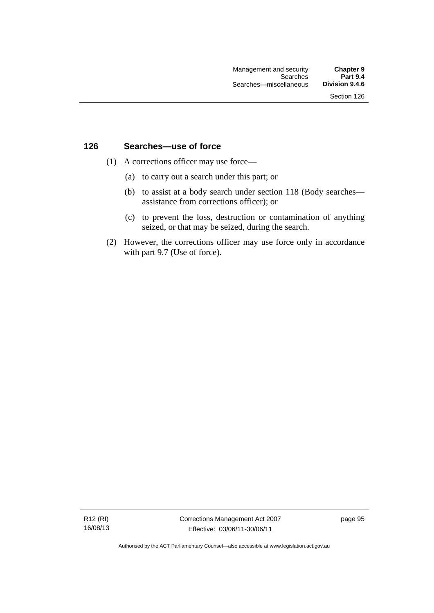### **126 Searches—use of force**

- (1) A corrections officer may use force—
	- (a) to carry out a search under this part; or
	- (b) to assist at a body search under section 118 (Body searches assistance from corrections officer); or
	- (c) to prevent the loss, destruction or contamination of anything seized, or that may be seized, during the search.
- (2) However, the corrections officer may use force only in accordance with part 9.7 (Use of force).

R12 (RI) 16/08/13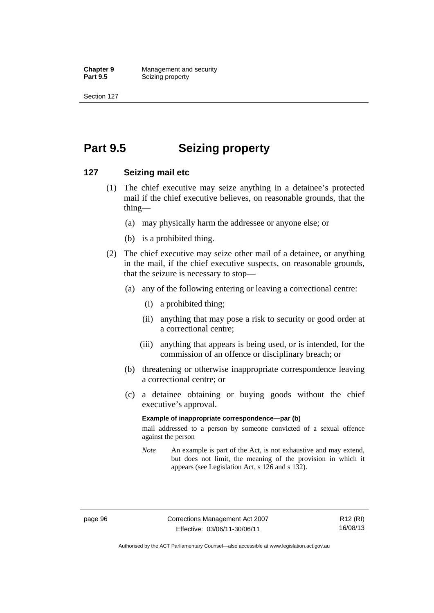**Chapter 9 Management and security**<br>**Part 9.5 Seizing property Seizing property** 

Section 127

## **Part 9.5 Seizing property**

### **127 Seizing mail etc**

- (1) The chief executive may seize anything in a detainee's protected mail if the chief executive believes, on reasonable grounds, that the thing—
	- (a) may physically harm the addressee or anyone else; or
	- (b) is a prohibited thing.
- (2) The chief executive may seize other mail of a detainee, or anything in the mail, if the chief executive suspects, on reasonable grounds, that the seizure is necessary to stop—
	- (a) any of the following entering or leaving a correctional centre:
		- (i) a prohibited thing;
		- (ii) anything that may pose a risk to security or good order at a correctional centre;
		- (iii) anything that appears is being used, or is intended, for the commission of an offence or disciplinary breach; or
	- (b) threatening or otherwise inappropriate correspondence leaving a correctional centre; or
	- (c) a detainee obtaining or buying goods without the chief executive's approval.

#### **Example of inappropriate correspondence—par (b)**

mail addressed to a person by someone convicted of a sexual offence against the person

*Note* An example is part of the Act, is not exhaustive and may extend, but does not limit, the meaning of the provision in which it appears (see Legislation Act, s 126 and s 132).

Authorised by the ACT Parliamentary Counsel—also accessible at www.legislation.act.gov.au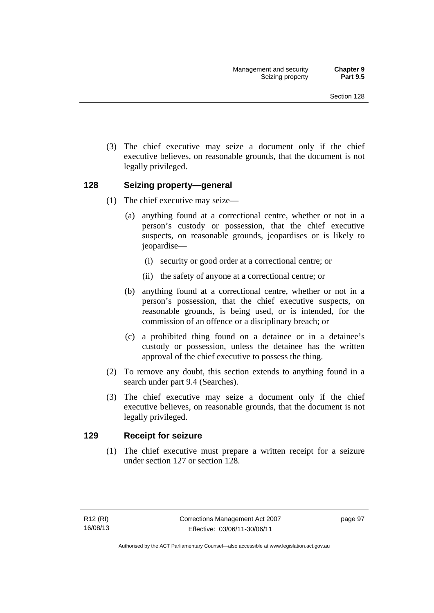(3) The chief executive may seize a document only if the chief executive believes, on reasonable grounds, that the document is not legally privileged.

## **128 Seizing property—general**

- (1) The chief executive may seize—
	- (a) anything found at a correctional centre, whether or not in a person's custody or possession, that the chief executive suspects, on reasonable grounds, jeopardises or is likely to jeopardise—
		- (i) security or good order at a correctional centre; or
		- (ii) the safety of anyone at a correctional centre; or
	- (b) anything found at a correctional centre, whether or not in a person's possession, that the chief executive suspects, on reasonable grounds, is being used, or is intended, for the commission of an offence or a disciplinary breach; or
	- (c) a prohibited thing found on a detainee or in a detainee's custody or possession, unless the detainee has the written approval of the chief executive to possess the thing.
- (2) To remove any doubt, this section extends to anything found in a search under part 9.4 (Searches).
- (3) The chief executive may seize a document only if the chief executive believes, on reasonable grounds, that the document is not legally privileged.

## **129 Receipt for seizure**

 (1) The chief executive must prepare a written receipt for a seizure under section 127 or section 128.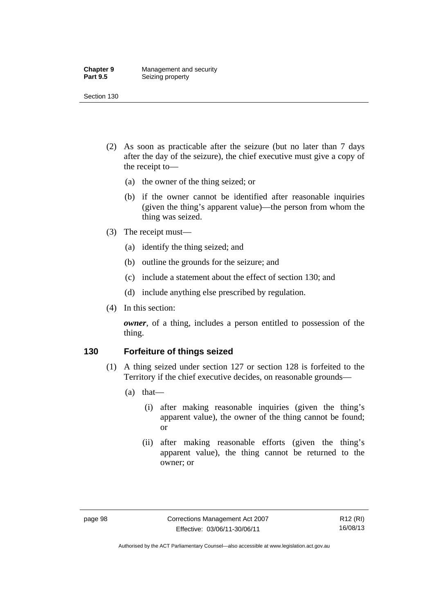#### **Chapter 9 Management and security**<br>**Part 9.5 Seizing property Seizing property**

Section 130

- (2) As soon as practicable after the seizure (but no later than 7 days after the day of the seizure), the chief executive must give a copy of the receipt to—
	- (a) the owner of the thing seized; or
	- (b) if the owner cannot be identified after reasonable inquiries (given the thing's apparent value)—the person from whom the thing was seized.
- (3) The receipt must—
	- (a) identify the thing seized; and
	- (b) outline the grounds for the seizure; and
	- (c) include a statement about the effect of section 130; and
	- (d) include anything else prescribed by regulation.
- (4) In this section:

*owner*, of a thing, includes a person entitled to possession of the thing.

## **130 Forfeiture of things seized**

- (1) A thing seized under section 127 or section 128 is forfeited to the Territory if the chief executive decides, on reasonable grounds—
	- (a) that—
		- (i) after making reasonable inquiries (given the thing's apparent value), the owner of the thing cannot be found; or
		- (ii) after making reasonable efforts (given the thing's apparent value), the thing cannot be returned to the owner; or

Authorised by the ACT Parliamentary Counsel—also accessible at www.legislation.act.gov.au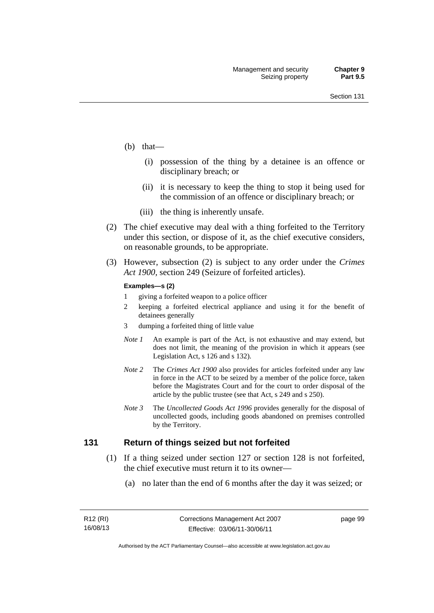- (b) that—
	- (i) possession of the thing by a detainee is an offence or disciplinary breach; or
	- (ii) it is necessary to keep the thing to stop it being used for the commission of an offence or disciplinary breach; or
	- (iii) the thing is inherently unsafe.
- (2) The chief executive may deal with a thing forfeited to the Territory under this section, or dispose of it, as the chief executive considers, on reasonable grounds, to be appropriate.
- (3) However, subsection (2) is subject to any order under the *Crimes Act 1900,* section 249 (Seizure of forfeited articles).

#### **Examples—s (2)**

- 1 giving a forfeited weapon to a police officer
- 2 keeping a forfeited electrical appliance and using it for the benefit of detainees generally
- 3 dumping a forfeited thing of little value
- *Note 1* An example is part of the Act, is not exhaustive and may extend, but does not limit, the meaning of the provision in which it appears (see Legislation Act, s 126 and s 132).
- *Note 2* The *Crimes Act 1900* also provides for articles forfeited under any law in force in the ACT to be seized by a member of the police force, taken before the Magistrates Court and for the court to order disposal of the article by the public trustee (see that Act, s 249 and s 250).
- *Note 3* The *Uncollected Goods Act 1996* provides generally for the disposal of uncollected goods, including goods abandoned on premises controlled by the Territory.

### **131 Return of things seized but not forfeited**

- (1) If a thing seized under section 127 or section 128 is not forfeited, the chief executive must return it to its owner—
	- (a) no later than the end of 6 months after the day it was seized; or

page 99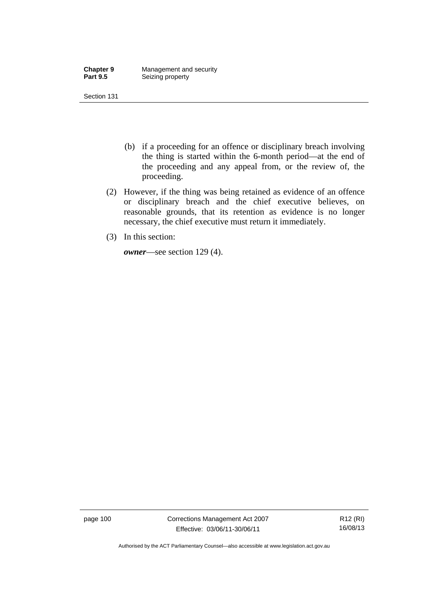| <b>Chapter 9</b> | Management and security |
|------------------|-------------------------|
| <b>Part 9.5</b>  | Seizing property        |

- (b) if a proceeding for an offence or disciplinary breach involving the thing is started within the 6-month period—at the end of the proceeding and any appeal from, or the review of, the proceeding.
- (2) However, if the thing was being retained as evidence of an offence or disciplinary breach and the chief executive believes, on reasonable grounds, that its retention as evidence is no longer necessary, the chief executive must return it immediately.
- (3) In this section:

*owner*—see section 129 (4).

page 100 Corrections Management Act 2007 Effective: 03/06/11-30/06/11

R12 (RI) 16/08/13

Authorised by the ACT Parliamentary Counsel—also accessible at www.legislation.act.gov.au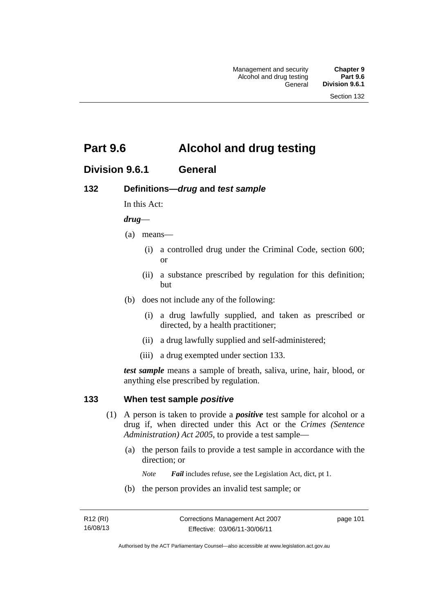## **Part 9.6 Alcohol and drug testing**

## **Division 9.6.1 General**

## **132 Definitions—***drug* **and** *test sample*

In this Act:

### *drug*—

- (a) means—
	- (i) a controlled drug under the Criminal Code, section 600; or
	- (ii) a substance prescribed by regulation for this definition; but
- (b) does not include any of the following:
	- (i) a drug lawfully supplied, and taken as prescribed or directed, by a health practitioner;
	- (ii) a drug lawfully supplied and self-administered;
	- (iii) a drug exempted under section 133.

*test sample* means a sample of breath, saliva, urine, hair, blood, or anything else prescribed by regulation.

## **133 When test sample** *positive*

- (1) A person is taken to provide a *positive* test sample for alcohol or a drug if, when directed under this Act or the *Crimes (Sentence Administration) Act 2005*, to provide a test sample—
	- (a) the person fails to provide a test sample in accordance with the direction; or
		- *Note Fail* includes refuse, see the Legislation Act, dict, pt 1.
	- (b) the person provides an invalid test sample; or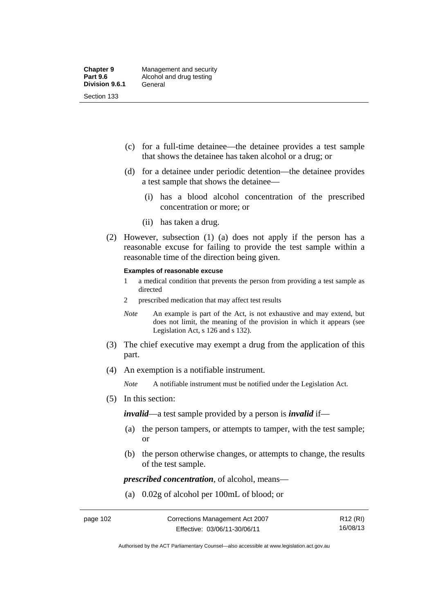- (c) for a full-time detainee—the detainee provides a test sample that shows the detainee has taken alcohol or a drug; or
- (d) for a detainee under periodic detention—the detainee provides a test sample that shows the detainee—
	- (i) has a blood alcohol concentration of the prescribed concentration or more; or
	- (ii) has taken a drug.
- (2) However, subsection (1) (a) does not apply if the person has a reasonable excuse for failing to provide the test sample within a reasonable time of the direction being given.

#### **Examples of reasonable excuse**

- 1 a medical condition that prevents the person from providing a test sample as directed
- 2 prescribed medication that may affect test results
- *Note* An example is part of the Act, is not exhaustive and may extend, but does not limit, the meaning of the provision in which it appears (see Legislation Act, s 126 and s 132).
- (3) The chief executive may exempt a drug from the application of this part.
- (4) An exemption is a notifiable instrument.

*Note* A notifiable instrument must be notified under the Legislation Act.

(5) In this section:

*invalid*—a test sample provided by a person is *invalid* if—

- (a) the person tampers, or attempts to tamper, with the test sample; or
- (b) the person otherwise changes, or attempts to change, the results of the test sample.

*prescribed concentration*, of alcohol, means—

(a) 0.02g of alcohol per 100mL of blood; or

R12 (RI) 16/08/13

Authorised by the ACT Parliamentary Counsel—also accessible at www.legislation.act.gov.au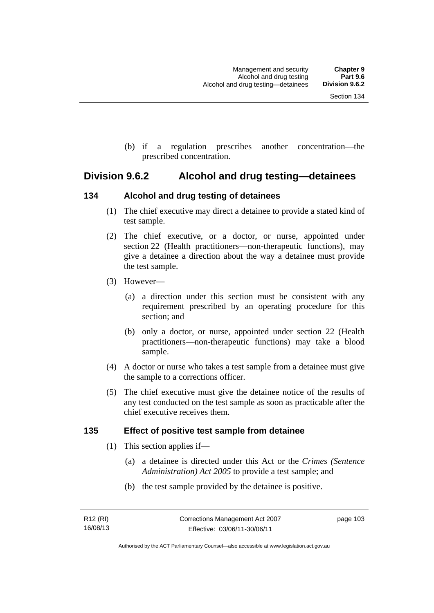(b) if a regulation prescribes another concentration—the prescribed concentration.

## **Division 9.6.2 Alcohol and drug testing—detainees**

## **134 Alcohol and drug testing of detainees**

- (1) The chief executive may direct a detainee to provide a stated kind of test sample.
- (2) The chief executive, or a doctor, or nurse, appointed under section 22 (Health practitioners—non-therapeutic functions), may give a detainee a direction about the way a detainee must provide the test sample.
- (3) However—
	- (a) a direction under this section must be consistent with any requirement prescribed by an operating procedure for this section; and
	- (b) only a doctor, or nurse, appointed under section 22 (Health practitioners—non-therapeutic functions) may take a blood sample.
- (4) A doctor or nurse who takes a test sample from a detainee must give the sample to a corrections officer.
- (5) The chief executive must give the detainee notice of the results of any test conducted on the test sample as soon as practicable after the chief executive receives them.

## **135 Effect of positive test sample from detainee**

- (1) This section applies if—
	- (a) a detainee is directed under this Act or the *Crimes (Sentence Administration) Act 2005* to provide a test sample; and
	- (b) the test sample provided by the detainee is positive.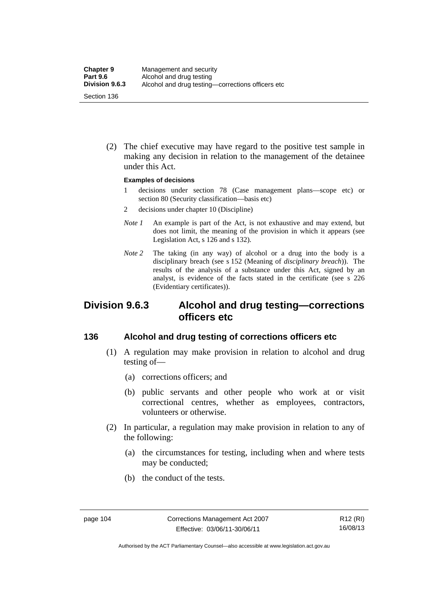(2) The chief executive may have regard to the positive test sample in making any decision in relation to the management of the detainee under this Act.

#### **Examples of decisions**

- 1 decisions under section 78 (Case management plans—scope etc) or section 80 (Security classification—basis etc)
- 2 decisions under chapter 10 (Discipline)
- *Note 1* An example is part of the Act, is not exhaustive and may extend, but does not limit, the meaning of the provision in which it appears (see Legislation Act, s 126 and s 132).
- *Note* 2 The taking (in any way) of alcohol or a drug into the body is a disciplinary breach (see s 152 (Meaning of *disciplinary breach*)). The results of the analysis of a substance under this Act, signed by an analyst, is evidence of the facts stated in the certificate (see s 226 (Evidentiary certificates)).

## **Division 9.6.3 Alcohol and drug testing—corrections officers etc**

## **136 Alcohol and drug testing of corrections officers etc**

- (1) A regulation may make provision in relation to alcohol and drug testing of—
	- (a) corrections officers; and
	- (b) public servants and other people who work at or visit correctional centres, whether as employees, contractors, volunteers or otherwise.
- (2) In particular, a regulation may make provision in relation to any of the following:
	- (a) the circumstances for testing, including when and where tests may be conducted;
	- (b) the conduct of the tests.

Authorised by the ACT Parliamentary Counsel—also accessible at www.legislation.act.gov.au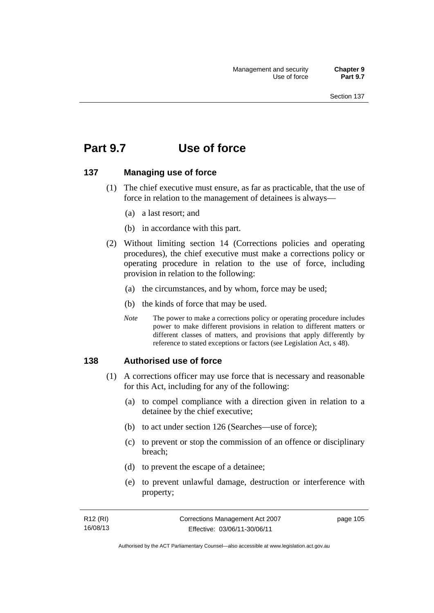## **Part 9.7 Use of force**

### **137 Managing use of force**

- (1) The chief executive must ensure, as far as practicable, that the use of force in relation to the management of detainees is always—
	- (a) a last resort; and
	- (b) in accordance with this part.
- (2) Without limiting section 14 (Corrections policies and operating procedures), the chief executive must make a corrections policy or operating procedure in relation to the use of force, including provision in relation to the following:
	- (a) the circumstances, and by whom, force may be used;
	- (b) the kinds of force that may be used.
	- *Note* The power to make a corrections policy or operating procedure includes power to make different provisions in relation to different matters or different classes of matters, and provisions that apply differently by reference to stated exceptions or factors (see Legislation Act, s 48).

### **138 Authorised use of force**

- (1) A corrections officer may use force that is necessary and reasonable for this Act, including for any of the following:
	- (a) to compel compliance with a direction given in relation to a detainee by the chief executive;
	- (b) to act under section 126 (Searches—use of force);
	- (c) to prevent or stop the commission of an offence or disciplinary breach;
	- (d) to prevent the escape of a detainee;
	- (e) to prevent unlawful damage, destruction or interference with property;

| R12 (RI) | Corrections Management Act 2007 | page 105 |
|----------|---------------------------------|----------|
| 16/08/13 | Effective: 03/06/11-30/06/11    |          |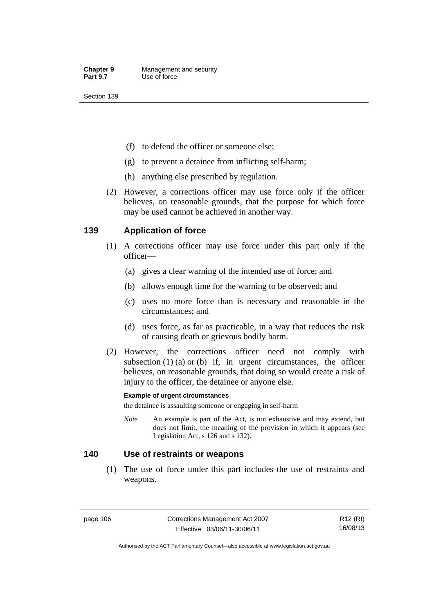- (f) to defend the officer or someone else;
- (g) to prevent a detainee from inflicting self-harm;
- (h) anything else prescribed by regulation.
- (2) However, a corrections officer may use force only if the officer believes, on reasonable grounds, that the purpose for which force may be used cannot be achieved in another way.

## **139 Application of force**

- (1) A corrections officer may use force under this part only if the officer—
	- (a) gives a clear warning of the intended use of force; and
	- (b) allows enough time for the warning to be observed; and
	- (c) uses no more force than is necessary and reasonable in the circumstances; and
	- (d) uses force, as far as practicable, in a way that reduces the risk of causing death or grievous bodily harm.
- (2) However, the corrections officer need not comply with subsection  $(1)$   $(a)$  or  $(b)$  if, in urgent circumstances, the officer believes, on reasonable grounds, that doing so would create a risk of injury to the officer, the detainee or anyone else.

### **Example of urgent circumstances**

the detainee is assaulting someone or engaging in self-harm

*Note* An example is part of the Act, is not exhaustive and may extend, but does not limit, the meaning of the provision in which it appears (see Legislation Act, s 126 and s 132).

### **140 Use of restraints or weapons**

 (1) The use of force under this part includes the use of restraints and weapons.

page 106 Corrections Management Act 2007 Effective: 03/06/11-30/06/11

R12 (RI) 16/08/13

Authorised by the ACT Parliamentary Counsel—also accessible at www.legislation.act.gov.au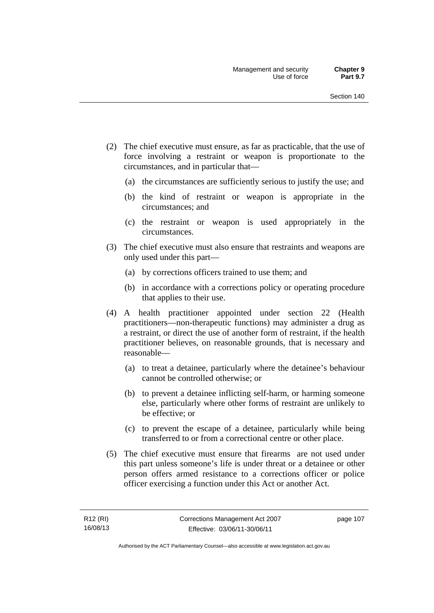- (2) The chief executive must ensure, as far as practicable, that the use of force involving a restraint or weapon is proportionate to the circumstances, and in particular that—
	- (a) the circumstances are sufficiently serious to justify the use; and
	- (b) the kind of restraint or weapon is appropriate in the circumstances; and
	- (c) the restraint or weapon is used appropriately in the circumstances.
- (3) The chief executive must also ensure that restraints and weapons are only used under this part—
	- (a) by corrections officers trained to use them; and
	- (b) in accordance with a corrections policy or operating procedure that applies to their use.
- (4) A health practitioner appointed under section 22 (Health practitioners—non-therapeutic functions) may administer a drug as a restraint, or direct the use of another form of restraint, if the health practitioner believes, on reasonable grounds, that is necessary and reasonable—
	- (a) to treat a detainee, particularly where the detainee's behaviour cannot be controlled otherwise; or
	- (b) to prevent a detainee inflicting self-harm, or harming someone else, particularly where other forms of restraint are unlikely to be effective; or
	- (c) to prevent the escape of a detainee, particularly while being transferred to or from a correctional centre or other place.
- (5) The chief executive must ensure that firearms are not used under this part unless someone's life is under threat or a detainee or other person offers armed resistance to a corrections officer or police officer exercising a function under this Act or another Act.

page 107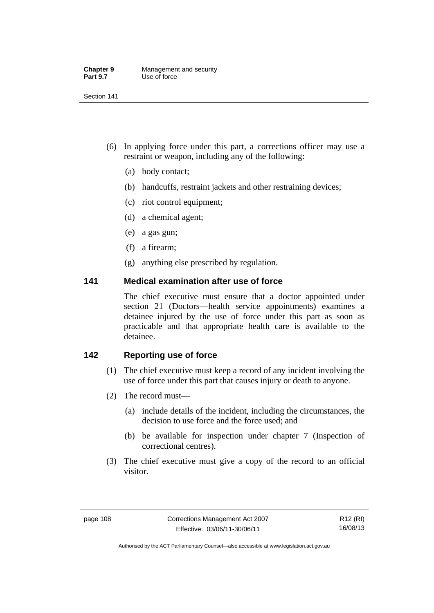| <b>Chapter 9</b> | Management and security |
|------------------|-------------------------|
| <b>Part 9.7</b>  | Use of force            |

- (6) In applying force under this part, a corrections officer may use a restraint or weapon, including any of the following:
	- (a) body contact;
	- (b) handcuffs, restraint jackets and other restraining devices;
	- (c) riot control equipment;
	- (d) a chemical agent;
	- (e) a gas gun;
	- (f) a firearm;
	- (g) anything else prescribed by regulation.

## **141 Medical examination after use of force**

The chief executive must ensure that a doctor appointed under section 21 (Doctors—health service appointments) examines a detainee injured by the use of force under this part as soon as practicable and that appropriate health care is available to the detainee.

## **142 Reporting use of force**

- (1) The chief executive must keep a record of any incident involving the use of force under this part that causes injury or death to anyone.
- (2) The record must—
	- (a) include details of the incident, including the circumstances, the decision to use force and the force used; and
	- (b) be available for inspection under chapter 7 (Inspection of correctional centres).
- (3) The chief executive must give a copy of the record to an official visitor.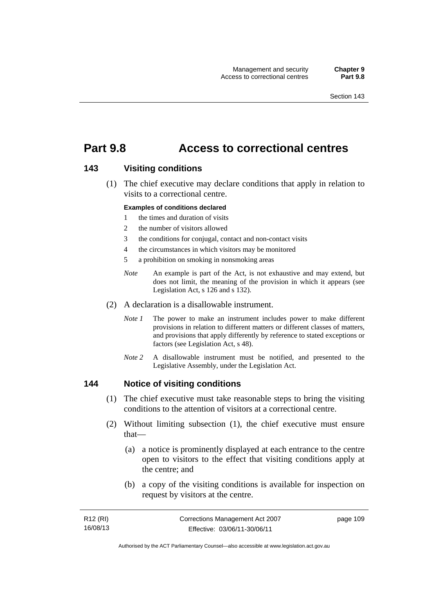## **Part 9.8 Access to correctional centres**

### **143 Visiting conditions**

 (1) The chief executive may declare conditions that apply in relation to visits to a correctional centre.

#### **Examples of conditions declared**

- 1 the times and duration of visits
- 2 the number of visitors allowed
- 3 the conditions for conjugal, contact and non-contact visits
- 4 the circumstances in which visitors may be monitored
- 5 a prohibition on smoking in nonsmoking areas
- *Note* An example is part of the Act, is not exhaustive and may extend, but does not limit, the meaning of the provision in which it appears (see Legislation Act, s 126 and s 132).
- (2) A declaration is a disallowable instrument.
	- *Note I* The power to make an instrument includes power to make different provisions in relation to different matters or different classes of matters, and provisions that apply differently by reference to stated exceptions or factors (see Legislation Act, s 48).
	- *Note 2* A disallowable instrument must be notified, and presented to the Legislative Assembly, under the Legislation Act.

### **144 Notice of visiting conditions**

- (1) The chief executive must take reasonable steps to bring the visiting conditions to the attention of visitors at a correctional centre.
- (2) Without limiting subsection (1), the chief executive must ensure that—
	- (a) a notice is prominently displayed at each entrance to the centre open to visitors to the effect that visiting conditions apply at the centre; and
	- (b) a copy of the visiting conditions is available for inspection on request by visitors at the centre.

| R12 (RI) | Corrections Management Act 2007 | page 109 |
|----------|---------------------------------|----------|
| 16/08/13 | Effective: 03/06/11-30/06/11    |          |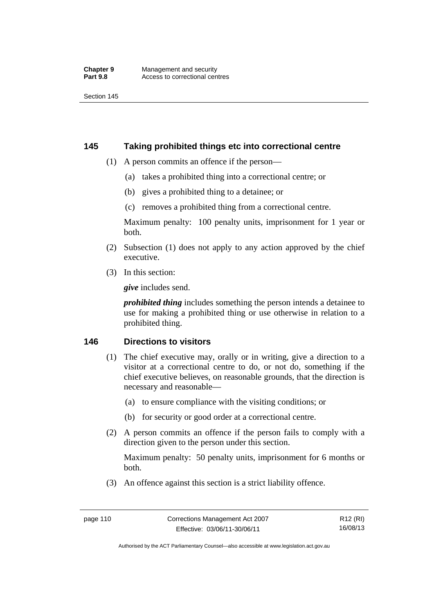## **145 Taking prohibited things etc into correctional centre**

- (1) A person commits an offence if the person—
	- (a) takes a prohibited thing into a correctional centre; or
	- (b) gives a prohibited thing to a detainee; or
	- (c) removes a prohibited thing from a correctional centre.

Maximum penalty: 100 penalty units, imprisonment for 1 year or both.

- (2) Subsection (1) does not apply to any action approved by the chief executive.
- (3) In this section:

*give* includes send.

*prohibited thing* includes something the person intends a detainee to use for making a prohibited thing or use otherwise in relation to a prohibited thing.

## **146 Directions to visitors**

- (1) The chief executive may, orally or in writing, give a direction to a visitor at a correctional centre to do, or not do, something if the chief executive believes, on reasonable grounds, that the direction is necessary and reasonable—
	- (a) to ensure compliance with the visiting conditions; or
	- (b) for security or good order at a correctional centre.
- (2) A person commits an offence if the person fails to comply with a direction given to the person under this section.

Maximum penalty: 50 penalty units, imprisonment for 6 months or both.

(3) An offence against this section is a strict liability offence.

Authorised by the ACT Parliamentary Counsel—also accessible at www.legislation.act.gov.au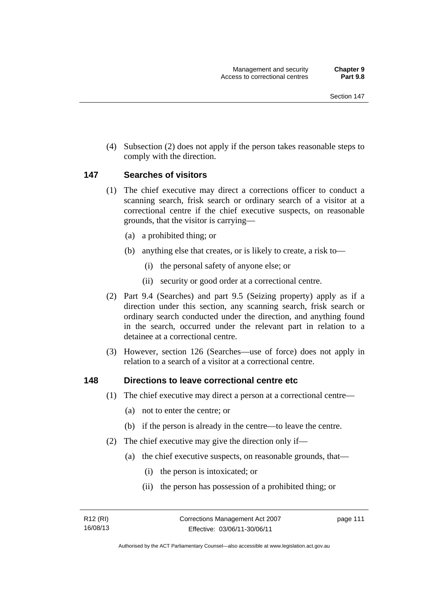(4) Subsection (2) does not apply if the person takes reasonable steps to comply with the direction.

### **147 Searches of visitors**

- (1) The chief executive may direct a corrections officer to conduct a scanning search, frisk search or ordinary search of a visitor at a correctional centre if the chief executive suspects, on reasonable grounds, that the visitor is carrying—
	- (a) a prohibited thing; or
	- (b) anything else that creates, or is likely to create, a risk to—
		- (i) the personal safety of anyone else; or
		- (ii) security or good order at a correctional centre.
- (2) Part 9.4 (Searches) and part 9.5 (Seizing property) apply as if a direction under this section, any scanning search, frisk search or ordinary search conducted under the direction, and anything found in the search, occurred under the relevant part in relation to a detainee at a correctional centre.
- (3) However, section 126 (Searches—use of force) does not apply in relation to a search of a visitor at a correctional centre.

### **148 Directions to leave correctional centre etc**

- (1) The chief executive may direct a person at a correctional centre—
	- (a) not to enter the centre; or
	- (b) if the person is already in the centre—to leave the centre.
- (2) The chief executive may give the direction only if—
	- (a) the chief executive suspects, on reasonable grounds, that—
		- (i) the person is intoxicated; or
		- (ii) the person has possession of a prohibited thing; or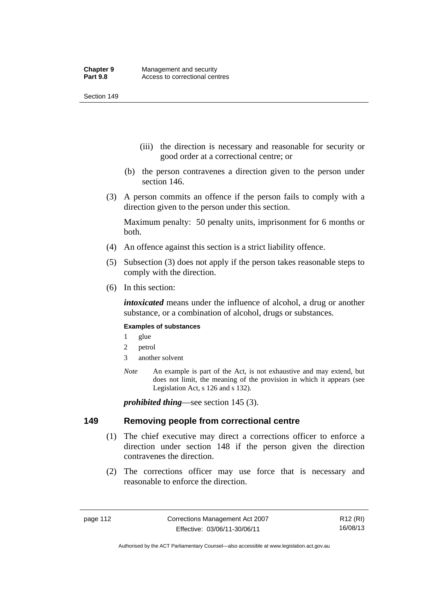- (iii) the direction is necessary and reasonable for security or good order at a correctional centre; or
- (b) the person contravenes a direction given to the person under section 146.
- (3) A person commits an offence if the person fails to comply with a direction given to the person under this section.

Maximum penalty: 50 penalty units, imprisonment for 6 months or both.

- (4) An offence against this section is a strict liability offence.
- (5) Subsection (3) does not apply if the person takes reasonable steps to comply with the direction.
- (6) In this section:

*intoxicated* means under the influence of alcohol, a drug or another substance, or a combination of alcohol, drugs or substances.

### **Examples of substances**

- 1 glue
- 2 petrol
- 3 another solvent
- *Note* An example is part of the Act, is not exhaustive and may extend, but does not limit, the meaning of the provision in which it appears (see Legislation Act, s 126 and s 132).

*prohibited thing*—see section 145 (3).

### **149 Removing people from correctional centre**

- (1) The chief executive may direct a corrections officer to enforce a direction under section 148 if the person given the direction contravenes the direction.
- (2) The corrections officer may use force that is necessary and reasonable to enforce the direction.

R12 (RI) 16/08/13

Authorised by the ACT Parliamentary Counsel—also accessible at www.legislation.act.gov.au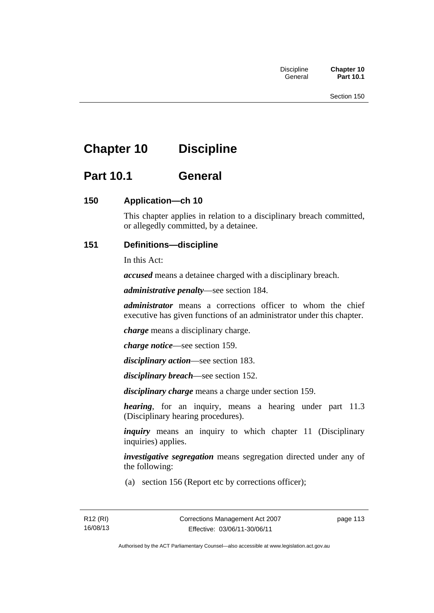# **Chapter 10 Discipline**

## **Part 10.1 General**

## **150 Application—ch 10**

This chapter applies in relation to a disciplinary breach committed, or allegedly committed, by a detainee.

## **151 Definitions—discipline**

In this Act:

*accused* means a detainee charged with a disciplinary breach.

*administrative penalty*—see section 184.

*administrator* means a corrections officer to whom the chief executive has given functions of an administrator under this chapter.

*charge* means a disciplinary charge.

*charge notice*—see section 159.

*disciplinary action*—see section 183.

*disciplinary breach*—see section 152.

*disciplinary charge* means a charge under section 159.

*hearing*, for an inquiry, means a hearing under part 11.3 (Disciplinary hearing procedures).

*inquiry* means an inquiry to which chapter 11 (Disciplinary inquiries) applies.

*investigative segregation* means segregation directed under any of the following:

(a) section 156 (Report etc by corrections officer);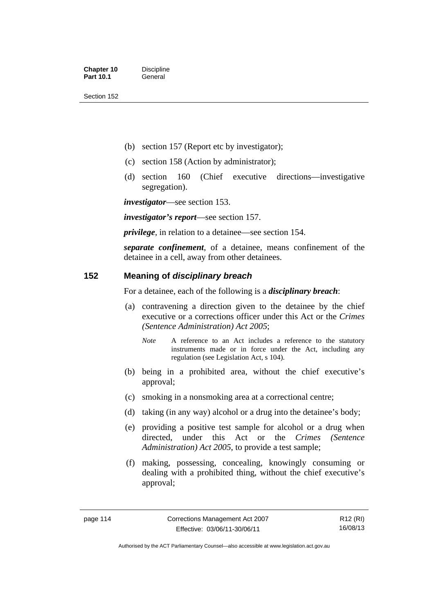- (b) section 157 (Report etc by investigator);
- (c) section 158 (Action by administrator);
- (d) section 160 (Chief executive directions—investigative segregation).

*investigator*—see section 153.

*investigator's report*—see section 157.

*privilege*, in relation to a detainee—see section 154.

*separate confinement*, of a detainee, means confinement of the detainee in a cell, away from other detainees.

## **152 Meaning of** *disciplinary breach*

For a detainee, each of the following is a *disciplinary breach*:

- (a) contravening a direction given to the detainee by the chief executive or a corrections officer under this Act or the *Crimes (Sentence Administration) Act 2005*;
	- *Note* A reference to an Act includes a reference to the statutory instruments made or in force under the Act, including any regulation (see Legislation Act, s 104).
- (b) being in a prohibited area, without the chief executive's approval;
- (c) smoking in a nonsmoking area at a correctional centre;
- (d) taking (in any way) alcohol or a drug into the detainee's body;
- (e) providing a positive test sample for alcohol or a drug when directed, under this Act or the *Crimes (Sentence Administration) Act 2005*, to provide a test sample;
- (f) making, possessing, concealing, knowingly consuming or dealing with a prohibited thing, without the chief executive's approval;

R12 (RI) 16/08/13

Authorised by the ACT Parliamentary Counsel—also accessible at www.legislation.act.gov.au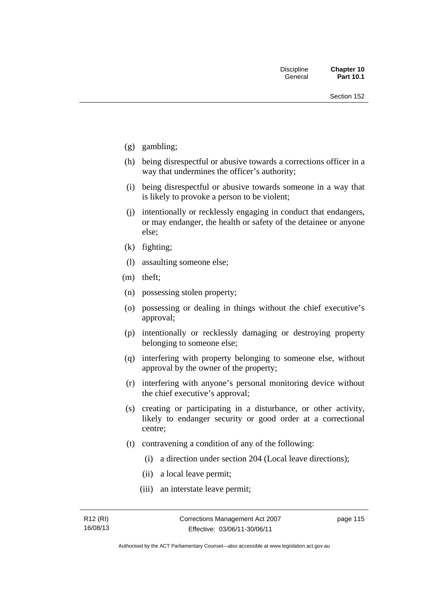- (g) gambling;
- (h) being disrespectful or abusive towards a corrections officer in a way that undermines the officer's authority;
- (i) being disrespectful or abusive towards someone in a way that is likely to provoke a person to be violent;
- (j) intentionally or recklessly engaging in conduct that endangers, or may endanger, the health or safety of the detainee or anyone else;
- (k) fighting;
- (l) assaulting someone else;
- (m) theft;
- (n) possessing stolen property;
- (o) possessing or dealing in things without the chief executive's approval;
- (p) intentionally or recklessly damaging or destroying property belonging to someone else;
- (q) interfering with property belonging to someone else, without approval by the owner of the property;
- (r) interfering with anyone's personal monitoring device without the chief executive's approval;
- (s) creating or participating in a disturbance, or other activity, likely to endanger security or good order at a correctional centre;
- (t) contravening a condition of any of the following:
	- (i) a direction under section 204 (Local leave directions);
	- (ii) a local leave permit;
	- (iii) an interstate leave permit;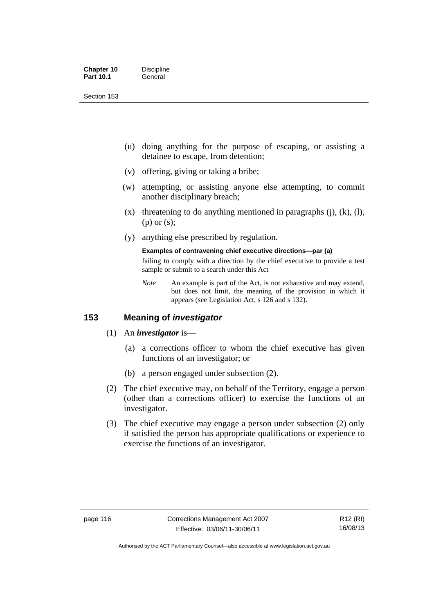| <b>Chapter 10</b> | <b>Discipline</b> |
|-------------------|-------------------|
| <b>Part 10.1</b>  | General           |

- (u) doing anything for the purpose of escaping, or assisting a detainee to escape, from detention;
- (v) offering, giving or taking a bribe;
- (w) attempting, or assisting anyone else attempting, to commit another disciplinary breach;
- $(x)$  threatening to do anything mentioned in paragraphs (j), (k), (l), (p) or (s);
- (y) anything else prescribed by regulation.

#### **Examples of contravening chief executive directions—par (a)**

failing to comply with a direction by the chief executive to provide a test sample or submit to a search under this Act

*Note* An example is part of the Act, is not exhaustive and may extend, but does not limit, the meaning of the provision in which it appears (see Legislation Act, s 126 and s 132).

## **153 Meaning of** *investigator*

- (1) An *investigator* is—
	- (a) a corrections officer to whom the chief executive has given functions of an investigator; or
	- (b) a person engaged under subsection (2).
- (2) The chief executive may, on behalf of the Territory, engage a person (other than a corrections officer) to exercise the functions of an investigator.
- (3) The chief executive may engage a person under subsection (2) only if satisfied the person has appropriate qualifications or experience to exercise the functions of an investigator.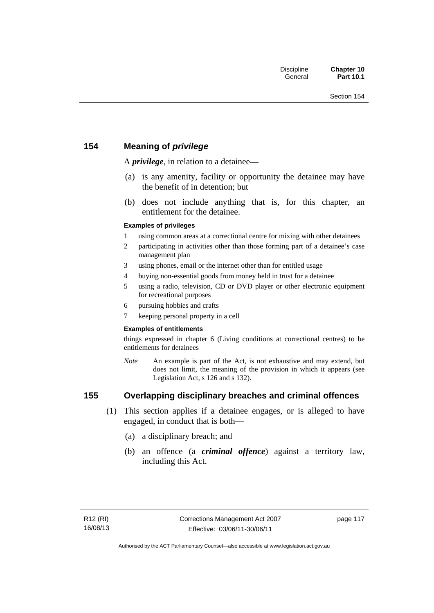## **154 Meaning of** *privilege*

A *privilege*, in relation to a detainee*—*

- (a) is any amenity, facility or opportunity the detainee may have the benefit of in detention; but
- (b) does not include anything that is, for this chapter, an entitlement for the detainee.

### **Examples of privileges**

- 1 using common areas at a correctional centre for mixing with other detainees
- 2 participating in activities other than those forming part of a detainee's case management plan
- 3 using phones, email or the internet other than for entitled usage
- 4 buying non-essential goods from money held in trust for a detainee
- 5 using a radio, television, CD or DVD player or other electronic equipment for recreational purposes
- 6 pursuing hobbies and crafts
- 7 keeping personal property in a cell

### **Examples of entitlements**

things expressed in chapter 6 (Living conditions at correctional centres) to be entitlements for detainees

*Note* An example is part of the Act, is not exhaustive and may extend, but does not limit, the meaning of the provision in which it appears (see Legislation Act, s 126 and s 132).

## **155 Overlapping disciplinary breaches and criminal offences**

- (1) This section applies if a detainee engages, or is alleged to have engaged, in conduct that is both—
	- (a) a disciplinary breach; and
	- (b) an offence (a *criminal offence*) against a territory law, including this Act.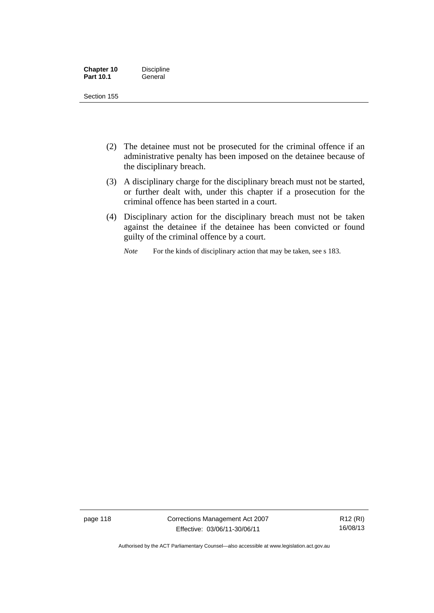| <b>Chapter 10</b> | <b>Discipline</b> |
|-------------------|-------------------|
| <b>Part 10.1</b>  | General           |

- (2) The detainee must not be prosecuted for the criminal offence if an administrative penalty has been imposed on the detainee because of the disciplinary breach.
- (3) A disciplinary charge for the disciplinary breach must not be started, or further dealt with, under this chapter if a prosecution for the criminal offence has been started in a court.
- (4) Disciplinary action for the disciplinary breach must not be taken against the detainee if the detainee has been convicted or found guilty of the criminal offence by a court.

*Note* For the kinds of disciplinary action that may be taken, see s 183.

page 118 Corrections Management Act 2007 Effective: 03/06/11-30/06/11

Authorised by the ACT Parliamentary Counsel—also accessible at www.legislation.act.gov.au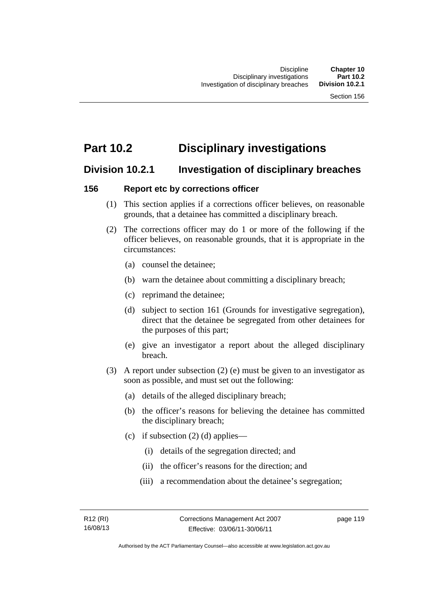## **Part 10.2 Disciplinary investigations**

## **Division 10.2.1 Investigation of disciplinary breaches**

## **156 Report etc by corrections officer**

- (1) This section applies if a corrections officer believes, on reasonable grounds, that a detainee has committed a disciplinary breach.
- (2) The corrections officer may do 1 or more of the following if the officer believes, on reasonable grounds, that it is appropriate in the circumstances:
	- (a) counsel the detainee;
	- (b) warn the detainee about committing a disciplinary breach;
	- (c) reprimand the detainee;
	- (d) subject to section 161 (Grounds for investigative segregation), direct that the detainee be segregated from other detainees for the purposes of this part;
	- (e) give an investigator a report about the alleged disciplinary breach.
- (3) A report under subsection (2) (e) must be given to an investigator as soon as possible, and must set out the following:
	- (a) details of the alleged disciplinary breach;
	- (b) the officer's reasons for believing the detainee has committed the disciplinary breach;
	- (c) if subsection  $(2)$  (d) applies—
		- (i) details of the segregation directed; and
		- (ii) the officer's reasons for the direction; and
		- (iii) a recommendation about the detainee's segregation;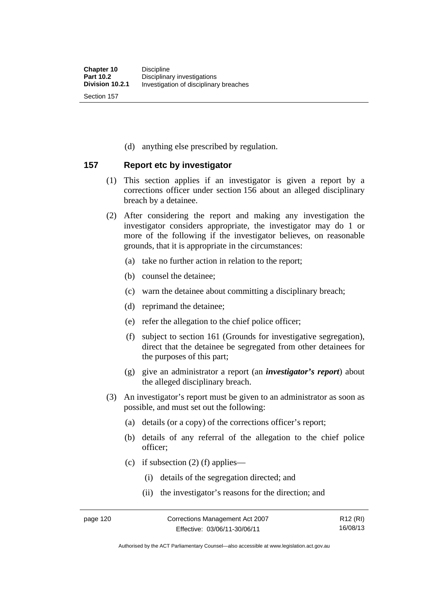(d) anything else prescribed by regulation.

## **157 Report etc by investigator**

- (1) This section applies if an investigator is given a report by a corrections officer under section 156 about an alleged disciplinary breach by a detainee.
- (2) After considering the report and making any investigation the investigator considers appropriate, the investigator may do 1 or more of the following if the investigator believes, on reasonable grounds, that it is appropriate in the circumstances:
	- (a) take no further action in relation to the report;
	- (b) counsel the detainee;
	- (c) warn the detainee about committing a disciplinary breach;
	- (d) reprimand the detainee;
	- (e) refer the allegation to the chief police officer;
	- (f) subject to section 161 (Grounds for investigative segregation), direct that the detainee be segregated from other detainees for the purposes of this part;
	- (g) give an administrator a report (an *investigator's report*) about the alleged disciplinary breach.
- (3) An investigator's report must be given to an administrator as soon as possible, and must set out the following:
	- (a) details (or a copy) of the corrections officer's report;
	- (b) details of any referral of the allegation to the chief police officer;
	- (c) if subsection  $(2)$  (f) applies—
		- (i) details of the segregation directed; and
		- (ii) the investigator's reasons for the direction; and

R12 (RI) 16/08/13

Authorised by the ACT Parliamentary Counsel—also accessible at www.legislation.act.gov.au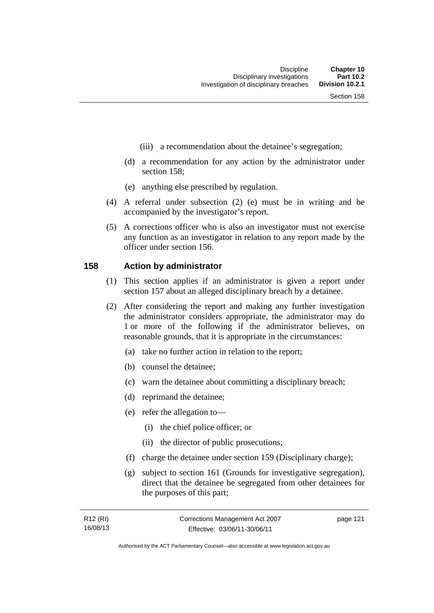- (iii) a recommendation about the detainee's segregation;
- (d) a recommendation for any action by the administrator under section 158;
- (e) anything else prescribed by regulation.
- (4) A referral under subsection (2) (e) must be in writing and be accompanied by the investigator's report.
- (5) A corrections officer who is also an investigator must not exercise any function as an investigator in relation to any report made by the officer under section 156.

### **158 Action by administrator**

- (1) This section applies if an administrator is given a report under section 157 about an alleged disciplinary breach by a detainee.
- (2) After considering the report and making any further investigation the administrator considers appropriate, the administrator may do 1 or more of the following if the administrator believes, on reasonable grounds, that it is appropriate in the circumstances:
	- (a) take no further action in relation to the report;
	- (b) counsel the detainee;
	- (c) warn the detainee about committing a disciplinary breach;
	- (d) reprimand the detainee;
	- (e) refer the allegation to—
		- (i) the chief police officer; or
		- (ii) the director of public prosecutions;
	- (f) charge the detainee under section 159 (Disciplinary charge);
	- (g) subject to section 161 (Grounds for investigative segregation), direct that the detainee be segregated from other detainees for the purposes of this part;

| R12 (RI) | Corrections Management Act 2007 | page 121 |
|----------|---------------------------------|----------|
| 16/08/13 | Effective: 03/06/11-30/06/11    |          |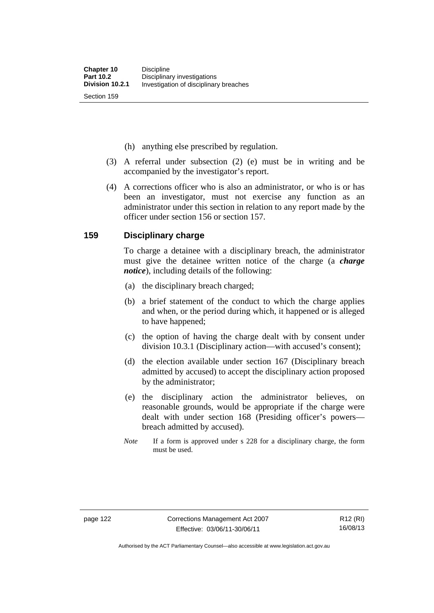(h) anything else prescribed by regulation.

- (3) A referral under subsection (2) (e) must be in writing and be accompanied by the investigator's report.
- (4) A corrections officer who is also an administrator, or who is or has been an investigator, must not exercise any function as an administrator under this section in relation to any report made by the officer under section 156 or section 157.

### **159 Disciplinary charge**

To charge a detainee with a disciplinary breach, the administrator must give the detainee written notice of the charge (a *charge notice*), including details of the following:

- (a) the disciplinary breach charged;
- (b) a brief statement of the conduct to which the charge applies and when, or the period during which, it happened or is alleged to have happened;
- (c) the option of having the charge dealt with by consent under division 10.3.1 (Disciplinary action—with accused's consent);
- (d) the election available under section 167 (Disciplinary breach admitted by accused) to accept the disciplinary action proposed by the administrator;
- (e) the disciplinary action the administrator believes, on reasonable grounds, would be appropriate if the charge were dealt with under section 168 (Presiding officer's powers breach admitted by accused).
- *Note* If a form is approved under s 228 for a disciplinary charge, the form must be used.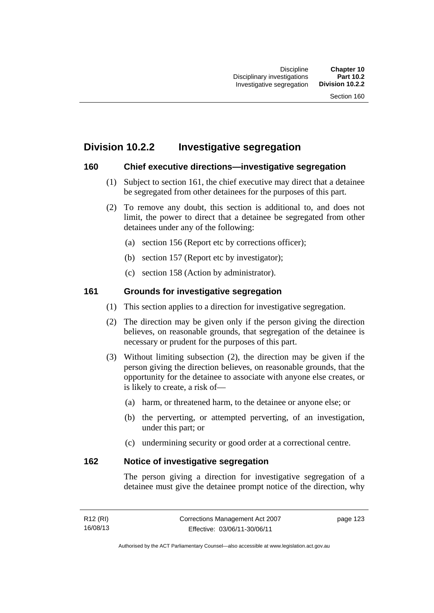## **Division 10.2.2 Investigative segregation**

## **160 Chief executive directions—investigative segregation**

- (1) Subject to section 161, the chief executive may direct that a detainee be segregated from other detainees for the purposes of this part.
- (2) To remove any doubt, this section is additional to, and does not limit, the power to direct that a detainee be segregated from other detainees under any of the following:
	- (a) section 156 (Report etc by corrections officer);
	- (b) section 157 (Report etc by investigator);
	- (c) section 158 (Action by administrator).

## **161 Grounds for investigative segregation**

- (1) This section applies to a direction for investigative segregation.
- (2) The direction may be given only if the person giving the direction believes, on reasonable grounds, that segregation of the detainee is necessary or prudent for the purposes of this part.
- (3) Without limiting subsection (2), the direction may be given if the person giving the direction believes, on reasonable grounds, that the opportunity for the detainee to associate with anyone else creates, or is likely to create, a risk of—
	- (a) harm, or threatened harm, to the detainee or anyone else; or
	- (b) the perverting, or attempted perverting, of an investigation, under this part; or
	- (c) undermining security or good order at a correctional centre.

## **162 Notice of investigative segregation**

The person giving a direction for investigative segregation of a detainee must give the detainee prompt notice of the direction, why

| R <sub>12</sub> (RI) | Corrections Management Act 2007 | page 123 |
|----------------------|---------------------------------|----------|
| 16/08/13             | Effective: 03/06/11-30/06/11    |          |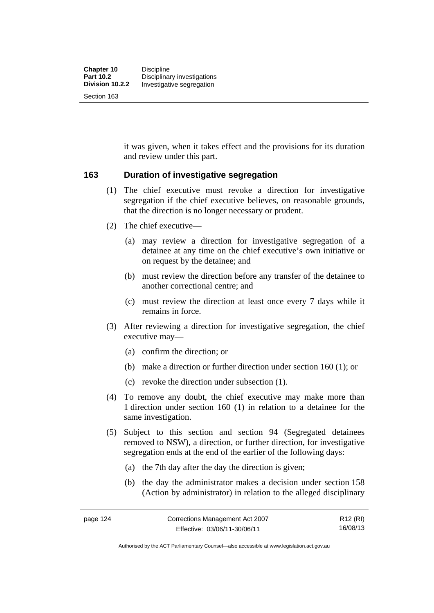it was given, when it takes effect and the provisions for its duration and review under this part.

## **163 Duration of investigative segregation**

- (1) The chief executive must revoke a direction for investigative segregation if the chief executive believes, on reasonable grounds, that the direction is no longer necessary or prudent.
- (2) The chief executive—
	- (a) may review a direction for investigative segregation of a detainee at any time on the chief executive's own initiative or on request by the detainee; and
	- (b) must review the direction before any transfer of the detainee to another correctional centre; and
	- (c) must review the direction at least once every 7 days while it remains in force.
- (3) After reviewing a direction for investigative segregation, the chief executive may—
	- (a) confirm the direction; or
	- (b) make a direction or further direction under section 160 (1); or
	- (c) revoke the direction under subsection (1).
- (4) To remove any doubt, the chief executive may make more than 1 direction under section 160 (1) in relation to a detainee for the same investigation.
- (5) Subject to this section and section 94 (Segregated detainees removed to NSW), a direction, or further direction, for investigative segregation ends at the end of the earlier of the following days:
	- (a) the 7th day after the day the direction is given;
	- (b) the day the administrator makes a decision under section 158 (Action by administrator) in relation to the alleged disciplinary

R12 (RI) 16/08/13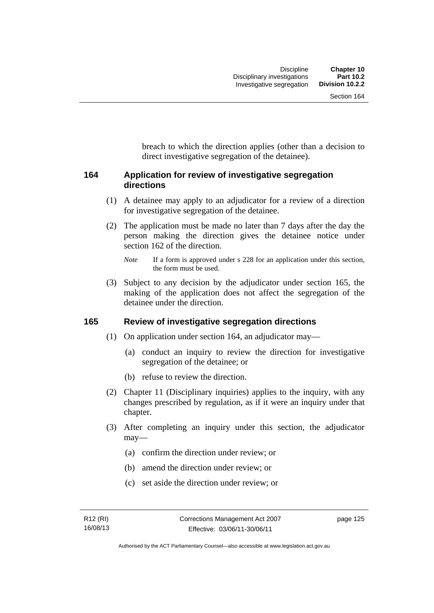breach to which the direction applies (other than a decision to direct investigative segregation of the detainee).

## **164 Application for review of investigative segregation directions**

- (1) A detainee may apply to an adjudicator for a review of a direction for investigative segregation of the detainee.
- (2) The application must be made no later than 7 days after the day the person making the direction gives the detainee notice under section 162 of the direction.

 (3) Subject to any decision by the adjudicator under section 165, the making of the application does not affect the segregation of the detainee under the direction.

## **165 Review of investigative segregation directions**

- (1) On application under section 164, an adjudicator may—
	- (a) conduct an inquiry to review the direction for investigative segregation of the detainee; or
	- (b) refuse to review the direction.
- (2) Chapter 11 (Disciplinary inquiries) applies to the inquiry, with any changes prescribed by regulation, as if it were an inquiry under that chapter.
- (3) After completing an inquiry under this section, the adjudicator may—
	- (a) confirm the direction under review; or
	- (b) amend the direction under review; or
	- (c) set aside the direction under review; or

*Note* If a form is approved under s 228 for an application under this section, the form must be used.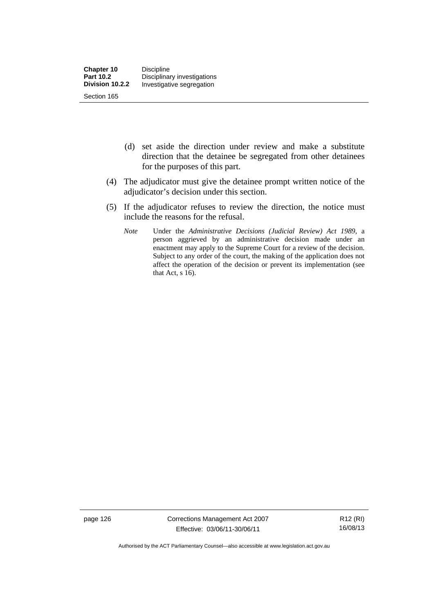- (d) set aside the direction under review and make a substitute direction that the detainee be segregated from other detainees for the purposes of this part.
- (4) The adjudicator must give the detainee prompt written notice of the adjudicator's decision under this section.
- (5) If the adjudicator refuses to review the direction, the notice must include the reasons for the refusal.
	- *Note* Under the *Administrative Decisions (Judicial Review) Act 1989*, a person aggrieved by an administrative decision made under an enactment may apply to the Supreme Court for a review of the decision. Subject to any order of the court, the making of the application does not affect the operation of the decision or prevent its implementation (see that Act,  $s$  16).

page 126 Corrections Management Act 2007 Effective: 03/06/11-30/06/11

R12 (RI) 16/08/13

Authorised by the ACT Parliamentary Counsel—also accessible at www.legislation.act.gov.au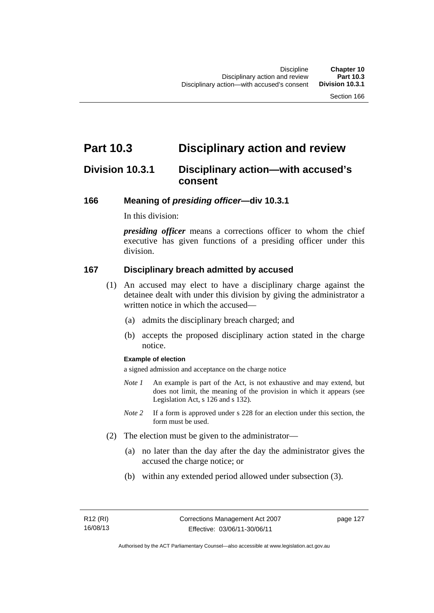## **Part 10.3 Disciplinary action and review**

## **Division 10.3.1 Disciplinary action—with accused's consent**

### **166 Meaning of** *presiding officer***—div 10.3.1**

In this division:

*presiding officer* means a corrections officer to whom the chief executive has given functions of a presiding officer under this division.

### **167 Disciplinary breach admitted by accused**

- (1) An accused may elect to have a disciplinary charge against the detainee dealt with under this division by giving the administrator a written notice in which the accused—
	- (a) admits the disciplinary breach charged; and
	- (b) accepts the proposed disciplinary action stated in the charge notice.

### **Example of election**

a signed admission and acceptance on the charge notice

- *Note 1* An example is part of the Act, is not exhaustive and may extend, but does not limit, the meaning of the provision in which it appears (see Legislation Act, s 126 and s 132).
- *Note* 2 If a form is approved under s 228 for an election under this section, the form must be used.
- (2) The election must be given to the administrator—
	- (a) no later than the day after the day the administrator gives the accused the charge notice; or
	- (b) within any extended period allowed under subsection (3).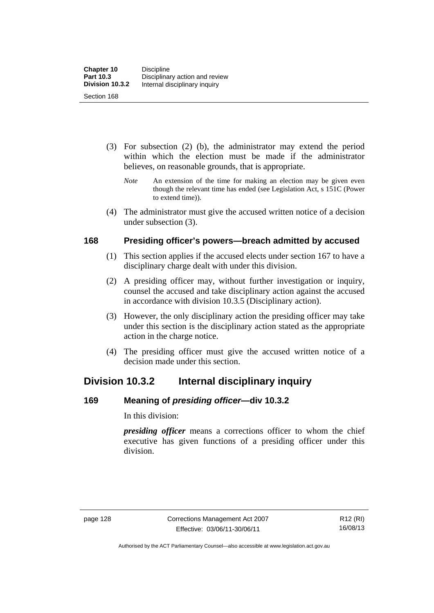- (3) For subsection (2) (b), the administrator may extend the period within which the election must be made if the administrator believes, on reasonable grounds, that is appropriate.
	- *Note* An extension of the time for making an election may be given even though the relevant time has ended (see Legislation Act, s 151C (Power to extend time)).
- (4) The administrator must give the accused written notice of a decision under subsection (3).

## **168 Presiding officer's powers—breach admitted by accused**

- (1) This section applies if the accused elects under section 167 to have a disciplinary charge dealt with under this division.
- (2) A presiding officer may, without further investigation or inquiry, counsel the accused and take disciplinary action against the accused in accordance with division 10.3.5 (Disciplinary action).
- (3) However, the only disciplinary action the presiding officer may take under this section is the disciplinary action stated as the appropriate action in the charge notice.
- (4) The presiding officer must give the accused written notice of a decision made under this section.

## **Division 10.3.2 Internal disciplinary inquiry**

## **169 Meaning of** *presiding officer***—div 10.3.2**

In this division:

*presiding officer* means a corrections officer to whom the chief executive has given functions of a presiding officer under this division.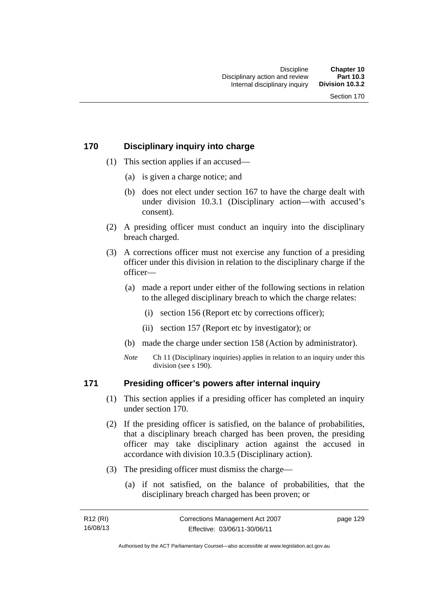## **170 Disciplinary inquiry into charge**

- (1) This section applies if an accused—
	- (a) is given a charge notice; and
	- (b) does not elect under section 167 to have the charge dealt with under division 10.3.1 (Disciplinary action—with accused's consent).
- (2) A presiding officer must conduct an inquiry into the disciplinary breach charged.
- (3) A corrections officer must not exercise any function of a presiding officer under this division in relation to the disciplinary charge if the officer—
	- (a) made a report under either of the following sections in relation to the alleged disciplinary breach to which the charge relates:
		- (i) section 156 (Report etc by corrections officer);
		- (ii) section 157 (Report etc by investigator); or
	- (b) made the charge under section 158 (Action by administrator).
	- *Note* Ch 11 (Disciplinary inquiries) applies in relation to an inquiry under this division (see s 190).

## **171 Presiding officer's powers after internal inquiry**

- (1) This section applies if a presiding officer has completed an inquiry under section 170.
- (2) If the presiding officer is satisfied, on the balance of probabilities, that a disciplinary breach charged has been proven, the presiding officer may take disciplinary action against the accused in accordance with division 10.3.5 (Disciplinary action).
- (3) The presiding officer must dismiss the charge—
	- (a) if not satisfied, on the balance of probabilities, that the disciplinary breach charged has been proven; or

| R12 (RI) | Corrections Management Act 2007 | page 129 |
|----------|---------------------------------|----------|
| 16/08/13 | Effective: 03/06/11-30/06/11    |          |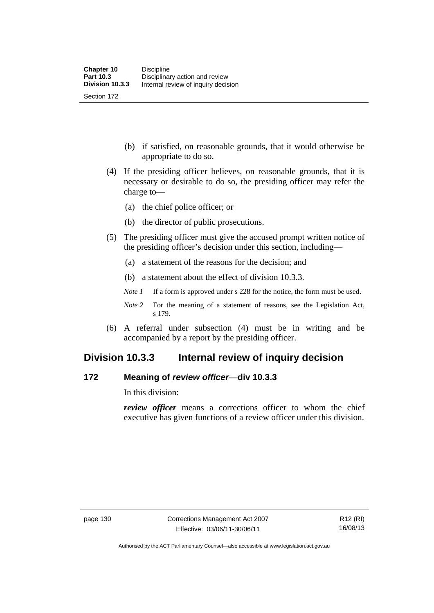(b) if satisfied, on reasonable grounds, that it would otherwise be appropriate to do so.

- (4) If the presiding officer believes, on reasonable grounds, that it is necessary or desirable to do so, the presiding officer may refer the charge to—
	- (a) the chief police officer; or
	- (b) the director of public prosecutions.
- (5) The presiding officer must give the accused prompt written notice of the presiding officer's decision under this section, including—
	- (a) a statement of the reasons for the decision; and
	- (b) a statement about the effect of division 10.3.3.
	- *Note 1* If a form is approved under s 228 for the notice, the form must be used.
	- *Note 2* For the meaning of a statement of reasons, see the Legislation Act, s 179.
- (6) A referral under subsection (4) must be in writing and be accompanied by a report by the presiding officer.

## **Division 10.3.3 Internal review of inquiry decision**

## **172 Meaning of** *review officer*—**div 10.3.3**

In this division:

*review officer* means a corrections officer to whom the chief executive has given functions of a review officer under this division.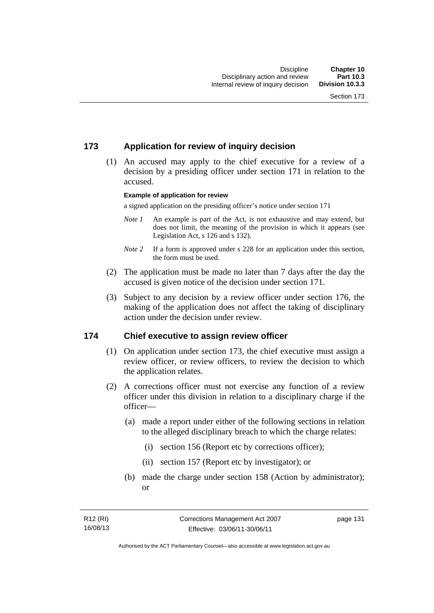## **173 Application for review of inquiry decision**

 (1) An accused may apply to the chief executive for a review of a decision by a presiding officer under section 171 in relation to the accused.

#### **Example of application for review**

a signed application on the presiding officer's notice under section 171

- *Note 1* An example is part of the Act, is not exhaustive and may extend, but does not limit, the meaning of the provision in which it appears (see Legislation Act, s 126 and s 132).
- *Note* 2 If a form is approved under s 228 for an application under this section, the form must be used.
- (2) The application must be made no later than 7 days after the day the accused is given notice of the decision under section 171.
- (3) Subject to any decision by a review officer under section 176, the making of the application does not affect the taking of disciplinary action under the decision under review.

## **174 Chief executive to assign review officer**

- (1) On application under section 173, the chief executive must assign a review officer, or review officers, to review the decision to which the application relates.
- (2) A corrections officer must not exercise any function of a review officer under this division in relation to a disciplinary charge if the officer—
	- (a) made a report under either of the following sections in relation to the alleged disciplinary breach to which the charge relates:
		- (i) section 156 (Report etc by corrections officer);
		- (ii) section 157 (Report etc by investigator); or
	- (b) made the charge under section 158 (Action by administrator); or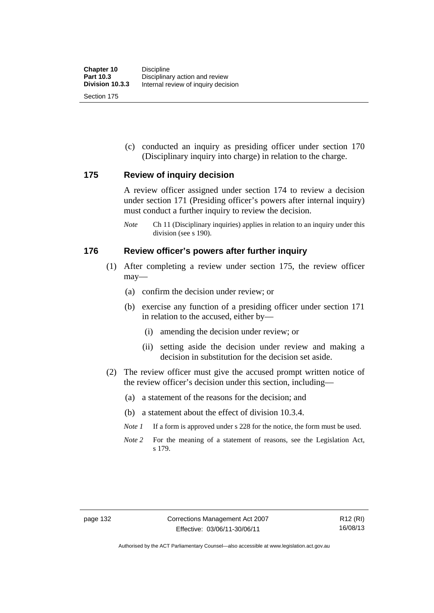(c) conducted an inquiry as presiding officer under section 170 (Disciplinary inquiry into charge) in relation to the charge.

## **175 Review of inquiry decision**

A review officer assigned under section 174 to review a decision under section 171 (Presiding officer's powers after internal inquiry) must conduct a further inquiry to review the decision.

*Note* Ch 11 (Disciplinary inquiries) applies in relation to an inquiry under this division (see s 190).

## **176 Review officer's powers after further inquiry**

- (1) After completing a review under section 175, the review officer may—
	- (a) confirm the decision under review; or
	- (b) exercise any function of a presiding officer under section 171 in relation to the accused, either by—
		- (i) amending the decision under review; or
		- (ii) setting aside the decision under review and making a decision in substitution for the decision set aside.
- (2) The review officer must give the accused prompt written notice of the review officer's decision under this section, including—
	- (a) a statement of the reasons for the decision; and
	- (b) a statement about the effect of division 10.3.4.
	- *Note 1* If a form is approved under s 228 for the notice, the form must be used.
	- *Note 2* For the meaning of a statement of reasons, see the Legislation Act, s 179.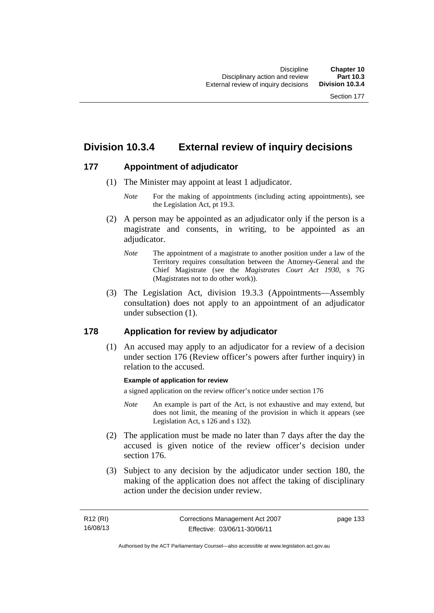## **Division 10.3.4 External review of inquiry decisions**

## **177 Appointment of adjudicator**

- (1) The Minister may appoint at least 1 adjudicator.
	- *Note* For the making of appointments (including acting appointments), see the Legislation Act, pt 19.3.
- (2) A person may be appointed as an adjudicator only if the person is a magistrate and consents, in writing, to be appointed as an adiudicator.
	- *Note* The appointment of a magistrate to another position under a law of the Territory requires consultation between the Attorney-General and the Chief Magistrate (see the *Magistrates Court Act 1930*, s 7G (Magistrates not to do other work)).
- (3) The Legislation Act, division 19.3.3 (Appointments—Assembly consultation) does not apply to an appointment of an adjudicator under subsection (1).

## **178 Application for review by adjudicator**

 (1) An accused may apply to an adjudicator for a review of a decision under section 176 (Review officer's powers after further inquiry) in relation to the accused.

## **Example of application for review**

a signed application on the review officer's notice under section 176

- *Note* An example is part of the Act, is not exhaustive and may extend, but does not limit, the meaning of the provision in which it appears (see Legislation Act, s 126 and s 132).
- (2) The application must be made no later than 7 days after the day the accused is given notice of the review officer's decision under section 176.
- (3) Subject to any decision by the adjudicator under section 180, the making of the application does not affect the taking of disciplinary action under the decision under review.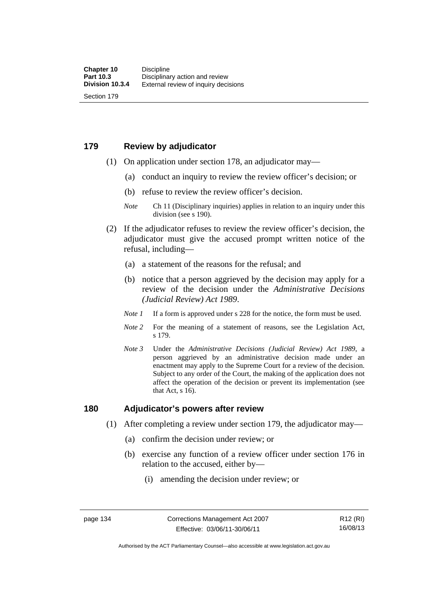## **179 Review by adjudicator**

Section 179

- (1) On application under section 178, an adjudicator may—
	- (a) conduct an inquiry to review the review officer's decision; or
	- (b) refuse to review the review officer's decision.

- (2) If the adjudicator refuses to review the review officer's decision, the adjudicator must give the accused prompt written notice of the refusal, including—
	- (a) a statement of the reasons for the refusal; and
	- (b) notice that a person aggrieved by the decision may apply for a review of the decision under the *Administrative Decisions (Judicial Review) Act 1989*.
	- *Note 1* If a form is approved under s 228 for the notice, the form must be used.
	- *Note 2* For the meaning of a statement of reasons, see the Legislation Act, s 179.
	- *Note 3* Under the *Administrative Decisions (Judicial Review) Act 1989*, a person aggrieved by an administrative decision made under an enactment may apply to the Supreme Court for a review of the decision. Subject to any order of the Court, the making of the application does not affect the operation of the decision or prevent its implementation (see that Act, s 16).

## **180 Adjudicator's powers after review**

- (1) After completing a review under section 179, the adjudicator may—
	- (a) confirm the decision under review; or
	- (b) exercise any function of a review officer under section 176 in relation to the accused, either by—
		- (i) amending the decision under review; or

R12 (RI) 16/08/13

*Note* Ch 11 (Disciplinary inquiries) applies in relation to an inquiry under this division (see s 190).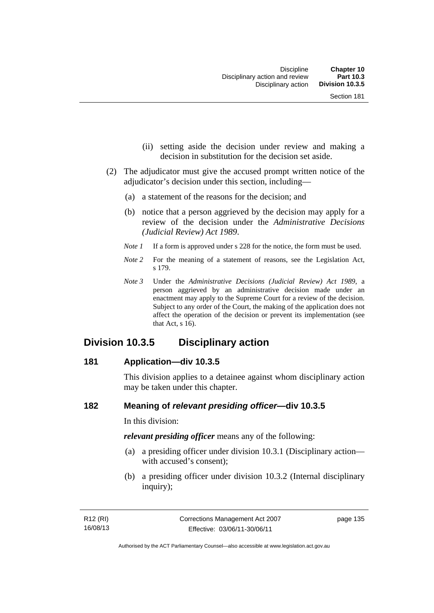- (ii) setting aside the decision under review and making a decision in substitution for the decision set aside.
- (2) The adjudicator must give the accused prompt written notice of the adjudicator's decision under this section, including—
	- (a) a statement of the reasons for the decision; and
	- (b) notice that a person aggrieved by the decision may apply for a review of the decision under the *Administrative Decisions (Judicial Review) Act 1989*.
	- *Note 1* If a form is approved under s 228 for the notice, the form must be used.
	- *Note* 2 For the meaning of a statement of reasons, see the Legislation Act, s 179.
	- *Note 3* Under the *Administrative Decisions (Judicial Review) Act 1989*, a person aggrieved by an administrative decision made under an enactment may apply to the Supreme Court for a review of the decision. Subject to any order of the Court, the making of the application does not affect the operation of the decision or prevent its implementation (see that Act, s 16).

## **Division 10.3.5 Disciplinary action**

## **181 Application—div 10.3.5**

This division applies to a detainee against whom disciplinary action may be taken under this chapter.

## **182 Meaning of** *relevant presiding officer***—div 10.3.5**

In this division:

*relevant presiding officer* means any of the following:

- (a) a presiding officer under division 10.3.1 (Disciplinary action with accused's consent);
- (b) a presiding officer under division 10.3.2 (Internal disciplinary inquiry);

page 135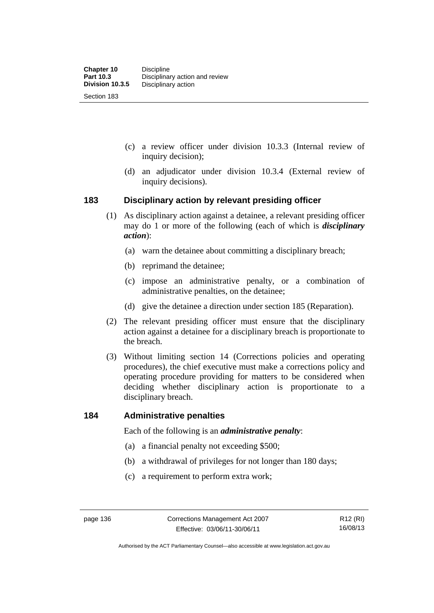- (c) a review officer under division 10.3.3 (Internal review of inquiry decision);
- (d) an adjudicator under division 10.3.4 (External review of inquiry decisions).

## **183 Disciplinary action by relevant presiding officer**

- (1) As disciplinary action against a detainee, a relevant presiding officer may do 1 or more of the following (each of which is *disciplinary action*):
	- (a) warn the detainee about committing a disciplinary breach;
	- (b) reprimand the detainee;
	- (c) impose an administrative penalty, or a combination of administrative penalties, on the detainee;
	- (d) give the detainee a direction under section 185 (Reparation).
- (2) The relevant presiding officer must ensure that the disciplinary action against a detainee for a disciplinary breach is proportionate to the breach.
- (3) Without limiting section 14 (Corrections policies and operating procedures), the chief executive must make a corrections policy and operating procedure providing for matters to be considered when deciding whether disciplinary action is proportionate to a disciplinary breach.

## **184 Administrative penalties**

Each of the following is an *administrative penalty*:

- (a) a financial penalty not exceeding \$500;
- (b) a withdrawal of privileges for not longer than 180 days;
- (c) a requirement to perform extra work;

Authorised by the ACT Parliamentary Counsel—also accessible at www.legislation.act.gov.au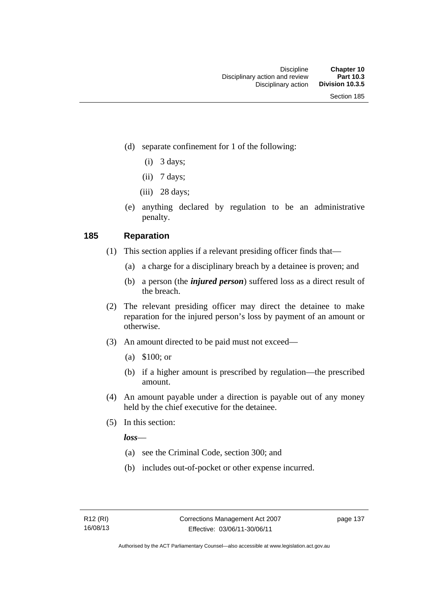- (d) separate confinement for 1 of the following:
	- $(i)$  3 days;
	- $(ii)$  7 days;
	- $(iii)$  28 days;
- (e) anything declared by regulation to be an administrative penalty.

## **185 Reparation**

- (1) This section applies if a relevant presiding officer finds that—
	- (a) a charge for a disciplinary breach by a detainee is proven; and
	- (b) a person (the *injured person*) suffered loss as a direct result of the breach.
- (2) The relevant presiding officer may direct the detainee to make reparation for the injured person's loss by payment of an amount or otherwise.
- (3) An amount directed to be paid must not exceed—
	- (a) \$100; or
	- (b) if a higher amount is prescribed by regulation—the prescribed amount.
- (4) An amount payable under a direction is payable out of any money held by the chief executive for the detainee.
- (5) In this section:

*loss*—

- (a) see the Criminal Code, section 300; and
- (b) includes out-of-pocket or other expense incurred.

page 137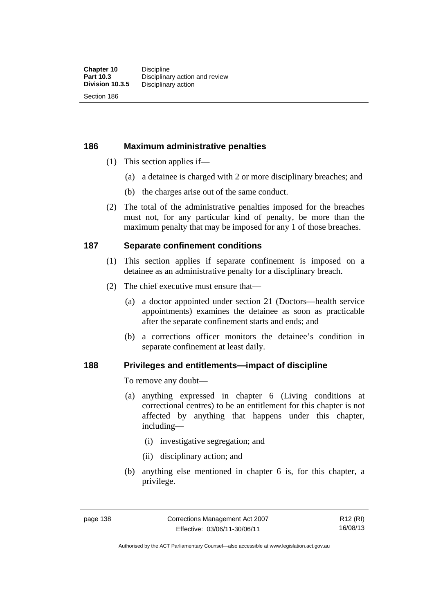Section 186

## **186 Maximum administrative penalties**

- (1) This section applies if—
	- (a) a detainee is charged with 2 or more disciplinary breaches; and
	- (b) the charges arise out of the same conduct.
- (2) The total of the administrative penalties imposed for the breaches must not, for any particular kind of penalty, be more than the maximum penalty that may be imposed for any 1 of those breaches.

## **187 Separate confinement conditions**

- (1) This section applies if separate confinement is imposed on a detainee as an administrative penalty for a disciplinary breach.
- (2) The chief executive must ensure that—
	- (a) a doctor appointed under section 21 (Doctors—health service appointments) examines the detainee as soon as practicable after the separate confinement starts and ends; and
	- (b) a corrections officer monitors the detainee's condition in separate confinement at least daily.

## **188 Privileges and entitlements—impact of discipline**

To remove any doubt—

- (a) anything expressed in chapter 6 (Living conditions at correctional centres) to be an entitlement for this chapter is not affected by anything that happens under this chapter, including—
	- (i) investigative segregation; and
	- (ii) disciplinary action; and
- (b) anything else mentioned in chapter 6 is, for this chapter, a privilege.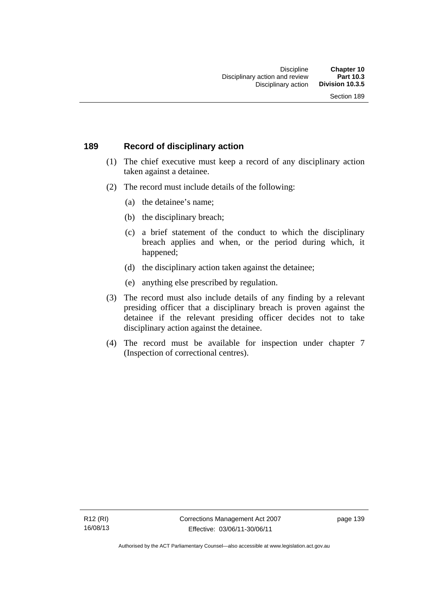## **189 Record of disciplinary action**

- (1) The chief executive must keep a record of any disciplinary action taken against a detainee.
- (2) The record must include details of the following:
	- (a) the detainee's name;
	- (b) the disciplinary breach;
	- (c) a brief statement of the conduct to which the disciplinary breach applies and when, or the period during which, it happened;
	- (d) the disciplinary action taken against the detainee;
	- (e) anything else prescribed by regulation.
- (3) The record must also include details of any finding by a relevant presiding officer that a disciplinary breach is proven against the detainee if the relevant presiding officer decides not to take disciplinary action against the detainee.
- (4) The record must be available for inspection under chapter 7 (Inspection of correctional centres).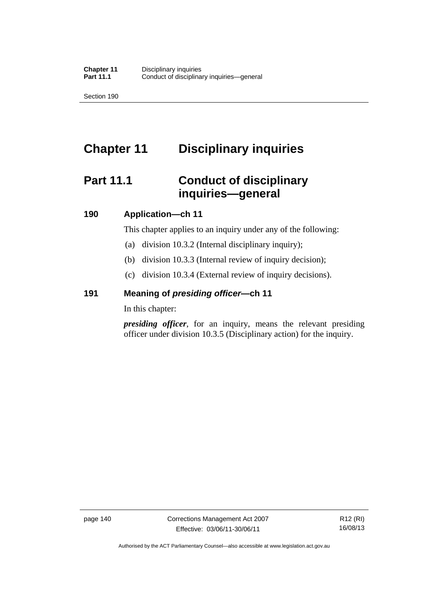Section 190

# **Chapter 11 Disciplinary inquiries**

# **Part 11.1 Conduct of disciplinary inquiries—general**

## **190 Application—ch 11**

This chapter applies to an inquiry under any of the following:

- (a) division 10.3.2 (Internal disciplinary inquiry);
- (b) division 10.3.3 (Internal review of inquiry decision);
- (c) division 10.3.4 (External review of inquiry decisions).

## **191 Meaning of** *presiding officer—***ch 11**

In this chapter:

*presiding officer*, for an inquiry, means the relevant presiding officer under division 10.3.5 (Disciplinary action) for the inquiry.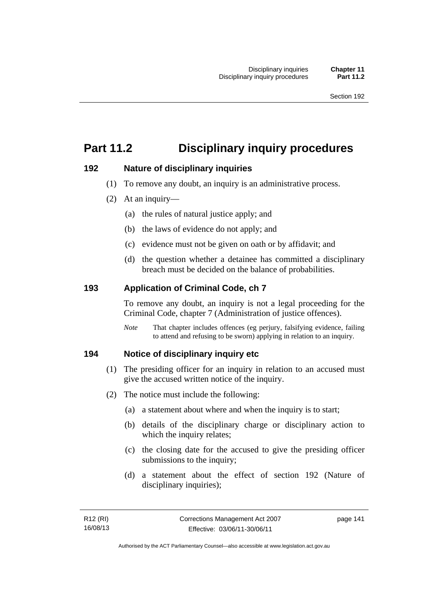# **Part 11.2 Disciplinary inquiry procedures**

## **192 Nature of disciplinary inquiries**

- (1) To remove any doubt, an inquiry is an administrative process.
- (2) At an inquiry—
	- (a) the rules of natural justice apply; and
	- (b) the laws of evidence do not apply; and
	- (c) evidence must not be given on oath or by affidavit; and
	- (d) the question whether a detainee has committed a disciplinary breach must be decided on the balance of probabilities.

## **193 Application of Criminal Code, ch 7**

To remove any doubt, an inquiry is not a legal proceeding for the Criminal Code, chapter 7 (Administration of justice offences).

*Note* That chapter includes offences (eg perjury, falsifying evidence, failing to attend and refusing to be sworn) applying in relation to an inquiry.

## **194 Notice of disciplinary inquiry etc**

- (1) The presiding officer for an inquiry in relation to an accused must give the accused written notice of the inquiry.
- (2) The notice must include the following:
	- (a) a statement about where and when the inquiry is to start;
	- (b) details of the disciplinary charge or disciplinary action to which the inquiry relates;
	- (c) the closing date for the accused to give the presiding officer submissions to the inquiry;
	- (d) a statement about the effect of section 192 (Nature of disciplinary inquiries);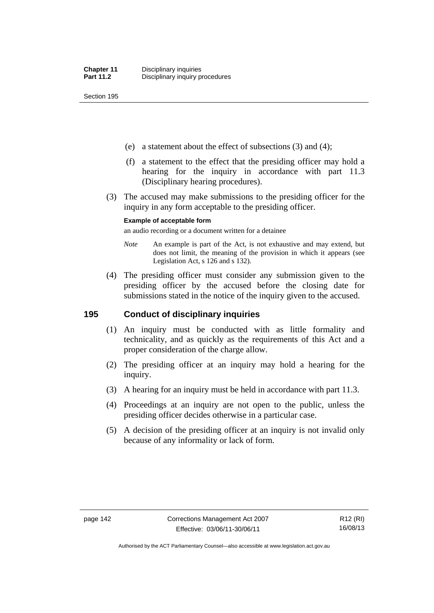Section 195

- (e) a statement about the effect of subsections (3) and (4);
- (f) a statement to the effect that the presiding officer may hold a hearing for the inquiry in accordance with part 11.3 (Disciplinary hearing procedures).
- (3) The accused may make submissions to the presiding officer for the inquiry in any form acceptable to the presiding officer.

#### **Example of acceptable form**

an audio recording or a document written for a detainee

- *Note* An example is part of the Act, is not exhaustive and may extend, but does not limit, the meaning of the provision in which it appears (see Legislation Act, s 126 and s 132).
- (4) The presiding officer must consider any submission given to the presiding officer by the accused before the closing date for submissions stated in the notice of the inquiry given to the accused.

## **195 Conduct of disciplinary inquiries**

- (1) An inquiry must be conducted with as little formality and technicality, and as quickly as the requirements of this Act and a proper consideration of the charge allow.
- (2) The presiding officer at an inquiry may hold a hearing for the inquiry.
- (3) A hearing for an inquiry must be held in accordance with part 11.3.
- (4) Proceedings at an inquiry are not open to the public, unless the presiding officer decides otherwise in a particular case.
- (5) A decision of the presiding officer at an inquiry is not invalid only because of any informality or lack of form.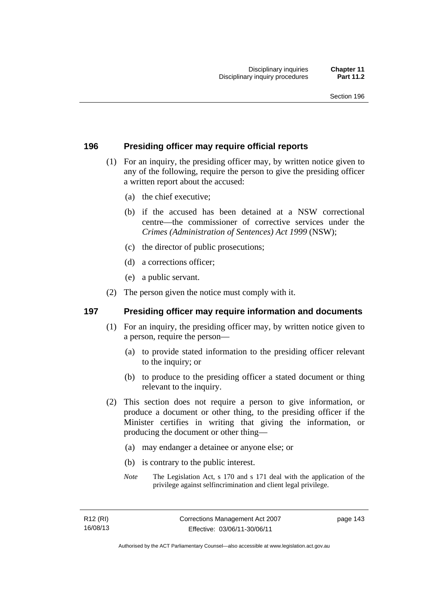## **196 Presiding officer may require official reports**

- (1) For an inquiry, the presiding officer may, by written notice given to any of the following, require the person to give the presiding officer a written report about the accused:
	- (a) the chief executive;
	- (b) if the accused has been detained at a NSW correctional centre—the commissioner of corrective services under the *Crimes (Administration of Sentences) Act 1999* (NSW);
	- (c) the director of public prosecutions;
	- (d) a corrections officer;
	- (e) a public servant.
- (2) The person given the notice must comply with it.

## **197 Presiding officer may require information and documents**

- (1) For an inquiry, the presiding officer may, by written notice given to a person, require the person—
	- (a) to provide stated information to the presiding officer relevant to the inquiry; or
	- (b) to produce to the presiding officer a stated document or thing relevant to the inquiry.
- (2) This section does not require a person to give information, or produce a document or other thing, to the presiding officer if the Minister certifies in writing that giving the information, or producing the document or other thing—
	- (a) may endanger a detainee or anyone else; or
	- (b) is contrary to the public interest.
	- *Note* The Legislation Act, s 170 and s 171 deal with the application of the privilege against selfincrimination and client legal privilege.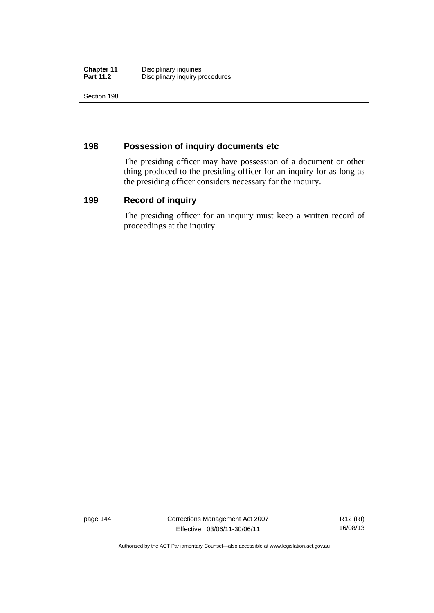| <b>Chapter 11</b> | Disciplinary inquiries          |
|-------------------|---------------------------------|
| <b>Part 11.2</b>  | Disciplinary inquiry procedures |

Section 198

## **198 Possession of inquiry documents etc**

The presiding officer may have possession of a document or other thing produced to the presiding officer for an inquiry for as long as the presiding officer considers necessary for the inquiry.

## **199 Record of inquiry**

The presiding officer for an inquiry must keep a written record of proceedings at the inquiry.

page 144 Corrections Management Act 2007 Effective: 03/06/11-30/06/11

R12 (RI) 16/08/13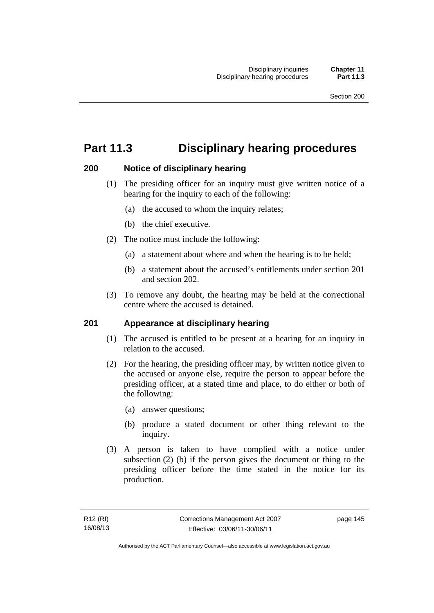# **Part 11.3 Disciplinary hearing procedures**

## **200 Notice of disciplinary hearing**

- (1) The presiding officer for an inquiry must give written notice of a hearing for the inquiry to each of the following:
	- (a) the accused to whom the inquiry relates;
	- (b) the chief executive.
- (2) The notice must include the following:
	- (a) a statement about where and when the hearing is to be held;
	- (b) a statement about the accused's entitlements under section 201 and section 202.
- (3) To remove any doubt, the hearing may be held at the correctional centre where the accused is detained.

## **201 Appearance at disciplinary hearing**

- (1) The accused is entitled to be present at a hearing for an inquiry in relation to the accused.
- (2) For the hearing, the presiding officer may, by written notice given to the accused or anyone else, require the person to appear before the presiding officer, at a stated time and place, to do either or both of the following:
	- (a) answer questions;
	- (b) produce a stated document or other thing relevant to the inquiry.
- (3) A person is taken to have complied with a notice under subsection (2) (b) if the person gives the document or thing to the presiding officer before the time stated in the notice for its production.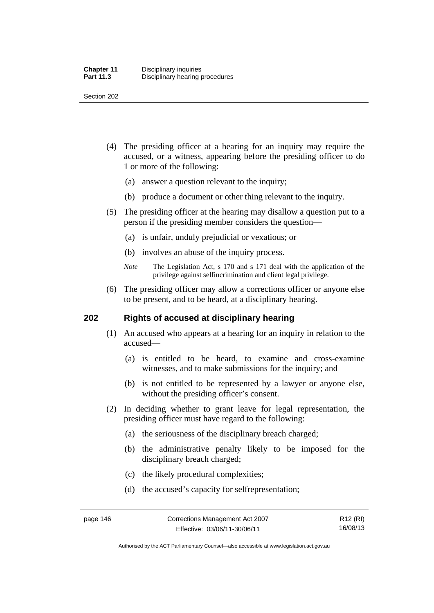Section 202

- (4) The presiding officer at a hearing for an inquiry may require the accused, or a witness, appearing before the presiding officer to do 1 or more of the following:
	- (a) answer a question relevant to the inquiry;
	- (b) produce a document or other thing relevant to the inquiry.
- (5) The presiding officer at the hearing may disallow a question put to a person if the presiding member considers the question—
	- (a) is unfair, unduly prejudicial or vexatious; or
	- (b) involves an abuse of the inquiry process.
	- *Note* The Legislation Act, s 170 and s 171 deal with the application of the privilege against selfincrimination and client legal privilege.
- (6) The presiding officer may allow a corrections officer or anyone else to be present, and to be heard, at a disciplinary hearing.

## **202 Rights of accused at disciplinary hearing**

- (1) An accused who appears at a hearing for an inquiry in relation to the accused—
	- (a) is entitled to be heard, to examine and cross-examine witnesses, and to make submissions for the inquiry; and
	- (b) is not entitled to be represented by a lawyer or anyone else, without the presiding officer's consent.
- (2) In deciding whether to grant leave for legal representation, the presiding officer must have regard to the following:
	- (a) the seriousness of the disciplinary breach charged;
	- (b) the administrative penalty likely to be imposed for the disciplinary breach charged;
	- (c) the likely procedural complexities;
	- (d) the accused's capacity for selfrepresentation;

Authorised by the ACT Parliamentary Counsel—also accessible at www.legislation.act.gov.au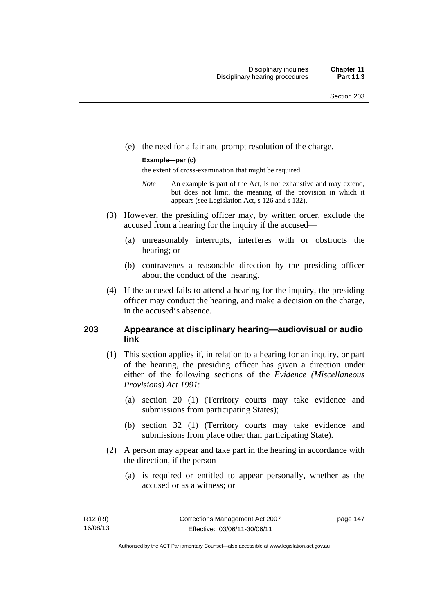(e) the need for a fair and prompt resolution of the charge.

#### **Example—par (c)**

the extent of cross-examination that might be required

- *Note* An example is part of the Act, is not exhaustive and may extend, but does not limit, the meaning of the provision in which it appears (see Legislation Act, s 126 and s 132).
- (3) However, the presiding officer may, by written order, exclude the accused from a hearing for the inquiry if the accused—
	- (a) unreasonably interrupts, interferes with or obstructs the hearing; or
	- (b) contravenes a reasonable direction by the presiding officer about the conduct of the hearing.
- (4) If the accused fails to attend a hearing for the inquiry, the presiding officer may conduct the hearing, and make a decision on the charge, in the accused's absence.

## **203 Appearance at disciplinary hearing—audiovisual or audio link**

- (1) This section applies if, in relation to a hearing for an inquiry, or part of the hearing, the presiding officer has given a direction under either of the following sections of the *Evidence (Miscellaneous Provisions) Act 1991*:
	- (a) section 20 (1) (Territory courts may take evidence and submissions from participating States);
	- (b) section 32 (1) (Territory courts may take evidence and submissions from place other than participating State).
- (2) A person may appear and take part in the hearing in accordance with the direction, if the person—
	- (a) is required or entitled to appear personally, whether as the accused or as a witness; or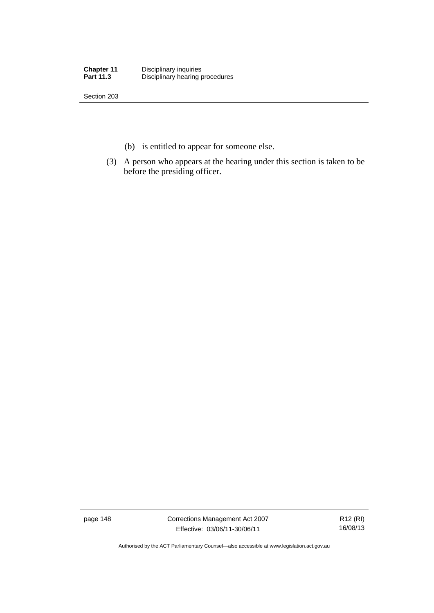| <b>Chapter 11</b> | Disciplinary inquiries          |
|-------------------|---------------------------------|
| <b>Part 11.3</b>  | Disciplinary hearing procedures |

Section 203

- (b) is entitled to appear for someone else.
- (3) A person who appears at the hearing under this section is taken to be before the presiding officer.

page 148 Corrections Management Act 2007 Effective: 03/06/11-30/06/11

R12 (RI) 16/08/13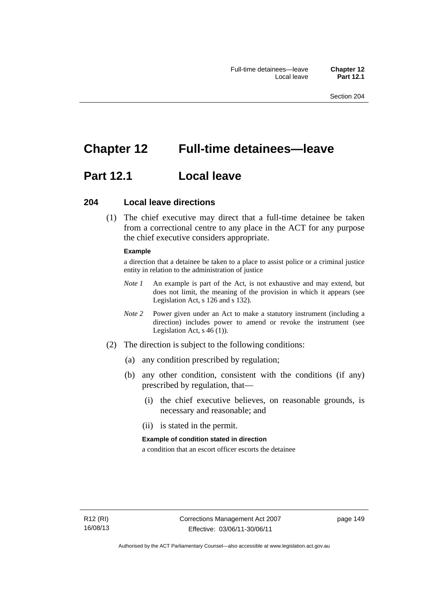# **Chapter 12 Full-time detainees—leave**

## **Part 12.1 Local leave**

## **204 Local leave directions**

 (1) The chief executive may direct that a full-time detainee be taken from a correctional centre to any place in the ACT for any purpose the chief executive considers appropriate.

#### **Example**

a direction that a detainee be taken to a place to assist police or a criminal justice entity in relation to the administration of justice

- *Note 1* An example is part of the Act, is not exhaustive and may extend, but does not limit, the meaning of the provision in which it appears (see Legislation Act, s 126 and s 132).
- *Note 2* Power given under an Act to make a statutory instrument (including a direction) includes power to amend or revoke the instrument (see Legislation Act, s 46 (1)).
- (2) The direction is subject to the following conditions:
	- (a) any condition prescribed by regulation;
	- (b) any other condition, consistent with the conditions (if any) prescribed by regulation, that—
		- (i) the chief executive believes, on reasonable grounds, is necessary and reasonable; and
		- (ii) is stated in the permit.

#### **Example of condition stated in direction**

a condition that an escort officer escorts the detainee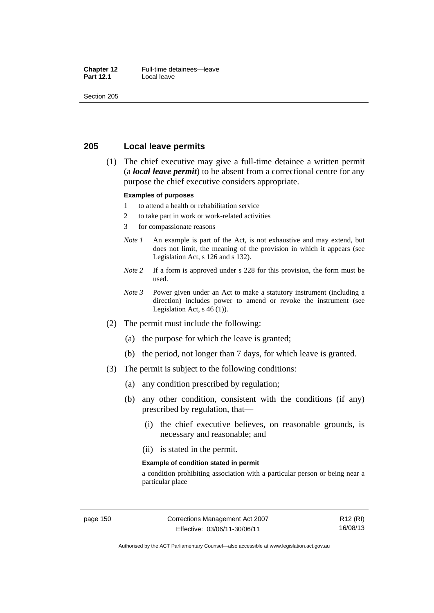#### **Chapter 12** Full-time detainees—leave<br>**Part 12.1** Local leave **Local leave**

Section 205

## **205 Local leave permits**

 (1) The chief executive may give a full-time detainee a written permit (a *local leave permit*) to be absent from a correctional centre for any purpose the chief executive considers appropriate.

#### **Examples of purposes**

- 1 to attend a health or rehabilitation service
- 2 to take part in work or work-related activities
- 3 for compassionate reasons
- *Note 1* An example is part of the Act, is not exhaustive and may extend, but does not limit, the meaning of the provision in which it appears (see Legislation Act, s 126 and s 132).
- *Note* 2 If a form is approved under s 228 for this provision, the form must be used.
- *Note 3* Power given under an Act to make a statutory instrument (including a direction) includes power to amend or revoke the instrument (see Legislation Act,  $s$  46 (1)).
- (2) The permit must include the following:
	- (a) the purpose for which the leave is granted;
	- (b) the period, not longer than 7 days, for which leave is granted.
- (3) The permit is subject to the following conditions:
	- (a) any condition prescribed by regulation;
	- (b) any other condition, consistent with the conditions (if any) prescribed by regulation, that—
		- (i) the chief executive believes, on reasonable grounds, is necessary and reasonable; and
		- (ii) is stated in the permit.

#### **Example of condition stated in permit**

a condition prohibiting association with a particular person or being near a particular place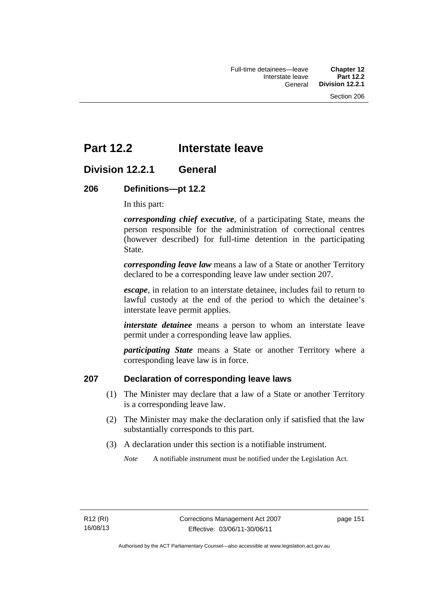# **Part 12.2 Interstate leave**

## **Division 12.2.1 General**

## **206 Definitions—pt 12.2**

In this part:

*corresponding chief executive*, of a participating State, means the person responsible for the administration of correctional centres (however described) for full-time detention in the participating State.

*corresponding leave law* means a law of a State or another Territory declared to be a corresponding leave law under section 207.

*escape*, in relation to an interstate detainee, includes fail to return to lawful custody at the end of the period to which the detainee's interstate leave permit applies.

*interstate detainee* means a person to whom an interstate leave permit under a corresponding leave law applies.

*participating State* means a State or another Territory where a corresponding leave law is in force.

## **207 Declaration of corresponding leave laws**

- (1) The Minister may declare that a law of a State or another Territory is a corresponding leave law.
- (2) The Minister may make the declaration only if satisfied that the law substantially corresponds to this part.
- (3) A declaration under this section is a notifiable instrument.

*Note* A notifiable instrument must be notified under the Legislation Act.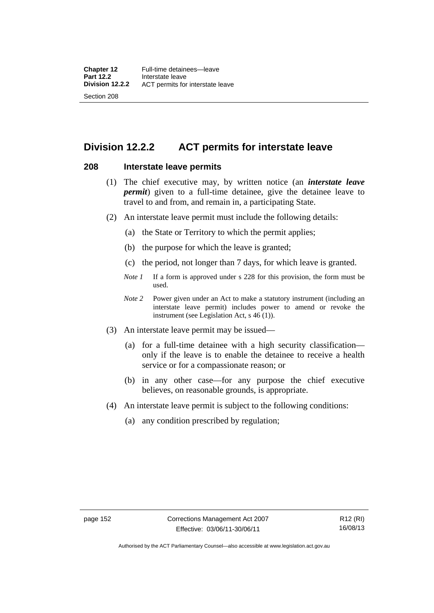## **Division 12.2.2 ACT permits for interstate leave**

## **208 Interstate leave permits**

- (1) The chief executive may, by written notice (an *interstate leave permit*) given to a full-time detainee, give the detainee leave to travel to and from, and remain in, a participating State.
- (2) An interstate leave permit must include the following details:
	- (a) the State or Territory to which the permit applies;
	- (b) the purpose for which the leave is granted;
	- (c) the period, not longer than 7 days, for which leave is granted.
	- *Note 1* If a form is approved under s 228 for this provision, the form must be used.
	- *Note 2* Power given under an Act to make a statutory instrument (including an interstate leave permit) includes power to amend or revoke the instrument (see Legislation Act, s 46 (1)).
- (3) An interstate leave permit may be issued—
	- (a) for a full-time detainee with a high security classification only if the leave is to enable the detainee to receive a health service or for a compassionate reason; or
	- (b) in any other case—for any purpose the chief executive believes, on reasonable grounds, is appropriate.
- (4) An interstate leave permit is subject to the following conditions:
	- (a) any condition prescribed by regulation;

Authorised by the ACT Parliamentary Counsel—also accessible at www.legislation.act.gov.au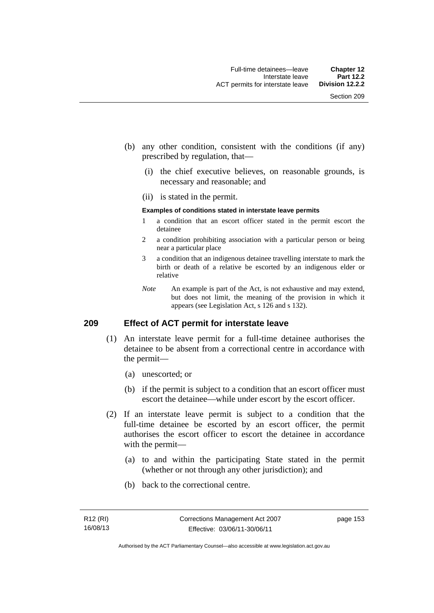- (b) any other condition, consistent with the conditions (if any) prescribed by regulation, that—
	- (i) the chief executive believes, on reasonable grounds, is necessary and reasonable; and
	- (ii) is stated in the permit.

#### **Examples of conditions stated in interstate leave permits**

- 1 a condition that an escort officer stated in the permit escort the detainee
- 2 a condition prohibiting association with a particular person or being near a particular place
- 3 a condition that an indigenous detainee travelling interstate to mark the birth or death of a relative be escorted by an indigenous elder or relative
- *Note* An example is part of the Act, is not exhaustive and may extend, but does not limit, the meaning of the provision in which it appears (see Legislation Act, s 126 and s 132).

## **209 Effect of ACT permit for interstate leave**

- (1) An interstate leave permit for a full-time detainee authorises the detainee to be absent from a correctional centre in accordance with the permit—
	- (a) unescorted; or
	- (b) if the permit is subject to a condition that an escort officer must escort the detainee—while under escort by the escort officer.
- (2) If an interstate leave permit is subject to a condition that the full-time detainee be escorted by an escort officer, the permit authorises the escort officer to escort the detainee in accordance with the permit—
	- (a) to and within the participating State stated in the permit (whether or not through any other jurisdiction); and
	- (b) back to the correctional centre.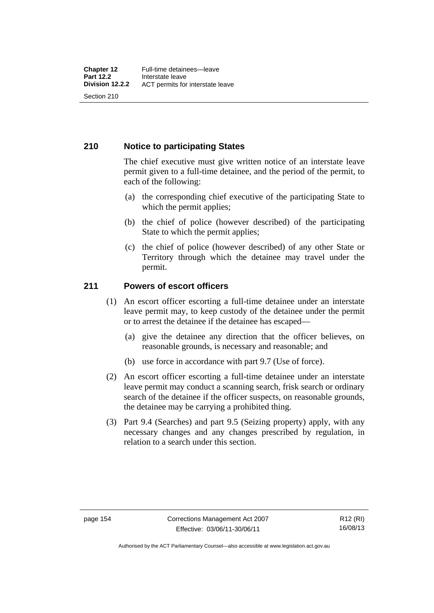## **210 Notice to participating States**

The chief executive must give written notice of an interstate leave permit given to a full-time detainee, and the period of the permit, to each of the following:

- (a) the corresponding chief executive of the participating State to which the permit applies;
- (b) the chief of police (however described) of the participating State to which the permit applies;
- (c) the chief of police (however described) of any other State or Territory through which the detainee may travel under the permit.

## **211 Powers of escort officers**

- (1) An escort officer escorting a full-time detainee under an interstate leave permit may, to keep custody of the detainee under the permit or to arrest the detainee if the detainee has escaped—
	- (a) give the detainee any direction that the officer believes, on reasonable grounds, is necessary and reasonable; and
	- (b) use force in accordance with part 9.7 (Use of force).
- (2) An escort officer escorting a full-time detainee under an interstate leave permit may conduct a scanning search, frisk search or ordinary search of the detainee if the officer suspects, on reasonable grounds, the detainee may be carrying a prohibited thing.
- (3) Part 9.4 (Searches) and part 9.5 (Seizing property) apply, with any necessary changes and any changes prescribed by regulation, in relation to a search under this section.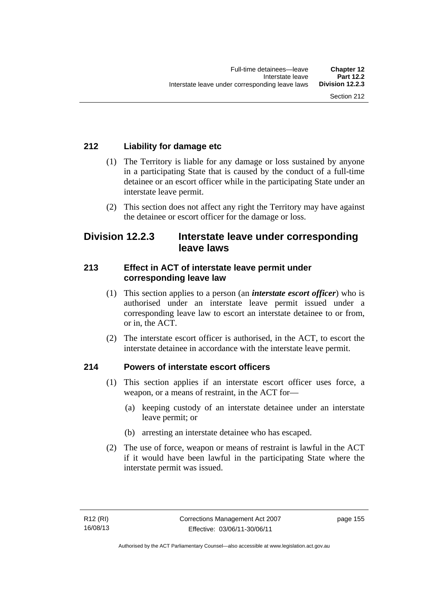## **212 Liability for damage etc**

- (1) The Territory is liable for any damage or loss sustained by anyone in a participating State that is caused by the conduct of a full-time detainee or an escort officer while in the participating State under an interstate leave permit.
- (2) This section does not affect any right the Territory may have against the detainee or escort officer for the damage or loss.

## **Division 12.2.3 Interstate leave under corresponding leave laws**

## **213 Effect in ACT of interstate leave permit under corresponding leave law**

- (1) This section applies to a person (an *interstate escort officer*) who is authorised under an interstate leave permit issued under a corresponding leave law to escort an interstate detainee to or from, or in, the ACT.
- (2) The interstate escort officer is authorised, in the ACT, to escort the interstate detainee in accordance with the interstate leave permit.

## **214 Powers of interstate escort officers**

- (1) This section applies if an interstate escort officer uses force, a weapon, or a means of restraint, in the ACT for—
	- (a) keeping custody of an interstate detainee under an interstate leave permit; or
	- (b) arresting an interstate detainee who has escaped.
- (2) The use of force, weapon or means of restraint is lawful in the ACT if it would have been lawful in the participating State where the interstate permit was issued.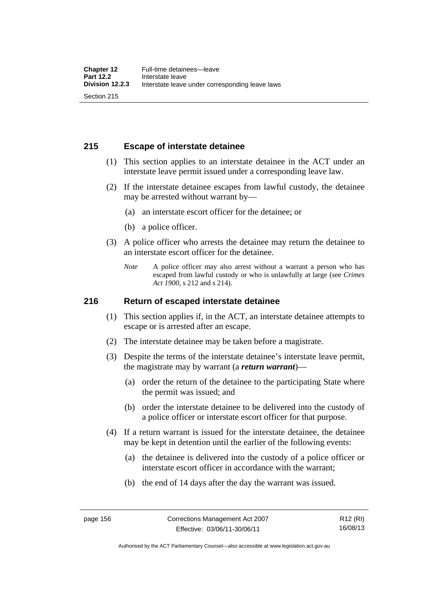## **215 Escape of interstate detainee**

- (1) This section applies to an interstate detainee in the ACT under an interstate leave permit issued under a corresponding leave law.
- (2) If the interstate detainee escapes from lawful custody, the detainee may be arrested without warrant by—
	- (a) an interstate escort officer for the detainee; or
	- (b) a police officer.
- (3) A police officer who arrests the detainee may return the detainee to an interstate escort officer for the detainee.
	- *Note* A police officer may also arrest without a warrant a person who has escaped from lawful custody or who is unlawfully at large (see *Crimes Act 1900*, s 212 and s 214).

## **216 Return of escaped interstate detainee**

- (1) This section applies if, in the ACT, an interstate detainee attempts to escape or is arrested after an escape.
- (2) The interstate detainee may be taken before a magistrate.
- (3) Despite the terms of the interstate detainee's interstate leave permit, the magistrate may by warrant (a *return warrant*)—
	- (a) order the return of the detainee to the participating State where the permit was issued; and
	- (b) order the interstate detainee to be delivered into the custody of a police officer or interstate escort officer for that purpose.
- (4) If a return warrant is issued for the interstate detainee, the detainee may be kept in detention until the earlier of the following events:
	- (a) the detainee is delivered into the custody of a police officer or interstate escort officer in accordance with the warrant;
	- (b) the end of 14 days after the day the warrant was issued.

R12 (RI) 16/08/13

Authorised by the ACT Parliamentary Counsel—also accessible at www.legislation.act.gov.au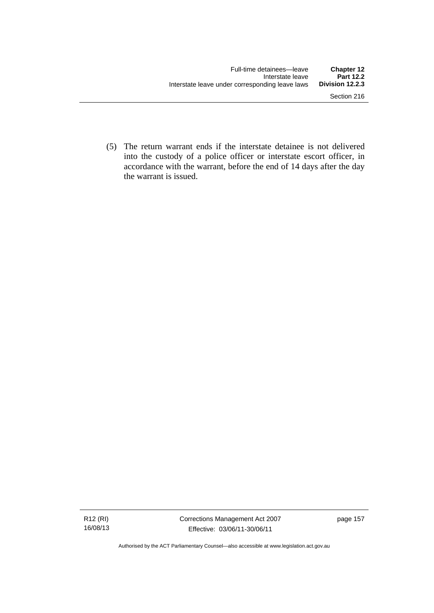(5) The return warrant ends if the interstate detainee is not delivered into the custody of a police officer or interstate escort officer, in accordance with the warrant, before the end of 14 days after the day the warrant is issued.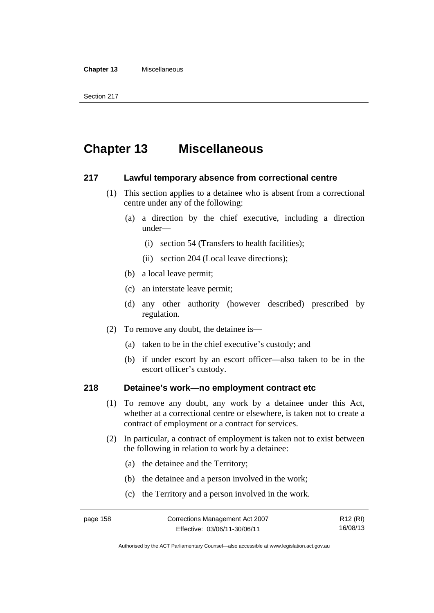#### **Chapter 13** Miscellaneous

# **Chapter 13 Miscellaneous**

## **217 Lawful temporary absence from correctional centre**

- (1) This section applies to a detainee who is absent from a correctional centre under any of the following:
	- (a) a direction by the chief executive, including a direction under—
		- (i) section 54 (Transfers to health facilities);
		- (ii) section 204 (Local leave directions);
	- (b) a local leave permit;
	- (c) an interstate leave permit;
	- (d) any other authority (however described) prescribed by regulation.
- (2) To remove any doubt, the detainee is—
	- (a) taken to be in the chief executive's custody; and
	- (b) if under escort by an escort officer—also taken to be in the escort officer's custody.

## **218 Detainee's work—no employment contract etc**

- (1) To remove any doubt, any work by a detainee under this Act, whether at a correctional centre or elsewhere, is taken not to create a contract of employment or a contract for services.
- (2) In particular, a contract of employment is taken not to exist between the following in relation to work by a detainee:
	- (a) the detainee and the Territory;
	- (b) the detainee and a person involved in the work;
	- (c) the Territory and a person involved in the work.

R12 (RI) 16/08/13

Authorised by the ACT Parliamentary Counsel—also accessible at www.legislation.act.gov.au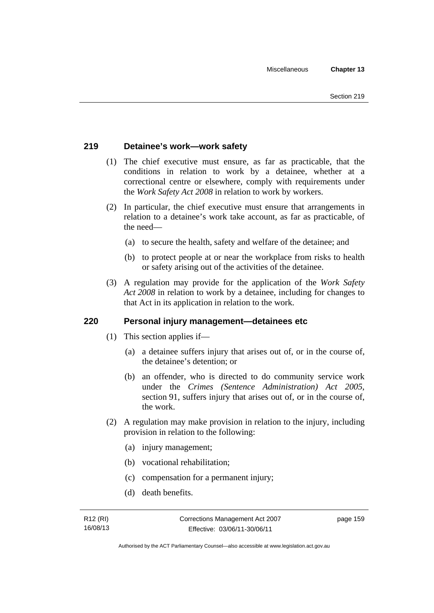## **219 Detainee's work—work safety**

- (1) The chief executive must ensure, as far as practicable, that the conditions in relation to work by a detainee, whether at a correctional centre or elsewhere, comply with requirements under the *Work Safety Act 2008* in relation to work by workers.
- (2) In particular, the chief executive must ensure that arrangements in relation to a detainee's work take account, as far as practicable, of the need—
	- (a) to secure the health, safety and welfare of the detainee; and
	- (b) to protect people at or near the workplace from risks to health or safety arising out of the activities of the detainee.
- (3) A regulation may provide for the application of the *Work Safety Act 2008* in relation to work by a detainee, including for changes to that Act in its application in relation to the work.

## **220 Personal injury management—detainees etc**

- (1) This section applies if—
	- (a) a detainee suffers injury that arises out of, or in the course of, the detainee's detention; or
	- (b) an offender, who is directed to do community service work under the *Crimes (Sentence Administration) Act 2005*, section 91, suffers injury that arises out of, or in the course of, the work.
- (2) A regulation may make provision in relation to the injury, including provision in relation to the following:
	- (a) injury management;
	- (b) vocational rehabilitation;
	- (c) compensation for a permanent injury;
	- (d) death benefits.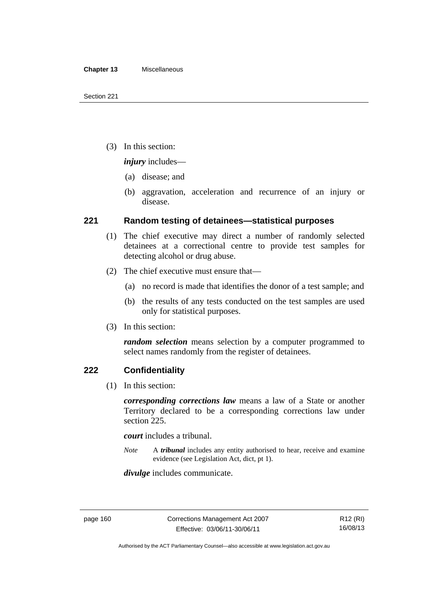(3) In this section:

*injury* includes—

- (a) disease; and
- (b) aggravation, acceleration and recurrence of an injury or disease.

## **221 Random testing of detainees—statistical purposes**

- (1) The chief executive may direct a number of randomly selected detainees at a correctional centre to provide test samples for detecting alcohol or drug abuse.
- (2) The chief executive must ensure that—
	- (a) no record is made that identifies the donor of a test sample; and
	- (b) the results of any tests conducted on the test samples are used only for statistical purposes.
- (3) In this section:

*random selection* means selection by a computer programmed to select names randomly from the register of detainees.

## **222 Confidentiality**

(1) In this section:

*corresponding corrections law* means a law of a State or another Territory declared to be a corresponding corrections law under section 225.

*court* includes a tribunal.

*Note* A *tribunal* includes any entity authorised to hear, receive and examine evidence (see Legislation Act, dict, pt 1).

*divulge* includes communicate.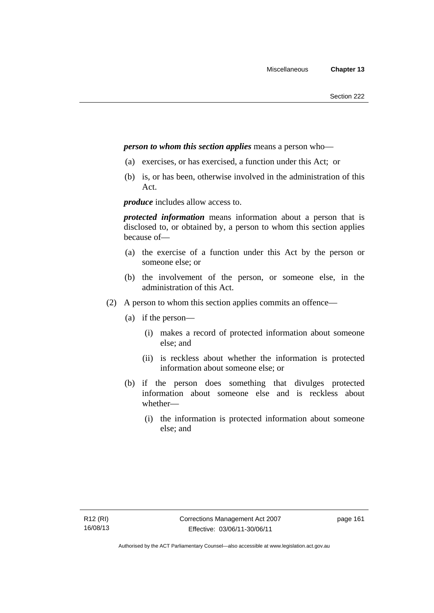## *person to whom this section applies* means a person who—

- (a) exercises, or has exercised, a function under this Act; or
- (b) is, or has been, otherwise involved in the administration of this Act.

*produce* includes allow access to.

*protected information* means information about a person that is disclosed to, or obtained by, a person to whom this section applies because of—

- (a) the exercise of a function under this Act by the person or someone else; or
- (b) the involvement of the person, or someone else, in the administration of this Act.
- (2) A person to whom this section applies commits an offence—
	- (a) if the person—
		- (i) makes a record of protected information about someone else; and
		- (ii) is reckless about whether the information is protected information about someone else; or
	- (b) if the person does something that divulges protected information about someone else and is reckless about whether—
		- (i) the information is protected information about someone else; and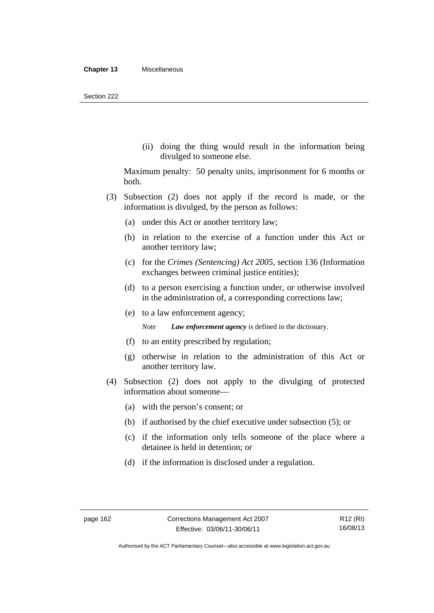(ii) doing the thing would result in the information being divulged to someone else.

Maximum penalty: 50 penalty units, imprisonment for 6 months or both.

- (3) Subsection (2) does not apply if the record is made, or the information is divulged, by the person as follows:
	- (a) under this Act or another territory law;
	- (b) in relation to the exercise of a function under this Act or another territory law;
	- (c) for the *Crimes (Sentencing) Act 2005*, section 136 (Information exchanges between criminal justice entities);
	- (d) to a person exercising a function under, or otherwise involved in the administration of, a corresponding corrections law;
	- (e) to a law enforcement agency;

*Note Law enforcement agency* is defined in the dictionary.

- (f) to an entity prescribed by regulation;
- (g) otherwise in relation to the administration of this Act or another territory law.
- (4) Subsection (2) does not apply to the divulging of protected information about someone—
	- (a) with the person's consent; or
	- (b) if authorised by the chief executive under subsection (5); or
	- (c) if the information only tells someone of the place where a detainee is held in detention; or
	- (d) if the information is disclosed under a regulation.

Authorised by the ACT Parliamentary Counsel—also accessible at www.legislation.act.gov.au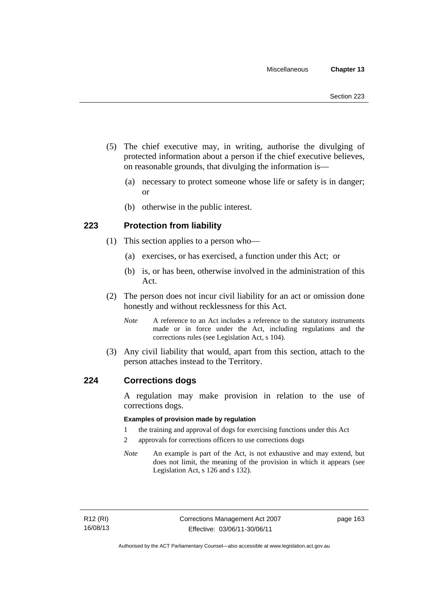- (5) The chief executive may, in writing, authorise the divulging of protected information about a person if the chief executive believes, on reasonable grounds, that divulging the information is—
	- (a) necessary to protect someone whose life or safety is in danger; or
	- (b) otherwise in the public interest.

## **223 Protection from liability**

- (1) This section applies to a person who—
	- (a) exercises, or has exercised, a function under this Act; or
	- (b) is, or has been, otherwise involved in the administration of this Act.
- (2) The person does not incur civil liability for an act or omission done honestly and without recklessness for this Act.
	- *Note* A reference to an Act includes a reference to the statutory instruments made or in force under the Act, including regulations and the corrections rules (see Legislation Act, s 104).
- (3) Any civil liability that would, apart from this section, attach to the person attaches instead to the Territory.

## **224 Corrections dogs**

A regulation may make provision in relation to the use of corrections dogs.

#### **Examples of provision made by regulation**

- 1 the training and approval of dogs for exercising functions under this Act
- 2 approvals for corrections officers to use corrections dogs
- *Note* An example is part of the Act, is not exhaustive and may extend, but does not limit, the meaning of the provision in which it appears (see Legislation Act, s 126 and s 132).

page 163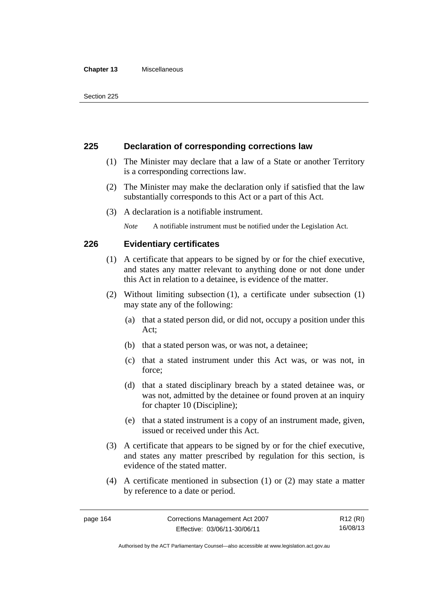#### **Chapter 13** Miscellaneous

## **225 Declaration of corresponding corrections law**

- (1) The Minister may declare that a law of a State or another Territory is a corresponding corrections law.
- (2) The Minister may make the declaration only if satisfied that the law substantially corresponds to this Act or a part of this Act.
- (3) A declaration is a notifiable instrument.

*Note* A notifiable instrument must be notified under the Legislation Act.

## **226 Evidentiary certificates**

- (1) A certificate that appears to be signed by or for the chief executive, and states any matter relevant to anything done or not done under this Act in relation to a detainee, is evidence of the matter.
- (2) Without limiting subsection (1), a certificate under subsection (1) may state any of the following:
	- (a) that a stated person did, or did not, occupy a position under this Act;
	- (b) that a stated person was, or was not, a detainee;
	- (c) that a stated instrument under this Act was, or was not, in force;
	- (d) that a stated disciplinary breach by a stated detainee was, or was not, admitted by the detainee or found proven at an inquiry for chapter 10 (Discipline);
	- (e) that a stated instrument is a copy of an instrument made, given, issued or received under this Act.
- (3) A certificate that appears to be signed by or for the chief executive, and states any matter prescribed by regulation for this section, is evidence of the stated matter.
- (4) A certificate mentioned in subsection (1) or (2) may state a matter by reference to a date or period.

R12 (RI) 16/08/13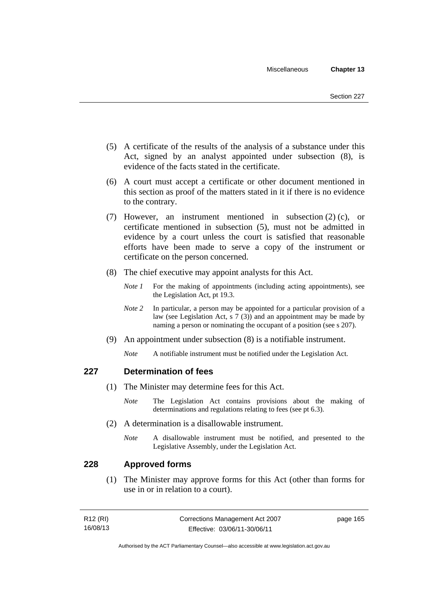- (5) A certificate of the results of the analysis of a substance under this Act, signed by an analyst appointed under subsection (8), is evidence of the facts stated in the certificate.
- (6) A court must accept a certificate or other document mentioned in this section as proof of the matters stated in it if there is no evidence to the contrary.
- (7) However, an instrument mentioned in subsection (2) (c), or certificate mentioned in subsection (5), must not be admitted in evidence by a court unless the court is satisfied that reasonable efforts have been made to serve a copy of the instrument or certificate on the person concerned.
- (8) The chief executive may appoint analysts for this Act.
	- *Note 1* For the making of appointments (including acting appointments), see the Legislation Act, pt 19.3.
	- *Note* 2 In particular, a person may be appointed for a particular provision of a law (see Legislation Act, s 7 (3)) and an appointment may be made by naming a person or nominating the occupant of a position (see s 207).
- (9) An appointment under subsection (8) is a notifiable instrument.
	- *Note* A notifiable instrument must be notified under the Legislation Act.

## **227 Determination of fees**

- (1) The Minister may determine fees for this Act.
	- *Note* The Legislation Act contains provisions about the making of determinations and regulations relating to fees (see pt 6.3).
- (2) A determination is a disallowable instrument.
	- *Note* A disallowable instrument must be notified, and presented to the Legislative Assembly, under the Legislation Act.

## **228 Approved forms**

 (1) The Minister may approve forms for this Act (other than forms for use in or in relation to a court).

| R12 (RI) | Corrections Management Act 2007 | page 165 |
|----------|---------------------------------|----------|
| 16/08/13 | Effective: 03/06/11-30/06/11    |          |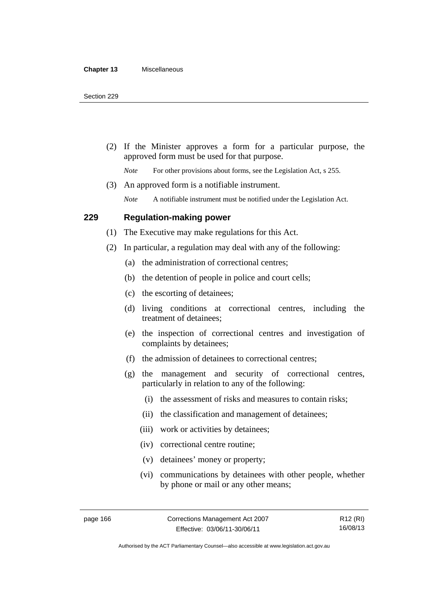(2) If the Minister approves a form for a particular purpose, the approved form must be used for that purpose.

*Note* For other provisions about forms, see the Legislation Act, s 255.

(3) An approved form is a notifiable instrument.

*Note* A notifiable instrument must be notified under the Legislation Act.

## **229 Regulation-making power**

(1) The Executive may make regulations for this Act.

- (2) In particular, a regulation may deal with any of the following:
	- (a) the administration of correctional centres;
	- (b) the detention of people in police and court cells;
	- (c) the escorting of detainees;
	- (d) living conditions at correctional centres, including the treatment of detainees;
	- (e) the inspection of correctional centres and investigation of complaints by detainees;
	- (f) the admission of detainees to correctional centres;
	- (g) the management and security of correctional centres, particularly in relation to any of the following:
		- (i) the assessment of risks and measures to contain risks;
		- (ii) the classification and management of detainees;
		- (iii) work or activities by detainees;
		- (iv) correctional centre routine;
		- (v) detainees' money or property;
		- (vi) communications by detainees with other people, whether by phone or mail or any other means;

R12 (RI) 16/08/13

Authorised by the ACT Parliamentary Counsel—also accessible at www.legislation.act.gov.au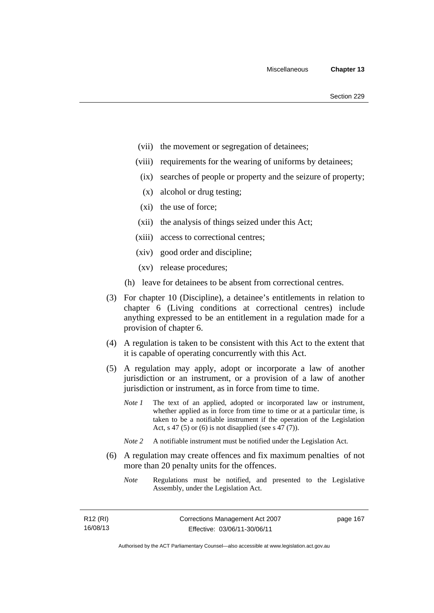- (vii) the movement or segregation of detainees;
- (viii) requirements for the wearing of uniforms by detainees;
	- (ix) searches of people or property and the seizure of property;
	- (x) alcohol or drug testing;
- (xi) the use of force;
- (xii) the analysis of things seized under this Act;
- (xiii) access to correctional centres;
- (xiv) good order and discipline;
- (xv) release procedures;
- (h) leave for detainees to be absent from correctional centres.
- (3) For chapter 10 (Discipline), a detainee's entitlements in relation to chapter 6 (Living conditions at correctional centres) include anything expressed to be an entitlement in a regulation made for a provision of chapter 6.
- (4) A regulation is taken to be consistent with this Act to the extent that it is capable of operating concurrently with this Act.
- (5) A regulation may apply, adopt or incorporate a law of another jurisdiction or an instrument, or a provision of a law of another jurisdiction or instrument, as in force from time to time.
	- *Note 1* The text of an applied, adopted or incorporated law or instrument, whether applied as in force from time to time or at a particular time, is taken to be a notifiable instrument if the operation of the Legislation Act, s 47 (5) or (6) is not disapplied (see s 47 (7)).
	- *Note 2* A notifiable instrument must be notified under the Legislation Act.
- (6) A regulation may create offences and fix maximum penalties of not more than 20 penalty units for the offences.
	- *Note* Regulations must be notified, and presented to the Legislative Assembly, under the Legislation Act.

| R12 (RI) | Corrections Management Act 2007 | page 167 |
|----------|---------------------------------|----------|
| 16/08/13 | Effective: 03/06/11-30/06/11    |          |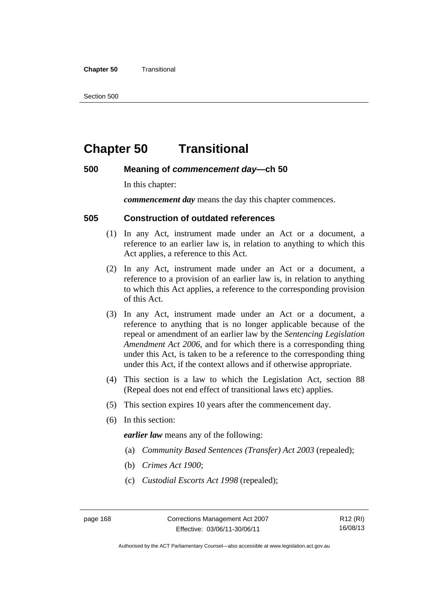#### **Chapter 50 Transitional**

Section 500

# **Chapter 50 Transitional**

## **500 Meaning of** *commencement day***—ch 50**

In this chapter:

*commencement day* means the day this chapter commences.

## **505 Construction of outdated references**

- (1) In any Act, instrument made under an Act or a document, a reference to an earlier law is, in relation to anything to which this Act applies, a reference to this Act.
- (2) In any Act, instrument made under an Act or a document, a reference to a provision of an earlier law is, in relation to anything to which this Act applies, a reference to the corresponding provision of this Act.
- (3) In any Act, instrument made under an Act or a document, a reference to anything that is no longer applicable because of the repeal or amendment of an earlier law by the *Sentencing Legislation Amendment Act 2006*, and for which there is a corresponding thing under this Act, is taken to be a reference to the corresponding thing under this Act, if the context allows and if otherwise appropriate.
- (4) This section is a law to which the Legislation Act, section 88 (Repeal does not end effect of transitional laws etc) applies.
- (5) This section expires 10 years after the commencement day.
- (6) In this section:

*earlier law* means any of the following:

- (a) *Community Based Sentences (Transfer) Act 2003* (repealed);
- (b) *Crimes Act 1900*;
- (c) *Custodial Escorts Act 1998* (repealed);

Authorised by the ACT Parliamentary Counsel—also accessible at www.legislation.act.gov.au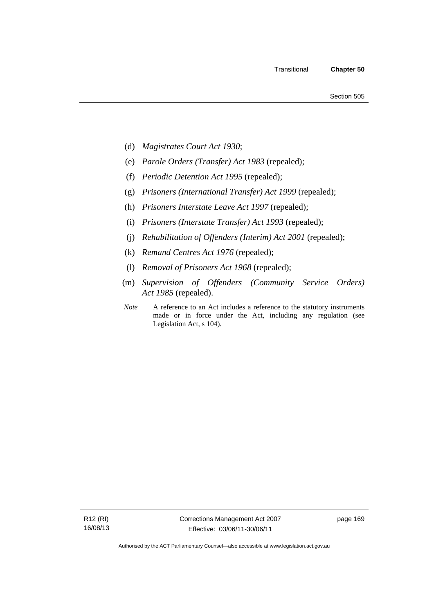- (d) *Magistrates Court Act 1930*;
- (e) *Parole Orders (Transfer) Act 1983* (repealed);
- (f) *Periodic Detention Act 1995* (repealed);
- (g) *Prisoners (International Transfer) Act 1999* (repealed);
- (h) *Prisoners Interstate Leave Act 1997* (repealed);
- (i) *Prisoners (Interstate Transfer) Act 1993* (repealed);
- (j) *Rehabilitation of Offenders (Interim) Act 2001* (repealed);
- (k) *Remand Centres Act 1976* (repealed);
- (l) *Removal of Prisoners Act 1968* (repealed);
- (m) *Supervision of Offenders (Community Service Orders) Act 1985* (repealed).
- *Note* A reference to an Act includes a reference to the statutory instruments made or in force under the Act, including any regulation (see Legislation Act, s 104).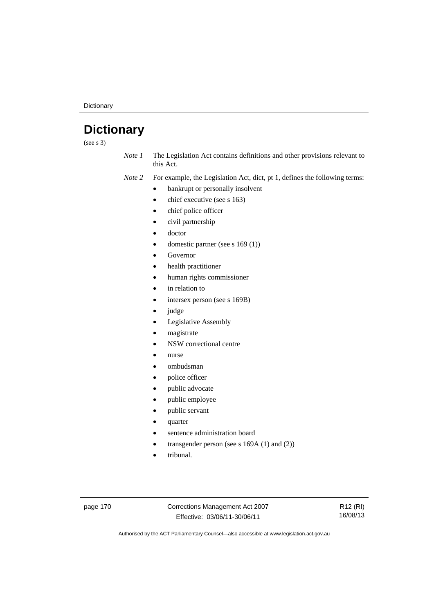**Dictionary** 

# **Dictionary**

(see s 3)

*Note 1* The Legislation Act contains definitions and other provisions relevant to this Act.

*Note 2* For example, the Legislation Act, dict, pt 1, defines the following terms:

- bankrupt or personally insolvent
- chief executive (see s 163)
- chief police officer
- civil partnership
- doctor
- domestic partner (see s 169 (1))
- Governor
- health practitioner
- human rights commissioner
- in relation to
- intersex person (see s 169B)
- judge
- Legislative Assembly
- magistrate
- NSW correctional centre
- nurse
- ombudsman
- police officer
- public advocate
- public employee
- public servant
- quarter
- sentence administration board
- transgender person (see s 169A (1) and (2))
- tribunal.

page 170 Corrections Management Act 2007 Effective: 03/06/11-30/06/11

R12 (RI) 16/08/13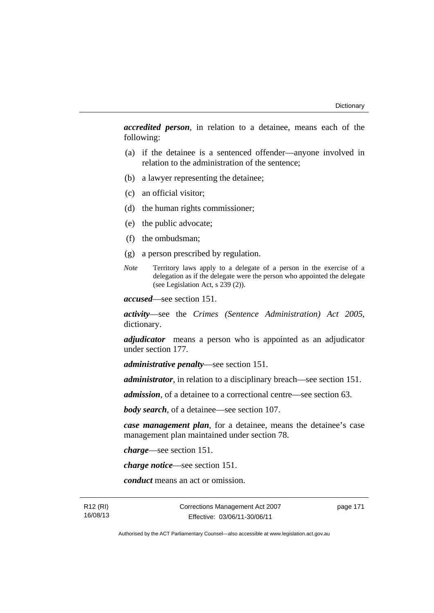*accredited person*, in relation to a detainee, means each of the following:

- (a) if the detainee is a sentenced offender—anyone involved in relation to the administration of the sentence;
- (b) a lawyer representing the detainee;
- (c) an official visitor;
- (d) the human rights commissioner;
- (e) the public advocate;
- (f) the ombudsman;
- (g) a person prescribed by regulation.
- *Note* Territory laws apply to a delegate of a person in the exercise of a delegation as if the delegate were the person who appointed the delegate (see Legislation Act, s 239 (2)).

*accused*—see section 151.

*activity*—see the *Crimes (Sentence Administration) Act 2005*, dictionary.

*adjudicator* means a person who is appointed as an adjudicator under section 177.

*administrative penalty*—see section 151.

*administrator*, in relation to a disciplinary breach—see section 151.

*admission*, of a detainee to a correctional centre—see section 63.

*body search*, of a detainee—see section 107.

*case management plan*, for a detainee, means the detainee's case management plan maintained under section 78.

*charge*—see section 151.

*charge notice*—see section 151.

*conduct* means an act or omission.

R12 (RI) 16/08/13 Corrections Management Act 2007 Effective: 03/06/11-30/06/11

page 171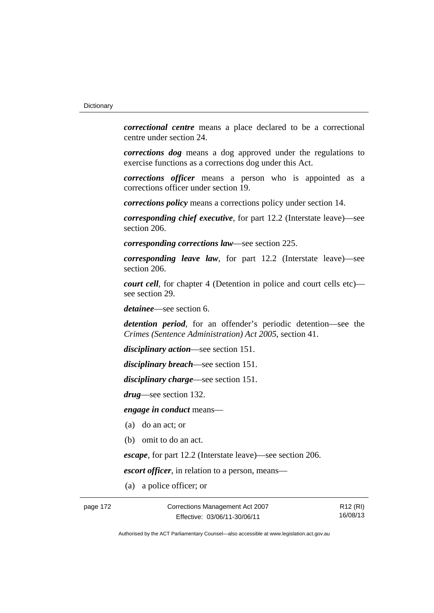*correctional centre* means a place declared to be a correctional centre under section 24.

*corrections dog* means a dog approved under the regulations to exercise functions as a corrections dog under this Act.

*corrections officer* means a person who is appointed as a corrections officer under section 19.

*corrections policy* means a corrections policy under section 14.

*corresponding chief executive*, for part 12.2 (Interstate leave)—see section 206.

*corresponding corrections law*—see section 225.

*corresponding leave law*, for part 12.2 (Interstate leave)—see section 206.

*court cell*, for chapter 4 (Detention in police and court cells etc) see section 29.

*detainee*—see section 6.

*detention period*, for an offender's periodic detention—see the *Crimes (Sentence Administration) Act 2005*, section 41.

*disciplinary action*—see section 151.

*disciplinary breach*—see section 151.

*disciplinary charge*—see section 151.

*drug*—see section 132.

*engage in conduct* means—

- (a) do an act; or
- (b) omit to do an act.

*escape*, for part 12.2 (Interstate leave)—see section 206.

*escort officer*, in relation to a person, means—

(a) a police officer; or

page 172 Corrections Management Act 2007 Effective: 03/06/11-30/06/11

R12 (RI) 16/08/13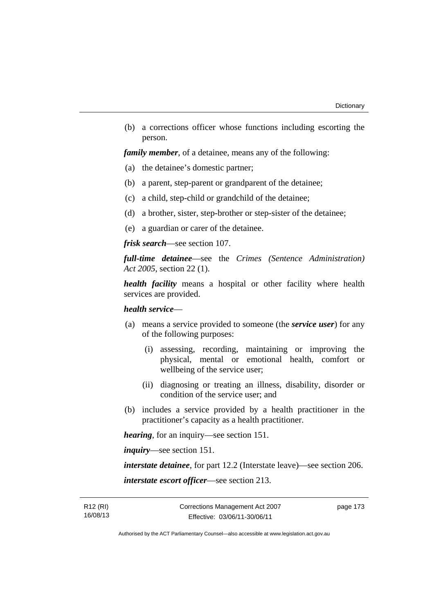(b) a corrections officer whose functions including escorting the person.

*family member*, of a detainee, means any of the following:

- (a) the detainee's domestic partner;
- (b) a parent, step-parent or grandparent of the detainee;
- (c) a child, step-child or grandchild of the detainee;
- (d) a brother, sister, step-brother or step-sister of the detainee;
- (e) a guardian or carer of the detainee.

*frisk search*—see section 107.

*full-time detainee*—see the *Crimes (Sentence Administration) Act 2005*, section 22 (1).

*health facility* means a hospital or other facility where health services are provided.

### *health service*—

- (a) means a service provided to someone (the *service user*) for any of the following purposes:
	- (i) assessing, recording, maintaining or improving the physical, mental or emotional health, comfort or wellbeing of the service user;
	- (ii) diagnosing or treating an illness, disability, disorder or condition of the service user; and
- (b) includes a service provided by a health practitioner in the practitioner's capacity as a health practitioner.

*hearing*, for an inquiry—see section 151.

*inquiry*—see section 151.

*interstate detainee*, for part 12.2 (Interstate leave)—see section 206.

*interstate escort officer*—see section 213.

R12 (RI) 16/08/13 page 173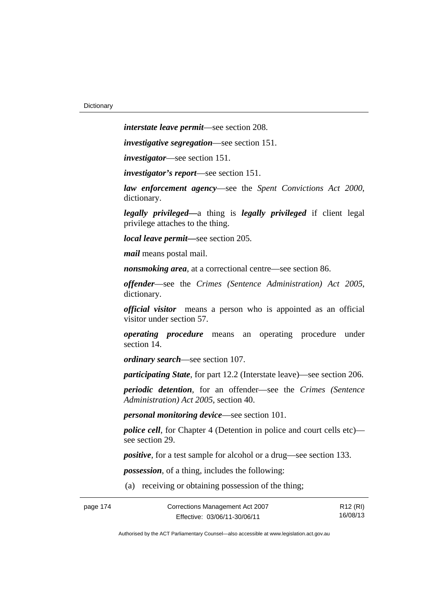*interstate leave permit*—see section 208.

*investigative segregation*—see section 151.

*investigator*—see section 151.

*investigator's report*—see section 151.

*law enforcement agency*—see the *Spent Convictions Act 2000*, dictionary.

*legally privileged—*a thing is *legally privileged* if client legal privilege attaches to the thing.

*local leave permit—*see section 205.

*mail* means postal mail.

*nonsmoking area*, at a correctional centre—see section 86.

*offender*—see the *Crimes (Sentence Administration) Act 2005*, dictionary.

*official visitor* means a person who is appointed as an official visitor under section 57.

*operating procedure* means an operating procedure under section 14.

*ordinary search*—see section 107.

*participating State*, for part 12.2 (Interstate leave)—see section 206.

*periodic detention*, for an offender—see the *Crimes (Sentence Administration) Act 2005*, section 40.

*personal monitoring device*—see section 101.

*police cell*, for Chapter 4 (Detention in police and court cells etc) see section 29.

*positive*, for a test sample for alcohol or a drug—see section 133.

*possession*, of a thing, includes the following:

(a) receiving or obtaining possession of the thing;

| page 174 | Corrections Management Act 2007 | R12 (RI) |
|----------|---------------------------------|----------|
|          | Effective: 03/06/11-30/06/11    | 16/08/13 |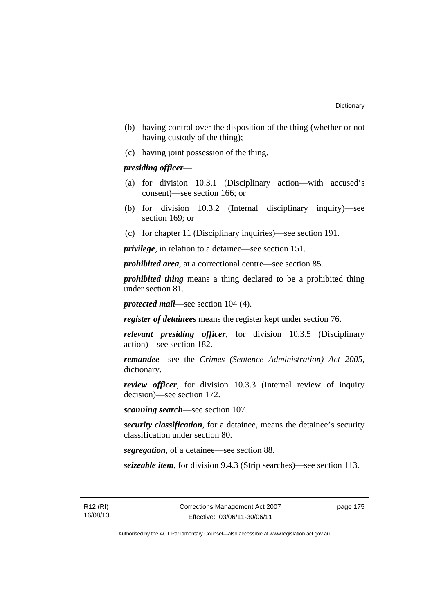- (b) having control over the disposition of the thing (whether or not having custody of the thing);
- (c) having joint possession of the thing.

## *presiding officer*—

- (a) for division 10.3.1 (Disciplinary action—with accused's consent)—see section 166; or
- (b) for division 10.3.2 (Internal disciplinary inquiry)—see section 169; or
- (c) for chapter 11 (Disciplinary inquiries)—see section 191.

*privilege*, in relation to a detainee—see section 151.

*prohibited area*, at a correctional centre—see section 85.

*prohibited thing* means a thing declared to be a prohibited thing under section 81.

*protected mail*—see section 104 (4).

*register of detainees* means the register kept under section 76.

*relevant presiding officer*, for division 10.3.5 (Disciplinary action)—see section 182.

*remandee*—see the *Crimes (Sentence Administration) Act 2005*, dictionary.

*review officer*, for division 10.3.3 (Internal review of inquiry decision)—see section 172.

*scanning search*—see section 107.

*security classification*, for a detainee, means the detainee's security classification under section 80.

*segregation*, of a detainee—see section 88.

*seizeable item*, for division 9.4.3 (Strip searches)—see section 113.

R12 (RI) 16/08/13 page 175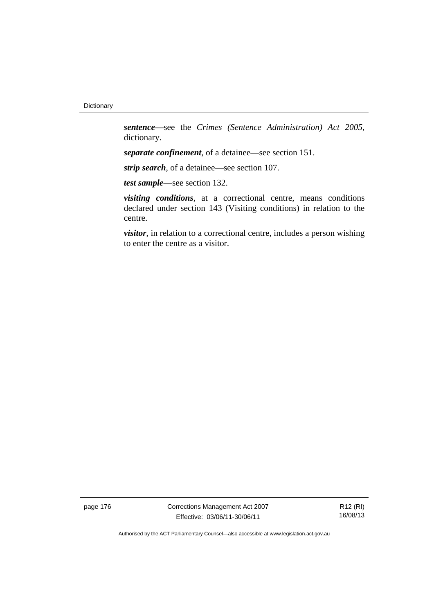*sentence—*see the *Crimes (Sentence Administration) Act 2005*, dictionary.

*separate confinement*, of a detainee—see section 151.

*strip search*, of a detainee—see section 107.

*test sample*—see section 132.

*visiting conditions*, at a correctional centre, means conditions declared under section 143 (Visiting conditions) in relation to the centre.

*visitor*, in relation to a correctional centre, includes a person wishing to enter the centre as a visitor.

page 176 Corrections Management Act 2007 Effective: 03/06/11-30/06/11

R12 (RI) 16/08/13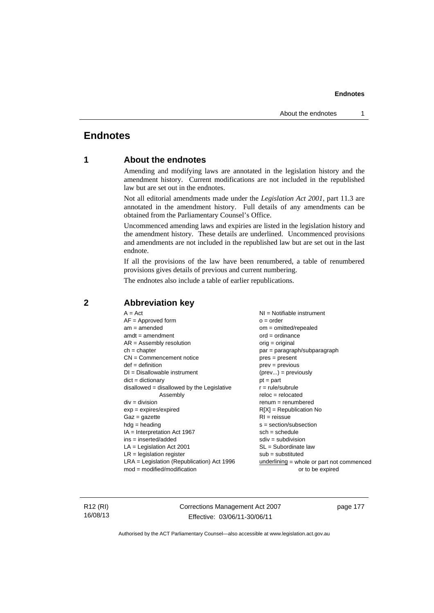# **Endnotes**

# **1 About the endnotes**

Amending and modifying laws are annotated in the legislation history and the amendment history. Current modifications are not included in the republished law but are set out in the endnotes.

Not all editorial amendments made under the *Legislation Act 2001*, part 11.3 are annotated in the amendment history. Full details of any amendments can be obtained from the Parliamentary Counsel's Office.

Uncommenced amending laws and expiries are listed in the legislation history and the amendment history. These details are underlined. Uncommenced provisions and amendments are not included in the republished law but are set out in the last endnote.

If all the provisions of the law have been renumbered, a table of renumbered provisions gives details of previous and current numbering.

The endnotes also include a table of earlier republications.

| $sdiv = subdivision$<br>$ins = inserted/added$<br>$LA =$ Legislation Act 2001<br>$SL = Subordinate$ law<br>$LR =$ legislation register<br>$sub =$ substituted<br>$LRA =$ Legislation (Republication) Act 1996 | $A = Act$<br>$AF =$ Approved form<br>$am = amended$<br>$amdt = amendment$<br>$AR = Assembly resolution$<br>$ch = chapter$<br>$CN =$ Commencement notice<br>$def = definition$<br>$DI = Disallowable instrument$<br>$dict = dictionary$<br>disallowed = disallowed by the Legislative<br>Assembly<br>$div = division$<br>$exp = expires/expired$<br>$Gaz = gazette$<br>$hdg = heading$<br>$IA = Interpretation Act 1967$ | $o = order$<br>$om = omitted/repealed$<br>$ord = ordinance$<br>$orig = original$<br>par = paragraph/subparagraph<br>$pres = present$<br>$prev = previous$<br>$(\text{prev}) = \text{previously}$<br>$pt = part$<br>$r = rule/subrule$<br>$reloc = relocated$<br>$renum = renumbered$<br>$R[X]$ = Republication No<br>$RI = reissue$<br>$s = section/subsection$<br>$sch = schedule$<br>underlining = whole or part not commenced |
|---------------------------------------------------------------------------------------------------------------------------------------------------------------------------------------------------------------|-------------------------------------------------------------------------------------------------------------------------------------------------------------------------------------------------------------------------------------------------------------------------------------------------------------------------------------------------------------------------------------------------------------------------|----------------------------------------------------------------------------------------------------------------------------------------------------------------------------------------------------------------------------------------------------------------------------------------------------------------------------------------------------------------------------------------------------------------------------------|
| $mod = modified/modification$<br>or to be expired                                                                                                                                                             |                                                                                                                                                                                                                                                                                                                                                                                                                         |                                                                                                                                                                                                                                                                                                                                                                                                                                  |

## **2 Abbreviation key**

R12 (RI) 16/08/13 Corrections Management Act 2007 Effective: 03/06/11-30/06/11

page 177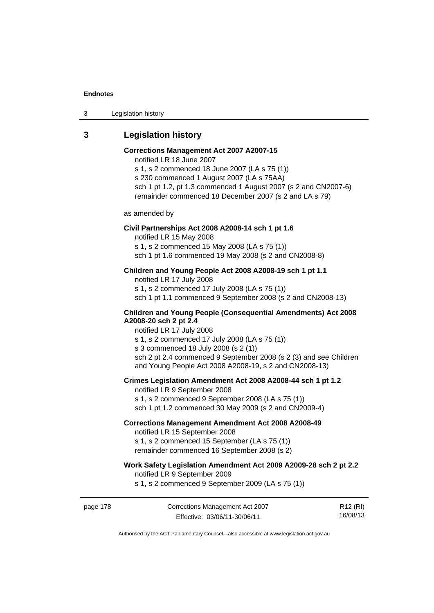3 Legislation history

# **3 Legislation history**

# **Corrections Management Act 2007 A2007-15**

notified LR 18 June 2007

s 1, s 2 commenced 18 June 2007 (LA s 75 (1)) s 230 commenced 1 August 2007 (LA s 75AA) sch 1 pt 1.2, pt 1.3 commenced 1 August 2007 (s 2 and CN2007-6) remainder commenced 18 December 2007 (s 2 and LA s 79)

as amended by

#### **Civil Partnerships Act 2008 A2008-14 sch 1 pt 1.6**

notified LR 15 May 2008

s 1, s 2 commenced 15 May 2008 (LA s 75 (1))

sch 1 pt 1.6 commenced 19 May 2008 (s 2 and CN2008-8)

# **Children and Young People Act 2008 A2008-19 sch 1 pt 1.1**

notified LR 17 July 2008 s 1, s 2 commenced 17 July 2008 (LA s 75 (1)) sch 1 pt 1.1 commenced 9 September 2008 (s 2 and CN2008-13)

#### **Children and Young People (Consequential Amendments) Act 2008 A2008-20 sch 2 pt 2.4**

notified LR 17 July 2008 s 1, s 2 commenced 17 July 2008 (LA s 75 (1))

s 3 commenced 18 July 2008 (s 2 (1))

sch 2 pt 2.4 commenced 9 September 2008 (s 2 (3) and see Children and Young People Act 2008 A2008-19, s 2 and CN2008-13)

#### **Crimes Legislation Amendment Act 2008 A2008-44 sch 1 pt 1.2**

notified LR 9 September 2008 s 1, s 2 commenced 9 September 2008 (LA s 75 (1)) sch 1 pt 1.2 commenced 30 May 2009 (s 2 and CN2009-4)

### **Corrections Management Amendment Act 2008 A2008-49**

notified LR 15 September 2008

s 1, s 2 commenced 15 September (LA s 75 (1)) remainder commenced 16 September 2008 (s 2)

# **Work Safety Legislation Amendment Act 2009 A2009-28 sch 2 pt 2.2**

notified LR 9 September 2009

s 1, s 2 commenced 9 September 2009 (LA s 75 (1))

page 178 Corrections Management Act 2007 Effective: 03/06/11-30/06/11

R12 (RI) 16/08/13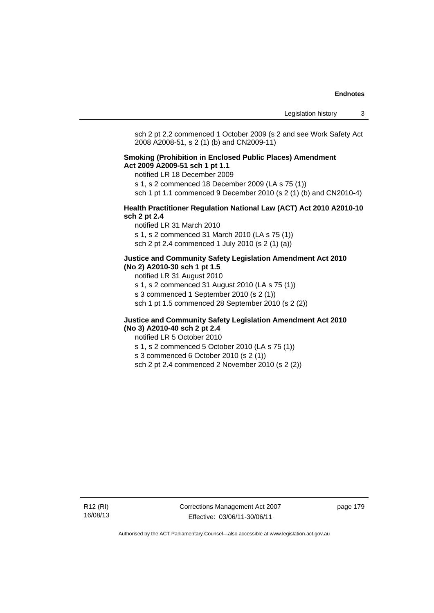sch 2 pt 2.2 commenced 1 October 2009 (s 2 and see Work Safety Act 2008 A2008-51, s 2 (1) (b) and CN2009-11)

#### **Smoking (Prohibition in Enclosed Public Places) Amendment Act 2009 A2009-51 sch 1 pt 1.1**

notified LR 18 December 2009

s 1, s 2 commenced 18 December 2009 (LA s 75 (1))

sch 1 pt 1.1 commenced 9 December 2010 (s 2 (1) (b) and CN2010-4)

#### **Health Practitioner Regulation National Law (ACT) Act 2010 A2010-10 sch 2 pt 2.4**

notified LR 31 March 2010 s 1, s 2 commenced 31 March 2010 (LA s 75 (1)) sch 2 pt 2.4 commenced 1 July 2010 (s 2 (1) (a))

#### **Justice and Community Safety Legislation Amendment Act 2010 (No 2) A2010-30 sch 1 pt 1.5**

notified LR 31 August 2010

s 1, s 2 commenced 31 August 2010 (LA s 75 (1))

s 3 commenced 1 September 2010 (s 2 (1))

sch 1 pt 1.5 commenced 28 September 2010 (s 2 (2))

#### **Justice and Community Safety Legislation Amendment Act 2010 (No 3) A2010-40 sch 2 pt 2.4**

notified LR 5 October 2010

s 1, s 2 commenced 5 October 2010 (LA s 75 (1))

s 3 commenced 6 October 2010 (s 2 (1))

sch 2 pt 2.4 commenced 2 November 2010 (s 2 (2))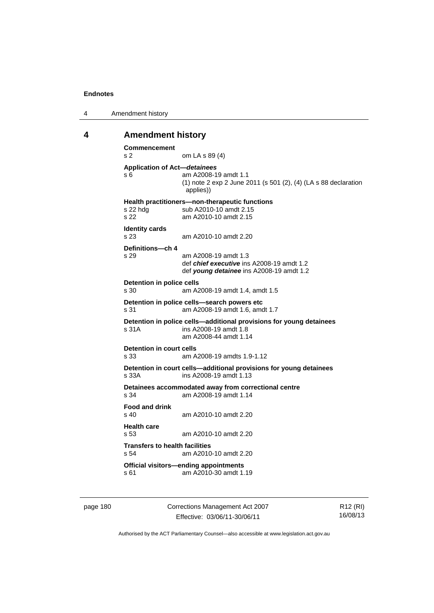| 4 | Amendment history |
|---|-------------------|
|---|-------------------|

#### **4 Amendment history**

```
Commencement 
s 2 om LA s 89 (4) 
Application of Act—detainees
s 6 am A2008-19 amdt 1.1 
                  (1) note 2 exp 2 June 2011 (s 501 (2), (4) (LA s 88 declaration 
                  applies)) 
Health practitioners—non-therapeutic functions 
s 22 hdg sub A2010-10 amdt 2.15
s 22 am A2010-10 amdt 2.15 
Identity cards 
s 23 am A2010-10 amdt 2.20 
Definitions—ch 4 
s 29 am A2008-19 amdt 1.3 
                  def chief executive ins A2008-19 amdt 1.2 
                  def young detainee ins A2008-19 amdt 1.2 
Detention in police cells<br>
s 30 am A2
                 am A2008-19 amdt 1.4, amdt 1.5
Detention in police cells—search powers etc 
s 31 am A2008-19 amdt 1.6, amdt 1.7 
Detention in police cells—additional provisions for young detainees 
s 31A ins A2008-19 amdt 1.8 
                  am A2008-44 amdt 1.14 
Detention in court cells<br>s 33 am A
                 am A2008-19 amdts 1.9-1.12
Detention in court cells—additional provisions for young detainees 
s 33A ins A2008-19 amdt 1.13 
Detainees accommodated away from correctional centre 
                 am A2008-19 amdt 1.14
Food and drink 
s 40 am A2010-10 amdt 2.20 
Health care 
                 am A2010-10 amdt 2.20
Transfers to health facilities 
s 54 am A2010-10 amdt 2.20 
Official visitors—ending appointments 
s 61 am A2010-30 amdt 1.19
```
page 180 Corrections Management Act 2007 Effective: 03/06/11-30/06/11

R12 (RI) 16/08/13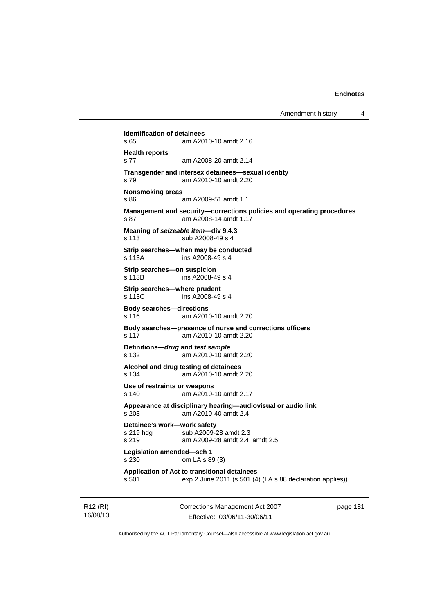**Identification of detainees**  s 65 am A2010-10 amdt 2.16 **Health reports**  s 77 am A2008-20 amdt 2.14 **Transgender and intersex detainees—sexual identity**  s 79 am A2010-10 amdt 2.20 **Nonsmoking areas**  s 86 am A2009-51 amdt 1.1 **Management and security—corrections policies and operating procedures**  s 87 am A2008-14 amdt 1.17 **Meaning of** *seizeable item***—div 9.4.3**  s 113 sub A2008-49 s 4 **Strip searches—when may be conducted**  s 113A ins A2008-49 s 4 **Strip searches—on suspicion**  s 113B ins A2008-49 s 4 **Strip searches—where prudent**  s 113C ins A2008-49 s 4 **Body searches—directions**  s 116 am A2010-10 amdt 2.20 **Body searches—presence of nurse and corrections officers**  s 117 am A2010-10 amdt 2.20 **Definitions—***drug* **and** *test sample* s 132 am A2010-10 amdt 2.20 **Alcohol and drug testing of detainees**  s 134 am A2010-10 amdt 2.20 **Use of restraints or weapons**  s 140 am A2010-10 amdt 2.17 **Appearance at disciplinary hearing—audiovisual or audio link**  s 203 am A2010-40 amdt 2.4 **Detainee's work—work safety**  s 219 hdg sub A2009-28 amdt 2.3 s 219 am A2009-28 amdt 2.4, amdt 2.5 **Legislation amended—sch 1**  s 230 om LA s 89 (3) **Application of Act to transitional detainees**  s 501 exp 2 June 2011 (s 501 (4) (LA s 88 declaration applies))

R12 (RI) 16/08/13 Corrections Management Act 2007 Effective: 03/06/11-30/06/11

page 181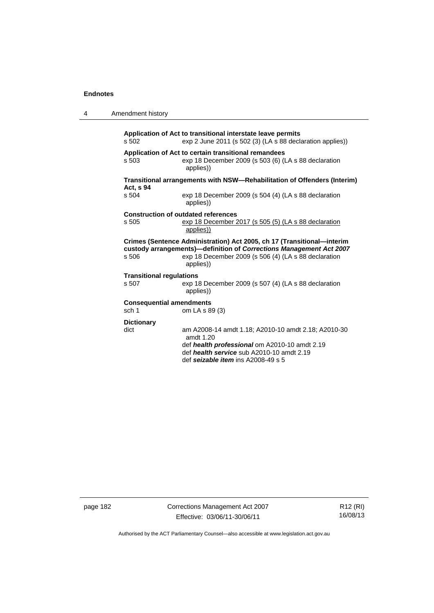4 Amendment history

|                                                                                       | s 502                                    | Application of Act to transitional interstate leave permits<br>exp 2 June 2011 (s 502 (3) (LA s 88 declaration applies))                                                                                           |
|---------------------------------------------------------------------------------------|------------------------------------------|--------------------------------------------------------------------------------------------------------------------------------------------------------------------------------------------------------------------|
|                                                                                       | s 503                                    | Application of Act to certain transitional remandees<br>exp 18 December 2009 (s 503 (6) (LA s 88 declaration<br>applies))                                                                                          |
| Transitional arrangements with NSW-Rehabilitation of Offenders (Interim)<br>Act, s 94 |                                          |                                                                                                                                                                                                                    |
|                                                                                       | s 504                                    | exp 18 December 2009 (s 504 (4) (LA s 88 declaration<br>applies))                                                                                                                                                  |
|                                                                                       | s 505                                    | <b>Construction of outdated references</b><br>exp 18 December 2017 (s 505 (5) (LA s 88 declaration<br>applies))                                                                                                    |
|                                                                                       | s 506                                    | Crimes (Sentence Administration) Act 2005, ch 17 (Transitional-interim<br>custody arrangements)-definition of Corrections Management Act 2007<br>exp 18 December 2009 (s 506 (4) (LA s 88 declaration<br>applies)) |
|                                                                                       | <b>Transitional regulations</b><br>s 507 | exp 18 December 2009 (s 507 (4) (LA s 88 declaration<br>applies))                                                                                                                                                  |
|                                                                                       | <b>Consequential amendments</b>          |                                                                                                                                                                                                                    |
|                                                                                       | sch 1                                    | om LA s 89 (3)                                                                                                                                                                                                     |
|                                                                                       | <b>Dictionary</b><br>dict                | am A2008-14 amdt 1.18; A2010-10 amdt 2.18; A2010-30<br>amdt $1.20$<br>def health professional om A2010-10 amdt 2.19<br>def health service sub A2010-10 amdt 2.19<br>def seizable item ins A2008-49 s 5             |

page 182 Corrections Management Act 2007 Effective: 03/06/11-30/06/11

R12 (RI) 16/08/13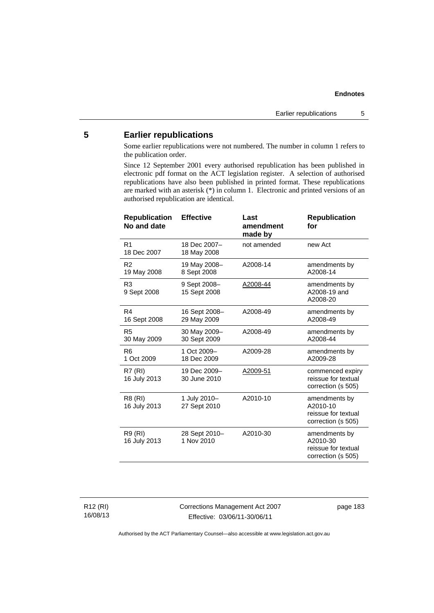# **5 Earlier republications**

Some earlier republications were not numbered. The number in column 1 refers to the publication order.

Since 12 September 2001 every authorised republication has been published in electronic pdf format on the ACT legislation register. A selection of authorised republications have also been published in printed format. These republications are marked with an asterisk (\*) in column 1. Electronic and printed versions of an authorised republication are identical.

| <b>Republication</b><br>No and date | <b>Effective</b>             | Last<br>amendment<br>made by | <b>Republication</b><br>for                                            |
|-------------------------------------|------------------------------|------------------------------|------------------------------------------------------------------------|
| R <sub>1</sub><br>18 Dec 2007       | 18 Dec 2007-<br>18 May 2008  | not amended                  | new Act                                                                |
| R <sub>2</sub><br>19 May 2008       | 19 May 2008-<br>8 Sept 2008  | A2008-14                     | amendments by<br>A2008-14                                              |
| R <sub>3</sub><br>9 Sept 2008       | 9 Sept 2008-<br>15 Sept 2008 | A2008-44                     | amendments by<br>A2008-19 and<br>A2008-20                              |
| R4<br>16 Sept 2008                  | 16 Sept 2008-<br>29 May 2009 | A2008-49                     | amendments by<br>A2008-49                                              |
| R <sub>5</sub><br>30 May 2009       | 30 May 2009-<br>30 Sept 2009 | A2008-49                     | amendments by<br>A2008-44                                              |
| R <sub>6</sub><br>1 Oct 2009        | 1 Oct 2009-<br>18 Dec 2009   | A2009-28                     | amendments by<br>A2009-28                                              |
| <b>R7 (RI)</b><br>16 July 2013      | 19 Dec 2009-<br>30 June 2010 | A2009-51                     | commenced expiry<br>reissue for textual<br>correction (s 505)          |
| R8 (RI)<br>16 July 2013             | 1 July 2010-<br>27 Sept 2010 | A2010-10                     | amendments by<br>A2010-10<br>reissue for textual<br>correction (s 505) |
| R9 (RI)<br>16 July 2013             | 28 Sept 2010-<br>1 Nov 2010  | A2010-30                     | amendments by<br>A2010-30<br>reissue for textual<br>correction (s 505) |

R12 (RI) 16/08/13 Corrections Management Act 2007 Effective: 03/06/11-30/06/11

page 183